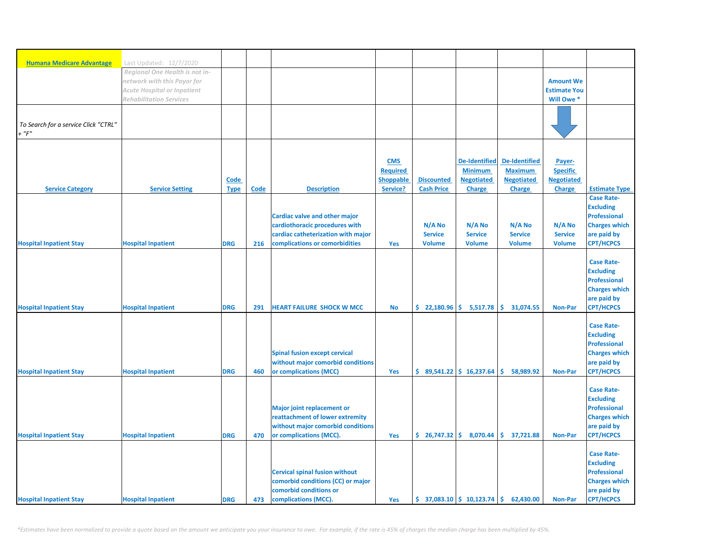| <b>Humana Medicare Advantage</b>     | Last Updated: 12/7/2020<br>Regional One Health is not in- |             |             |                                                                                                                              |                  |                               |                      |                                |                     |                                                                                                                         |
|--------------------------------------|-----------------------------------------------------------|-------------|-------------|------------------------------------------------------------------------------------------------------------------------------|------------------|-------------------------------|----------------------|--------------------------------|---------------------|-------------------------------------------------------------------------------------------------------------------------|
|                                      |                                                           |             |             |                                                                                                                              |                  |                               |                      |                                |                     |                                                                                                                         |
|                                      |                                                           |             |             |                                                                                                                              |                  |                               |                      |                                |                     |                                                                                                                         |
|                                      |                                                           |             |             |                                                                                                                              |                  |                               |                      |                                |                     |                                                                                                                         |
|                                      | network with this Payor for                               |             |             |                                                                                                                              |                  |                               |                      |                                | <b>Amount We</b>    |                                                                                                                         |
|                                      | Acute Hospital or Inpatient                               |             |             |                                                                                                                              |                  |                               |                      |                                | <b>Estimate You</b> |                                                                                                                         |
|                                      | <b>Rehabilitation Services</b>                            |             |             |                                                                                                                              |                  |                               |                      |                                | Will Owe *          |                                                                                                                         |
| To Search for a service Click "CTRL" |                                                           |             |             |                                                                                                                              |                  |                               |                      |                                |                     |                                                                                                                         |
| $+$ " $F$ "                          |                                                           |             |             |                                                                                                                              |                  |                               |                      |                                |                     |                                                                                                                         |
|                                      |                                                           |             |             |                                                                                                                              |                  |                               |                      |                                |                     |                                                                                                                         |
|                                      |                                                           |             |             |                                                                                                                              |                  |                               |                      |                                |                     |                                                                                                                         |
|                                      |                                                           |             |             |                                                                                                                              | <b>CMS</b>       |                               | <b>De-Identified</b> | <b>De-Identified</b>           | Payer-              |                                                                                                                         |
|                                      |                                                           |             |             |                                                                                                                              | <b>Required</b>  |                               | <b>Minimum</b>       | <b>Maximum</b>                 | <b>Specific</b>     |                                                                                                                         |
|                                      |                                                           | <b>Code</b> |             |                                                                                                                              | <b>Shoppable</b> | <b>Discounted</b>             | <b>Negotiated</b>    | <b>Negotiated</b>              | <b>Negotiated</b>   |                                                                                                                         |
| <b>Service Category</b>              | <b>Service Setting</b>                                    |             | <b>Code</b> | <b>Description</b>                                                                                                           | Service?         | <b>Cash Price</b>             |                      |                                |                     | <b>Estimate Type</b>                                                                                                    |
|                                      |                                                           | <b>Type</b> |             |                                                                                                                              |                  |                               | <b>Charge</b>        | <b>Charge</b>                  | <b>Charge</b>       | <b>Case Rate-</b>                                                                                                       |
|                                      |                                                           |             |             |                                                                                                                              |                  |                               |                      |                                |                     |                                                                                                                         |
|                                      |                                                           |             |             |                                                                                                                              |                  |                               |                      |                                |                     | <b>Excluding</b>                                                                                                        |
|                                      |                                                           |             |             | Cardiac valve and other major                                                                                                |                  |                               |                      |                                |                     | <b>Professional</b>                                                                                                     |
|                                      |                                                           |             |             | cardiothoracic procedures with                                                                                               |                  | N/A No                        | N/A No               | N/A No                         | N/A No              | <b>Charges which</b>                                                                                                    |
|                                      |                                                           |             |             | cardiac catheterization with major                                                                                           |                  | <b>Service</b>                | <b>Service</b>       | <b>Service</b>                 | <b>Service</b>      | are paid by                                                                                                             |
| <b>Hospital Inpatient Stay</b>       | <b>Hospital Inpatient</b>                                 | <b>DRG</b>  | 216         | complications or comorbidities                                                                                               | Yes              | <b>Volume</b>                 | <b>Volume</b>        | <b>Volume</b>                  | <b>Volume</b>       | <b>CPT/HCPCS</b>                                                                                                        |
|                                      |                                                           |             |             |                                                                                                                              |                  |                               |                      |                                |                     | <b>Case Rate-</b><br><b>Excluding</b><br><b>Professional</b><br><b>Charges which</b><br>are paid by                     |
| <b>Hospital Inpatient Stay</b>       | <b>Hospital Inpatient</b>                                 | <b>DRG</b>  | 291         | <b>HEART FAILURE SHOCK W MCC</b>                                                                                             | <b>No</b>        | \$22,180.96                   | 5,517.78             | \$<br>31,074.55                | <b>Non-Par</b>      | <b>CPT/HCPCS</b>                                                                                                        |
|                                      |                                                           |             |             | <b>Spinal fusion except cervical</b><br>without major comorbid conditions                                                    |                  |                               |                      |                                |                     | <b>Case Rate-</b><br><b>Excluding</b><br><b>Professional</b><br><b>Charges which</b><br>are paid by                     |
| <b>Hospital Inpatient Stay</b>       | <b>Hospital Inpatient</b>                                 | <b>DRG</b>  | 460         | or complications (MCC)                                                                                                       | Yes              | $$89,541.22 \mid $16,237.64$  |                      | \$.<br>58,989.92               | <b>Non-Par</b>      | <b>CPT/HCPCS</b>                                                                                                        |
|                                      |                                                           |             |             | <b>Major joint replacement or</b><br>reattachment of lower extremity<br>without major comorbid conditions                    |                  |                               |                      |                                |                     | <b>Case Rate-</b><br><b>Excluding</b><br><b>Professional</b><br><b>Charges which</b><br>are paid by                     |
| <b>Hospital Inpatient Stay</b>       | <b>Hospital Inpatient</b>                                 | <b>DRG</b>  | 470         | or complications (MCC).                                                                                                      | Yes              | \$26,747.32                   | 8,070.44             | $\mathsf{S}^+$<br>37,721.88    | <b>Non-Par</b>      | <b>CPT/HCPCS</b>                                                                                                        |
|                                      |                                                           |             |             |                                                                                                                              |                  |                               |                      |                                |                     |                                                                                                                         |
| <b>Hospital Inpatient Stay</b>       | <b>Hospital Inpatient</b>                                 | <b>DRG</b>  | 473         | <b>Cervical spinal fusion without</b><br>comorbid conditions (CC) or major<br>comorbid conditions or<br>complications (MCC). | Yes              | $$37,083.10 \  \  $10,123.74$ |                      | $\vert \xi \vert$<br>62,430.00 | <b>Non-Par</b>      | <b>Case Rate-</b><br><b>Excluding</b><br><b>Professional</b><br><b>Charges which</b><br>are paid by<br><b>CPT/HCPCS</b> |

*\*Estimates have been normalized to provide a quote based on the amount we anticipate you your insurance to owe. For example, if the rate is 45% of charges the median charge has been multiplied by 45%.*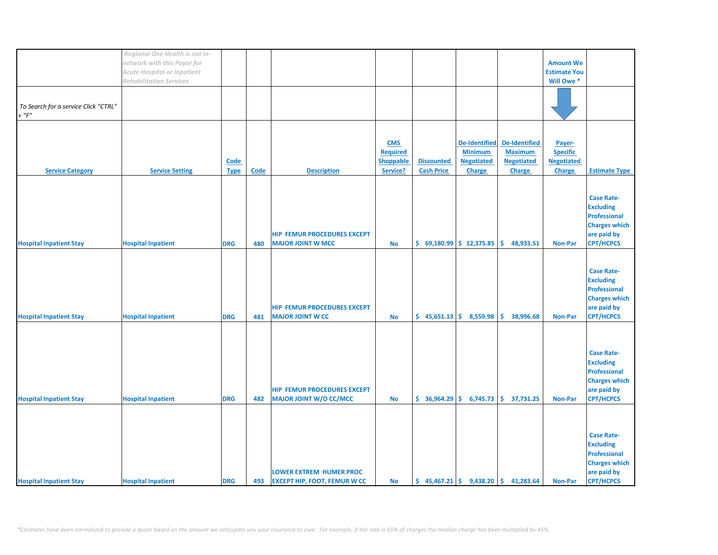|                                      | Regional One Health is not in- |             |             |                                     |                  |                            |                      |                                                   |                     |                      |
|--------------------------------------|--------------------------------|-------------|-------------|-------------------------------------|------------------|----------------------------|----------------------|---------------------------------------------------|---------------------|----------------------|
|                                      | network with this Payor for    |             |             |                                     |                  |                            |                      |                                                   | <b>Amount We</b>    |                      |
|                                      | Acute Hospital or Inpatient    |             |             |                                     |                  |                            |                      |                                                   | <b>Estimate You</b> |                      |
|                                      |                                |             |             |                                     |                  |                            |                      |                                                   |                     |                      |
|                                      | <b>Rehabilitation Services</b> |             |             |                                     |                  |                            |                      |                                                   | Will Owe *          |                      |
|                                      |                                |             |             |                                     |                  |                            |                      |                                                   |                     |                      |
|                                      |                                |             |             |                                     |                  |                            |                      |                                                   |                     |                      |
| To Search for a service Click "CTRL" |                                |             |             |                                     |                  |                            |                      |                                                   |                     |                      |
| $+$ " $F$ "                          |                                |             |             |                                     |                  |                            |                      |                                                   |                     |                      |
|                                      |                                |             |             |                                     |                  |                            |                      |                                                   |                     |                      |
|                                      |                                |             |             |                                     |                  |                            |                      |                                                   |                     |                      |
|                                      |                                |             |             |                                     |                  |                            |                      |                                                   |                     |                      |
|                                      |                                |             |             |                                     | <b>CMS</b>       |                            | <b>De-Identified</b> | <b>De-Identified</b>                              | Payer-              |                      |
|                                      |                                |             |             |                                     | Required         |                            | <b>Minimum</b>       | <b>Maximum</b>                                    | <b>Specific</b>     |                      |
|                                      |                                | <b>Code</b> |             |                                     | <b>Shoppable</b> | <b>Discounted</b>          | <b>Negotiated</b>    | <b>Negotiated</b>                                 | <b>Negotiated</b>   |                      |
|                                      |                                |             |             |                                     |                  |                            |                      |                                                   |                     |                      |
| <b>Service Category</b>              | <b>Service Setting</b>         | <b>Type</b> | <b>Code</b> | <b>Description</b>                  | Service?         | <b>Cash Price</b>          | <b>Charge</b>        | <b>Charge</b>                                     | <b>Charge</b>       | <b>Estimate Type</b> |
|                                      |                                |             |             |                                     |                  |                            |                      |                                                   |                     |                      |
|                                      |                                |             |             |                                     |                  |                            |                      |                                                   |                     |                      |
|                                      |                                |             |             |                                     |                  |                            |                      |                                                   |                     | <b>Case Rate-</b>    |
|                                      |                                |             |             |                                     |                  |                            |                      |                                                   |                     |                      |
|                                      |                                |             |             |                                     |                  |                            |                      |                                                   |                     | <b>Excluding</b>     |
|                                      |                                |             |             |                                     |                  |                            |                      |                                                   |                     | <b>Professional</b>  |
|                                      |                                |             |             |                                     |                  |                            |                      |                                                   |                     | <b>Charges which</b> |
|                                      |                                |             |             | <b>HIP FEMUR PROCEDURES EXCEPT</b>  |                  |                            |                      |                                                   |                     | are paid by          |
|                                      |                                |             |             |                                     |                  |                            |                      |                                                   |                     |                      |
| <b>Hospital Inpatient Stay</b>       | <b>Hospital Inpatient</b>      | <b>DRG</b>  | 480         | <b>MAJOR JOINT W MCC</b>            | <b>No</b>        | $$69,180.99$$ $$12,375.85$ |                      | Ŝ.<br>48,933.51                                   | <b>Non-Par</b>      | <b>CPT/HCPCS</b>     |
|                                      |                                |             |             |                                     |                  |                            |                      |                                                   |                     |                      |
|                                      |                                |             |             |                                     |                  |                            |                      |                                                   |                     |                      |
|                                      |                                |             |             |                                     |                  |                            |                      |                                                   |                     | <b>Case Rate-</b>    |
|                                      |                                |             |             |                                     |                  |                            |                      |                                                   |                     |                      |
|                                      |                                |             |             |                                     |                  |                            |                      |                                                   |                     | <b>Excluding</b>     |
|                                      |                                |             |             |                                     |                  |                            |                      |                                                   |                     | <b>Professional</b>  |
|                                      |                                |             |             |                                     |                  |                            |                      |                                                   |                     | <b>Charges which</b> |
|                                      |                                |             |             | <b>HIP FEMUR PROCEDURES EXCEPT</b>  |                  |                            |                      |                                                   |                     | are paid by          |
|                                      |                                |             |             |                                     |                  |                            |                      |                                                   |                     |                      |
| <b>Hospital Inpatient Stay</b>       | <b>Hospital Inpatient</b>      | <b>DRG</b>  | 481         | <b>MAJOR JOINT W CC</b>             | <b>No</b>        | $$45,651.13$$ $$8,559.98$  |                      | \$<br>38,996.68                                   | <b>Non-Par</b>      | <b>CPT/HCPCS</b>     |
|                                      |                                |             |             |                                     |                  |                            |                      |                                                   |                     |                      |
|                                      |                                |             |             |                                     |                  |                            |                      |                                                   |                     |                      |
|                                      |                                |             |             |                                     |                  |                            |                      |                                                   |                     |                      |
|                                      |                                |             |             |                                     |                  |                            |                      |                                                   |                     |                      |
|                                      |                                |             |             |                                     |                  |                            |                      |                                                   |                     | <b>Case Rate-</b>    |
|                                      |                                |             |             |                                     |                  |                            |                      |                                                   |                     | <b>Excluding</b>     |
|                                      |                                |             |             |                                     |                  |                            |                      |                                                   |                     | <b>Professional</b>  |
|                                      |                                |             |             |                                     |                  |                            |                      |                                                   |                     | <b>Charges which</b> |
|                                      |                                |             |             | <b>HIP FEMUR PROCEDURES EXCEPT</b>  |                  |                            |                      |                                                   |                     |                      |
|                                      |                                |             |             |                                     |                  |                            |                      |                                                   |                     | are paid by          |
| <b>Hospital Inpatient Stay</b>       | <b>Hospital Inpatient</b>      | <b>DRG</b>  | 482         | <b>MAJOR JOINT W/O CC/MCC</b>       | <b>No</b>        | \$36,964.29                | 6,745.73             | \$.<br>37,731.25                                  | <b>Non-Par</b>      | <b>CPT/HCPCS</b>     |
|                                      |                                |             |             |                                     |                  |                            |                      |                                                   |                     |                      |
|                                      |                                |             |             |                                     |                  |                            |                      |                                                   |                     |                      |
|                                      |                                |             |             |                                     |                  |                            |                      |                                                   |                     |                      |
|                                      |                                |             |             |                                     |                  |                            |                      |                                                   |                     |                      |
|                                      |                                |             |             |                                     |                  |                            |                      |                                                   |                     | <b>Case Rate-</b>    |
|                                      |                                |             |             |                                     |                  |                            |                      |                                                   |                     | <b>Excluding</b>     |
|                                      |                                |             |             |                                     |                  |                            |                      |                                                   |                     | Professional         |
|                                      |                                |             |             |                                     |                  |                            |                      |                                                   |                     |                      |
|                                      |                                |             |             |                                     |                  |                            |                      |                                                   |                     | <b>Charges which</b> |
|                                      |                                |             |             | <b>LOWER EXTREM HUMER PROC</b>      |                  |                            |                      |                                                   |                     | are paid by          |
| <b>Hospital Inpatient Stay</b>       | <b>Hospital Inpatient</b>      | <b>DRG</b>  | 493         | <b>EXCEPT HIP, FOOT, FEMUR W CC</b> | <b>No</b>        |                            |                      | $\binom{1}{2}$ 45,467.21 \$ 9,438.20 \$ 41,283.64 | <b>Non-Par</b>      | <b>CPT/HCPCS</b>     |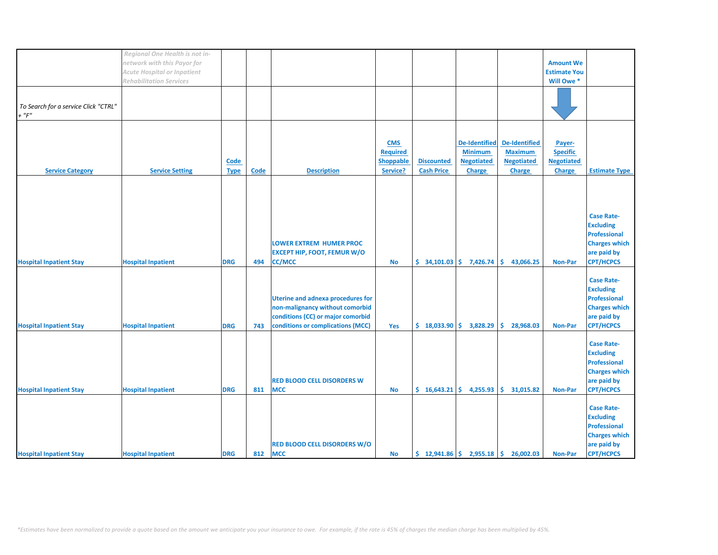|                                      | Regional One Health is not in-     |             |             |                                          |                 |                             |                                                                  |                      |                     |                      |
|--------------------------------------|------------------------------------|-------------|-------------|------------------------------------------|-----------------|-----------------------------|------------------------------------------------------------------|----------------------|---------------------|----------------------|
|                                      | network with this Payor for        |             |             |                                          |                 |                             |                                                                  |                      | <b>Amount We</b>    |                      |
|                                      | <b>Acute Hospital or Inpatient</b> |             |             |                                          |                 |                             |                                                                  |                      | <b>Estimate You</b> |                      |
|                                      |                                    |             |             |                                          |                 |                             |                                                                  |                      |                     |                      |
|                                      | <b>Rehabilitation Services</b>     |             |             |                                          |                 |                             |                                                                  |                      | Will Owe *          |                      |
|                                      |                                    |             |             |                                          |                 |                             |                                                                  |                      |                     |                      |
|                                      |                                    |             |             |                                          |                 |                             |                                                                  |                      |                     |                      |
| To Search for a service Click "CTRL" |                                    |             |             |                                          |                 |                             |                                                                  |                      |                     |                      |
|                                      |                                    |             |             |                                          |                 |                             |                                                                  |                      |                     |                      |
| $+$ " $F$ "                          |                                    |             |             |                                          |                 |                             |                                                                  |                      |                     |                      |
|                                      |                                    |             |             |                                          |                 |                             |                                                                  |                      |                     |                      |
|                                      |                                    |             |             |                                          |                 |                             |                                                                  |                      |                     |                      |
|                                      |                                    |             |             |                                          |                 |                             |                                                                  |                      |                     |                      |
|                                      |                                    |             |             |                                          | <b>CMS</b>      |                             | <b>De-Identified</b>                                             | <b>De-Identified</b> | Payer-              |                      |
|                                      |                                    |             |             |                                          | <b>Required</b> |                             | <b>Minimum</b>                                                   | <b>Maximum</b>       | <b>Specific</b>     |                      |
|                                      |                                    | Code        |             |                                          | Shoppable       | <b>Discounted</b>           | <b>Negotiated</b>                                                | <b>Negotiated</b>    | <b>Negotiated</b>   |                      |
|                                      |                                    |             |             |                                          |                 |                             |                                                                  |                      |                     |                      |
| <b>Service Category</b>              | <b>Service Setting</b>             | <b>Type</b> | <b>Code</b> | <b>Description</b>                       | Service?        | <b>Cash Price</b>           | Charge                                                           | Charge               | Charge              | <b>Estimate Type</b> |
|                                      |                                    |             |             |                                          |                 |                             |                                                                  |                      |                     |                      |
|                                      |                                    |             |             |                                          |                 |                             |                                                                  |                      |                     |                      |
|                                      |                                    |             |             |                                          |                 |                             |                                                                  |                      |                     |                      |
|                                      |                                    |             |             |                                          |                 |                             |                                                                  |                      |                     |                      |
|                                      |                                    |             |             |                                          |                 |                             |                                                                  |                      |                     |                      |
|                                      |                                    |             |             |                                          |                 |                             |                                                                  |                      |                     |                      |
|                                      |                                    |             |             |                                          |                 |                             |                                                                  |                      |                     | <b>Case Rate-</b>    |
|                                      |                                    |             |             |                                          |                 |                             |                                                                  |                      |                     | <b>Excluding</b>     |
|                                      |                                    |             |             |                                          |                 |                             |                                                                  |                      |                     | <b>Professional</b>  |
|                                      |                                    |             |             |                                          |                 |                             |                                                                  |                      |                     |                      |
|                                      |                                    |             |             | <b>LOWER EXTREM HUMER PROC</b>           |                 |                             |                                                                  |                      |                     | <b>Charges which</b> |
|                                      |                                    |             |             | <b>EXCEPT HIP, FOOT, FEMUR W/O</b>       |                 |                             |                                                                  |                      |                     | are paid by          |
| <b>Hospital Inpatient Stay</b>       | <b>Hospital Inpatient</b>          | <b>DRG</b>  | 494         | <b>CC/MCC</b>                            | <b>No</b>       | $$34,101.03 \mid $7,426.74$ |                                                                  | \$<br>43,066.25      | <b>Non-Par</b>      | <b>CPT/HCPCS</b>     |
|                                      |                                    |             |             |                                          |                 |                             |                                                                  |                      |                     |                      |
|                                      |                                    |             |             |                                          |                 |                             |                                                                  |                      |                     |                      |
|                                      |                                    |             |             |                                          |                 |                             |                                                                  |                      |                     | <b>Case Rate-</b>    |
|                                      |                                    |             |             |                                          |                 |                             |                                                                  |                      |                     | <b>Excluding</b>     |
|                                      |                                    |             |             |                                          |                 |                             |                                                                  |                      |                     |                      |
|                                      |                                    |             |             | <b>Uterine and adnexa procedures for</b> |                 |                             |                                                                  |                      |                     | <b>Professional</b>  |
|                                      |                                    |             |             | non-malignancy without comorbid          |                 |                             |                                                                  |                      |                     | <b>Charges which</b> |
|                                      |                                    |             |             | conditions (CC) or major comorbid        |                 |                             |                                                                  |                      |                     | are paid by          |
|                                      |                                    |             |             |                                          |                 |                             |                                                                  |                      |                     |                      |
| <b>Hospital Inpatient Stay</b>       | <b>Hospital Inpatient</b>          | <b>DRG</b>  | 743         | conditions or complications (MCC)        | Yes             | \$18,033.90                 | 3,828.29                                                         | 28,968.03<br>Ŝ.      | <b>Non-Par</b>      | <b>CPT/HCPCS</b>     |
|                                      |                                    |             |             |                                          |                 |                             |                                                                  |                      |                     |                      |
|                                      |                                    |             |             |                                          |                 |                             |                                                                  |                      |                     | <b>Case Rate-</b>    |
|                                      |                                    |             |             |                                          |                 |                             |                                                                  |                      |                     |                      |
|                                      |                                    |             |             |                                          |                 |                             |                                                                  |                      |                     | <b>Excluding</b>     |
|                                      |                                    |             |             |                                          |                 |                             |                                                                  |                      |                     | <b>Professional</b>  |
|                                      |                                    |             |             |                                          |                 |                             |                                                                  |                      |                     | <b>Charges which</b> |
|                                      |                                    |             |             |                                          |                 |                             |                                                                  |                      |                     |                      |
|                                      |                                    |             |             | <b>RED BLOOD CELL DISORDERS W</b>        |                 |                             |                                                                  |                      |                     | are paid by          |
| <b>Hospital Inpatient Stay</b>       | <b>Hospital Inpatient</b>          | <b>DRG</b>  | 811         | <b>MCC</b>                               | <b>No</b>       |                             | $\frac{1}{2}$ 16,643.21 \$ 4,255.93                              | Ŝ.<br>31,015.82      | <b>Non-Par</b>      | <b>CPT/HCPCS</b>     |
|                                      |                                    |             |             |                                          |                 |                             |                                                                  |                      |                     |                      |
|                                      |                                    |             |             |                                          |                 |                             |                                                                  |                      |                     |                      |
|                                      |                                    |             |             |                                          |                 |                             |                                                                  |                      |                     | <b>Case Rate-</b>    |
|                                      |                                    |             |             |                                          |                 |                             |                                                                  |                      |                     | <b>Excluding</b>     |
|                                      |                                    |             |             |                                          |                 |                             |                                                                  |                      |                     | <b>Professional</b>  |
|                                      |                                    |             |             |                                          |                 |                             |                                                                  |                      |                     |                      |
|                                      |                                    |             |             |                                          |                 |                             |                                                                  |                      |                     | <b>Charges which</b> |
|                                      |                                    |             |             | <b>RED BLOOD CELL DISORDERS W/O</b>      |                 |                             |                                                                  |                      |                     | are paid by          |
| <b>Hospital Inpatient Stay</b>       | <b>Hospital Inpatient</b>          |             |             | <b>MCC</b>                               | <b>No</b>       |                             | $\frac{1}{2}$ , 12,941.86 $\frac{1}{2}$ , 2,955.18 $\frac{1}{2}$ | 26,002.03            | <b>Non-Par</b>      | <b>CPT/HCPCS</b>     |
|                                      |                                    | <b>DRG</b>  | 812         |                                          |                 |                             |                                                                  |                      |                     |                      |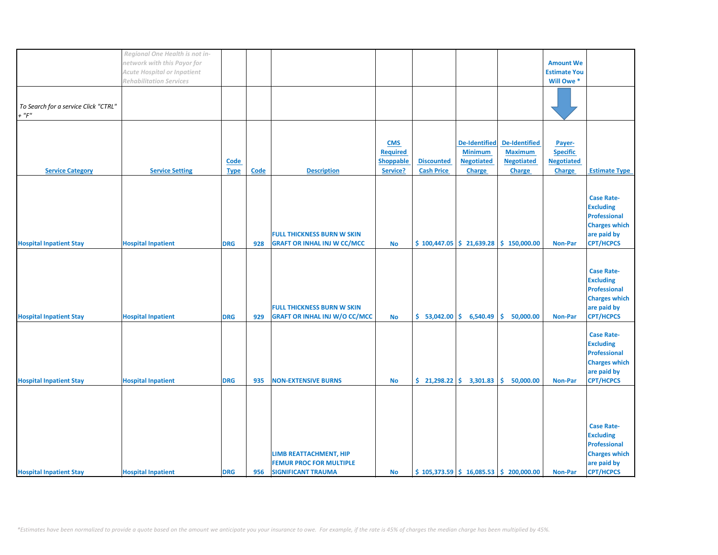|                                      | Regional One Health is not in- |             |             |                                      |            |                   |                         |                                                |                     |                      |
|--------------------------------------|--------------------------------|-------------|-------------|--------------------------------------|------------|-------------------|-------------------------|------------------------------------------------|---------------------|----------------------|
|                                      | network with this Payor for    |             |             |                                      |            |                   |                         |                                                | <b>Amount We</b>    |                      |
|                                      |                                |             |             |                                      |            |                   |                         |                                                |                     |                      |
|                                      | Acute Hospital or Inpatient    |             |             |                                      |            |                   |                         |                                                | <b>Estimate You</b> |                      |
|                                      | <b>Rehabilitation Services</b> |             |             |                                      |            |                   |                         |                                                | Will Owe *          |                      |
|                                      |                                |             |             |                                      |            |                   |                         |                                                |                     |                      |
| To Search for a service Click "CTRL" |                                |             |             |                                      |            |                   |                         |                                                |                     |                      |
| $+$ " $F$ "                          |                                |             |             |                                      |            |                   |                         |                                                |                     |                      |
|                                      |                                |             |             |                                      |            |                   |                         |                                                |                     |                      |
|                                      |                                |             |             |                                      | <b>CMS</b> |                   | <b>De-Identified</b>    | <b>De-Identified</b>                           |                     |                      |
|                                      |                                |             |             |                                      |            |                   |                         |                                                | Payer-              |                      |
|                                      |                                |             |             |                                      | Required   |                   | <b>Minimum</b>          | <b>Maximum</b>                                 | <b>Specific</b>     |                      |
|                                      |                                | <b>Code</b> |             |                                      | Shoppable  | <b>Discounted</b> | <b>Negotiated</b>       | <b>Negotiated</b>                              | <b>Negotiated</b>   |                      |
| <b>Service Category</b>              | <b>Service Setting</b>         | <b>Type</b> | <b>Code</b> | <b>Description</b>                   | Service?   | <b>Cash Price</b> | <b>Charge</b>           | <b>Charge</b>                                  | <b>Charge</b>       | <b>Estimate Type</b> |
|                                      |                                |             |             |                                      |            |                   |                         |                                                |                     |                      |
|                                      |                                |             |             |                                      |            |                   |                         |                                                |                     |                      |
|                                      |                                |             |             |                                      |            |                   |                         |                                                |                     | <b>Case Rate-</b>    |
|                                      |                                |             |             |                                      |            |                   |                         |                                                |                     | <b>Excluding</b>     |
|                                      |                                |             |             |                                      |            |                   |                         |                                                |                     | <b>Professional</b>  |
|                                      |                                |             |             |                                      |            |                   |                         |                                                |                     | <b>Charges which</b> |
|                                      |                                |             |             | <b>FULL THICKNESS BURN W SKIN</b>    |            |                   |                         |                                                |                     | are paid by          |
| <b>Hospital Inpatient Stay</b>       | <b>Hospital Inpatient</b>      | <b>DRG</b>  | 928         | <b>GRAFT OR INHAL INJ W CC/MCC</b>   | <b>No</b>  |                   |                         | $$100,447.05 \mid $21,639.28 \mid $150,000.00$ | <b>Non-Par</b>      | <b>CPT/HCPCS</b>     |
|                                      |                                |             |             |                                      |            |                   |                         |                                                |                     |                      |
|                                      |                                |             |             |                                      |            |                   |                         |                                                |                     |                      |
|                                      |                                |             |             |                                      |            |                   |                         |                                                |                     | <b>Case Rate-</b>    |
|                                      |                                |             |             |                                      |            |                   |                         |                                                |                     |                      |
|                                      |                                |             |             |                                      |            |                   |                         |                                                |                     | <b>Excluding</b>     |
|                                      |                                |             |             |                                      |            |                   |                         |                                                |                     | <b>Professional</b>  |
|                                      |                                |             |             |                                      |            |                   |                         |                                                |                     | <b>Charges which</b> |
|                                      |                                |             |             | <b>FULL THICKNESS BURN W SKIN</b>    |            |                   |                         |                                                |                     | are paid by          |
| <b>Hospital Inpatient Stay</b>       | <b>Hospital Inpatient</b>      | <b>DRG</b>  | 929         | <b>GRAFT OR INHAL INJ W/O CC/MCC</b> | No         |                   | $$53,042.00 \$6,540.49$ | \$<br>50,000.00                                | <b>Non-Par</b>      | <b>CPT/HCPCS</b>     |
|                                      |                                |             |             |                                      |            |                   |                         |                                                |                     |                      |
|                                      |                                |             |             |                                      |            |                   |                         |                                                |                     | <b>Case Rate-</b>    |
|                                      |                                |             |             |                                      |            |                   |                         |                                                |                     | <b>Excluding</b>     |
|                                      |                                |             |             |                                      |            |                   |                         |                                                |                     | <b>Professional</b>  |
|                                      |                                |             |             |                                      |            |                   |                         |                                                |                     | <b>Charges which</b> |
|                                      |                                |             |             |                                      |            |                   |                         |                                                |                     | are paid by          |
| <b>Hospital Inpatient Stay</b>       | <b>Hospital Inpatient</b>      | <b>DRG</b>  | 935         | <b>NON-EXTENSIVE BURNS</b>           | <b>No</b>  | \$21,298.22       | 3,301.83                | Ŝ.<br>50,000.00                                | <b>Non-Par</b>      | <b>CPT/HCPCS</b>     |
|                                      |                                |             |             |                                      |            |                   |                         |                                                |                     |                      |
|                                      |                                |             |             |                                      |            |                   |                         |                                                |                     |                      |
|                                      |                                |             |             |                                      |            |                   |                         |                                                |                     |                      |
|                                      |                                |             |             |                                      |            |                   |                         |                                                |                     |                      |
|                                      |                                |             |             |                                      |            |                   |                         |                                                |                     |                      |
|                                      |                                |             |             |                                      |            |                   |                         |                                                |                     | <b>Case Rate-</b>    |
|                                      |                                |             |             |                                      |            |                   |                         |                                                |                     | <b>Excluding</b>     |
|                                      |                                |             |             |                                      |            |                   |                         |                                                |                     | <b>Professional</b>  |
|                                      |                                |             |             | <b>LIMB REATTACHMENT, HIP</b>        |            |                   |                         |                                                |                     | <b>Charges which</b> |
|                                      |                                |             |             | <b>FEMUR PROC FOR MULTIPLE</b>       |            |                   |                         |                                                |                     | are paid by          |
| <b>Hospital Inpatient Stay</b>       | <b>Hospital Inpatient</b>      | <b>DRG</b>  | 956         | <b>SIGNIFICANT TRAUMA</b>            | <b>No</b>  |                   |                         | $$105,373.59$ $$16,085.53$ $$200,000.00$       | <b>Non-Par</b>      | <b>CPT/HCPCS</b>     |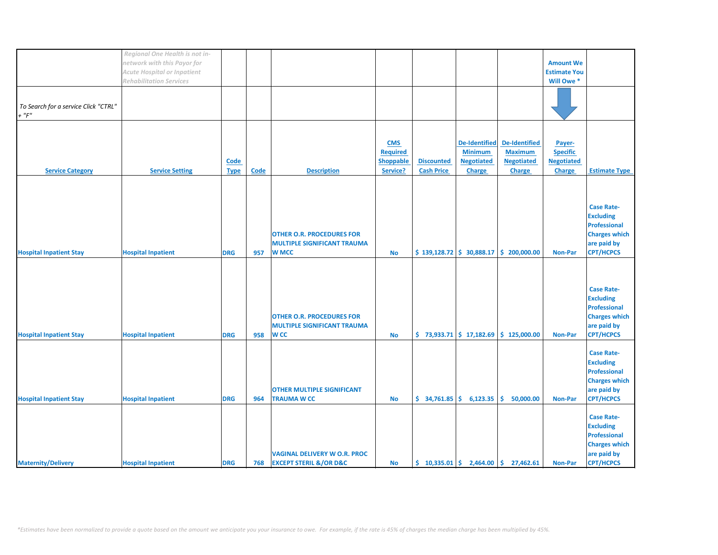|                                      | Regional One Health is not in-     |             |             |                                       |                  |                                                |                      |                                                                             |                     |                      |
|--------------------------------------|------------------------------------|-------------|-------------|---------------------------------------|------------------|------------------------------------------------|----------------------|-----------------------------------------------------------------------------|---------------------|----------------------|
|                                      | network with this Payor for        |             |             |                                       |                  |                                                |                      |                                                                             | <b>Amount We</b>    |                      |
|                                      |                                    |             |             |                                       |                  |                                                |                      |                                                                             |                     |                      |
|                                      | <b>Acute Hospital or Inpatient</b> |             |             |                                       |                  |                                                |                      |                                                                             | <b>Estimate You</b> |                      |
|                                      | <b>Rehabilitation Services</b>     |             |             |                                       |                  |                                                |                      |                                                                             | Will Owe *          |                      |
|                                      |                                    |             |             |                                       |                  |                                                |                      |                                                                             |                     |                      |
|                                      |                                    |             |             |                                       |                  |                                                |                      |                                                                             |                     |                      |
|                                      |                                    |             |             |                                       |                  |                                                |                      |                                                                             |                     |                      |
| To Search for a service Click "CTRL" |                                    |             |             |                                       |                  |                                                |                      |                                                                             |                     |                      |
| $+$ " $F$ "                          |                                    |             |             |                                       |                  |                                                |                      |                                                                             |                     |                      |
|                                      |                                    |             |             |                                       |                  |                                                |                      |                                                                             |                     |                      |
|                                      |                                    |             |             |                                       |                  |                                                |                      |                                                                             |                     |                      |
|                                      |                                    |             |             |                                       |                  |                                                |                      |                                                                             |                     |                      |
|                                      |                                    |             |             |                                       | <b>CMS</b>       |                                                | <b>De-Identified</b> | De-Identified                                                               | Payer-              |                      |
|                                      |                                    |             |             |                                       |                  |                                                |                      |                                                                             |                     |                      |
|                                      |                                    |             |             |                                       | <b>Required</b>  |                                                | <b>Minimum</b>       | <b>Maximum</b>                                                              | <b>Specific</b>     |                      |
|                                      |                                    | Code        |             |                                       | <b>Shoppable</b> | <b>Discounted</b>                              | <b>Negotiated</b>    | <b>Negotiated</b>                                                           | <b>Negotiated</b>   |                      |
| <b>Service Category</b>              | <b>Service Setting</b>             | <b>Type</b> | <b>Code</b> | <b>Description</b>                    | Service?         | <b>Cash Price</b>                              | <b>Charge</b>        | <b>Charge</b>                                                               | <b>Charge</b>       | <b>Estimate Type</b> |
|                                      |                                    |             |             |                                       |                  |                                                |                      |                                                                             |                     |                      |
|                                      |                                    |             |             |                                       |                  |                                                |                      |                                                                             |                     |                      |
|                                      |                                    |             |             |                                       |                  |                                                |                      |                                                                             |                     |                      |
|                                      |                                    |             |             |                                       |                  |                                                |                      |                                                                             |                     |                      |
|                                      |                                    |             |             |                                       |                  |                                                |                      |                                                                             |                     |                      |
|                                      |                                    |             |             |                                       |                  |                                                |                      |                                                                             |                     | <b>Case Rate-</b>    |
|                                      |                                    |             |             |                                       |                  |                                                |                      |                                                                             |                     | <b>Excluding</b>     |
|                                      |                                    |             |             |                                       |                  |                                                |                      |                                                                             |                     | <b>Professional</b>  |
|                                      |                                    |             |             |                                       |                  |                                                |                      |                                                                             |                     |                      |
|                                      |                                    |             |             | <b>OTHER O.R. PROCEDURES FOR</b>      |                  |                                                |                      |                                                                             |                     | <b>Charges which</b> |
|                                      |                                    |             |             | <b>MULTIPLE SIGNIFICANT TRAUMA</b>    |                  |                                                |                      |                                                                             |                     | are paid by          |
| <b>Hospital Inpatient Stay</b>       | <b>Hospital Inpatient</b>          | <b>DRG</b>  | 957         | <b>W MCC</b>                          | <b>No</b>        |                                                |                      | $\frac{1}{2}$ 139,128.72 $\frac{1}{2}$ 30,888.17 $\frac{1}{2}$ 200,000.00   | <b>Non-Par</b>      | <b>CPT/HCPCS</b>     |
|                                      |                                    |             |             |                                       |                  |                                                |                      |                                                                             |                     |                      |
|                                      |                                    |             |             |                                       |                  |                                                |                      |                                                                             |                     |                      |
|                                      |                                    |             |             |                                       |                  |                                                |                      |                                                                             |                     |                      |
|                                      |                                    |             |             |                                       |                  |                                                |                      |                                                                             |                     |                      |
|                                      |                                    |             |             |                                       |                  |                                                |                      |                                                                             |                     |                      |
|                                      |                                    |             |             |                                       |                  |                                                |                      |                                                                             |                     | <b>Case Rate-</b>    |
|                                      |                                    |             |             |                                       |                  |                                                |                      |                                                                             |                     | <b>Excluding</b>     |
|                                      |                                    |             |             |                                       |                  |                                                |                      |                                                                             |                     | <b>Professional</b>  |
|                                      |                                    |             |             |                                       |                  |                                                |                      |                                                                             |                     |                      |
|                                      |                                    |             |             | <b>OTHER O.R. PROCEDURES FOR</b>      |                  |                                                |                      |                                                                             |                     | <b>Charges which</b> |
|                                      |                                    |             |             | <b>MULTIPLE SIGNIFICANT TRAUMA</b>    |                  |                                                |                      |                                                                             |                     | are paid by          |
|                                      |                                    |             | 958         | <b>WCC</b>                            |                  |                                                |                      | $\binom{1}{2}$ 73,933.71 $\binom{1}{2}$ 17,182.69 $\binom{1}{2}$ 125,000.00 | Non-Par             | <b>CPT/HCPCS</b>     |
| <b>Hospital Inpatient Stay</b>       | <b>Hospital Inpatient</b>          | <b>DRG</b>  |             |                                       | <b>No</b>        |                                                |                      |                                                                             |                     |                      |
|                                      |                                    |             |             |                                       |                  |                                                |                      |                                                                             |                     |                      |
|                                      |                                    |             |             |                                       |                  |                                                |                      |                                                                             |                     | <b>Case Rate-</b>    |
|                                      |                                    |             |             |                                       |                  |                                                |                      |                                                                             |                     |                      |
|                                      |                                    |             |             |                                       |                  |                                                |                      |                                                                             |                     | <b>Excluding</b>     |
|                                      |                                    |             |             |                                       |                  |                                                |                      |                                                                             |                     | <b>Professional</b>  |
|                                      |                                    |             |             |                                       |                  |                                                |                      |                                                                             |                     | <b>Charges which</b> |
|                                      |                                    |             |             |                                       |                  |                                                |                      |                                                                             |                     |                      |
|                                      |                                    |             |             | <b>OTHER MULTIPLE SIGNIFICANT</b>     |                  |                                                |                      |                                                                             |                     | are paid by          |
| <b>Hospital Inpatient Stay</b>       | <b>Hospital Inpatient</b>          | <b>DRG</b>  | 964         | <b>TRAUMA W CC</b>                    | <b>No</b>        | $\frac{1}{2}$ 34,761.85 $\frac{1}{2}$ 6,123.35 |                      | <b>S</b><br>50,000.00                                                       | Non-Par             | <b>CPT/HCPCS</b>     |
|                                      |                                    |             |             |                                       |                  |                                                |                      |                                                                             |                     |                      |
|                                      |                                    |             |             |                                       |                  |                                                |                      |                                                                             |                     |                      |
|                                      |                                    |             |             |                                       |                  |                                                |                      |                                                                             |                     | <b>Case Rate-</b>    |
|                                      |                                    |             |             |                                       |                  |                                                |                      |                                                                             |                     | <b>Excluding</b>     |
|                                      |                                    |             |             |                                       |                  |                                                |                      |                                                                             |                     | <b>Professional</b>  |
|                                      |                                    |             |             |                                       |                  |                                                |                      |                                                                             |                     |                      |
|                                      |                                    |             |             |                                       |                  |                                                |                      |                                                                             |                     | <b>Charges which</b> |
|                                      |                                    |             |             | <b>VAGINAL DELIVERY W O.R. PROC</b>   |                  |                                                |                      |                                                                             |                     | are paid by          |
| <b>Maternity/Delivery</b>            | <b>Hospital Inpatient</b>          | <b>DRG</b>  | 768         | <b>EXCEPT STERIL &amp;/OR D&amp;C</b> | <b>No</b>        |                                                |                      | $\binom{10,335.01}{5}$ 2,464.00 $\binom{10,335.01}{5}$ 27,462.61            | <b>Non-Par</b>      | <b>CPT/HCPCS</b>     |
|                                      |                                    |             |             |                                       |                  |                                                |                      |                                                                             |                     |                      |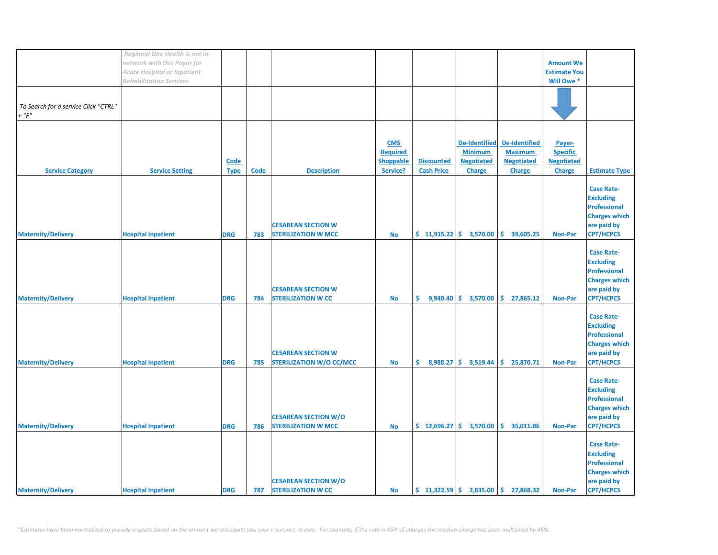|                                      | Regional One Health is not in- |             |             |                                 |            |                   |                                                |                                                        |                     |                      |
|--------------------------------------|--------------------------------|-------------|-------------|---------------------------------|------------|-------------------|------------------------------------------------|--------------------------------------------------------|---------------------|----------------------|
|                                      | network with this Payor for    |             |             |                                 |            |                   |                                                |                                                        | <b>Amount We</b>    |                      |
|                                      | Acute Hospital or Inpatient    |             |             |                                 |            |                   |                                                |                                                        | <b>Estimate You</b> |                      |
|                                      | <b>Rehabilitation Services</b> |             |             |                                 |            |                   |                                                |                                                        | Will Owe *          |                      |
|                                      |                                |             |             |                                 |            |                   |                                                |                                                        |                     |                      |
|                                      |                                |             |             |                                 |            |                   |                                                |                                                        |                     |                      |
| To Search for a service Click "CTRL" |                                |             |             |                                 |            |                   |                                                |                                                        |                     |                      |
| $+$ " $F$ "                          |                                |             |             |                                 |            |                   |                                                |                                                        |                     |                      |
|                                      |                                |             |             |                                 |            |                   |                                                |                                                        |                     |                      |
|                                      |                                |             |             |                                 |            |                   |                                                |                                                        |                     |                      |
|                                      |                                |             |             |                                 |            |                   |                                                |                                                        |                     |                      |
|                                      |                                |             |             |                                 | <b>CMS</b> |                   | <b>De-Identified</b>                           | De-Identified                                          | Payer-              |                      |
|                                      |                                |             |             |                                 | Required   |                   | <b>Minimum</b>                                 | <b>Maximum</b>                                         | <b>Specific</b>     |                      |
|                                      |                                | <b>Code</b> |             |                                 | Shoppable  | <b>Discounted</b> | <b>Negotiated</b>                              | <b>Negotiated</b>                                      | <b>Negotiated</b>   |                      |
| <b>Service Category</b>              | <b>Service Setting</b>         | <b>Type</b> | <b>Code</b> | <b>Description</b>              | Service?   | <b>Cash Price</b> | <b>Charge</b>                                  | <b>Charge</b>                                          | Charge              | <b>Estimate Type</b> |
|                                      |                                |             |             |                                 |            |                   |                                                |                                                        |                     |                      |
|                                      |                                |             |             |                                 |            |                   |                                                |                                                        |                     | <b>Case Rate-</b>    |
|                                      |                                |             |             |                                 |            |                   |                                                |                                                        |                     | <b>Excluding</b>     |
|                                      |                                |             |             |                                 |            |                   |                                                |                                                        |                     | <b>Professional</b>  |
|                                      |                                |             |             |                                 |            |                   |                                                |                                                        |                     | <b>Charges which</b> |
|                                      |                                |             |             |                                 |            |                   |                                                |                                                        |                     |                      |
|                                      |                                |             |             | <b>CESAREAN SECTION W</b>       |            |                   |                                                |                                                        |                     | are paid by          |
| <b>Maternity/Delivery</b>            | <b>Hospital Inpatient</b>      | <b>DRG</b>  | 783         | <b>STERILIZATION W MCC</b>      | <b>No</b>  |                   | $$11,915.22 \mid $3,570.00$                    | \$39,605.25                                            | <b>Non-Par</b>      | <b>CPT/HCPCS</b>     |
|                                      |                                |             |             |                                 |            |                   |                                                |                                                        |                     |                      |
|                                      |                                |             |             |                                 |            |                   |                                                |                                                        |                     | <b>Case Rate-</b>    |
|                                      |                                |             |             |                                 |            |                   |                                                |                                                        |                     | <b>Excluding</b>     |
|                                      |                                |             |             |                                 |            |                   |                                                |                                                        |                     | <b>Professional</b>  |
|                                      |                                |             |             |                                 |            |                   |                                                |                                                        |                     | <b>Charges which</b> |
|                                      |                                |             |             | <b>CESAREAN SECTION W</b>       |            |                   |                                                |                                                        |                     | are paid by          |
| <b>Maternity/Delivery</b>            | <b>Hospital Inpatient</b>      | <b>DRG</b>  | 784         | <b>STERILIZATION W CC</b>       | <b>No</b>  | \$.               | $9,940.40 \div 3,570.00$                       | \$.<br>27,865.12                                       | <b>Non-Par</b>      | <b>CPT/HCPCS</b>     |
|                                      |                                |             |             |                                 |            |                   |                                                |                                                        |                     |                      |
|                                      |                                |             |             |                                 |            |                   |                                                |                                                        |                     |                      |
|                                      |                                |             |             |                                 |            |                   |                                                |                                                        |                     | <b>Case Rate-</b>    |
|                                      |                                |             |             |                                 |            |                   |                                                |                                                        |                     | <b>Excluding</b>     |
|                                      |                                |             |             |                                 |            |                   |                                                |                                                        |                     | Professional         |
|                                      |                                |             |             |                                 |            |                   |                                                |                                                        |                     | <b>Charges which</b> |
|                                      |                                |             |             | <b>CESAREAN SECTION W</b>       |            |                   |                                                |                                                        |                     | are paid by          |
| <b>Maternity/Delivery</b>            | <b>Hospital Inpatient</b>      | <b>DRG</b>  | 785         | <b>STERILIZATION W/O CC/MCC</b> | <b>No</b>  | \$.               | $8,988.27$ \$ 3,519.44                         | \$.<br>25,870.71                                       | <b>Non-Par</b>      | <b>CPT/HCPCS</b>     |
|                                      |                                |             |             |                                 |            |                   |                                                |                                                        |                     |                      |
|                                      |                                |             |             |                                 |            |                   |                                                |                                                        |                     | <b>Case Rate-</b>    |
|                                      |                                |             |             |                                 |            |                   |                                                |                                                        |                     | <b>Excluding</b>     |
|                                      |                                |             |             |                                 |            |                   |                                                |                                                        |                     | <b>Professional</b>  |
|                                      |                                |             |             |                                 |            |                   |                                                |                                                        |                     | <b>Charges which</b> |
|                                      |                                |             |             |                                 |            |                   |                                                |                                                        |                     |                      |
|                                      |                                |             |             | <b>CESAREAN SECTION W/O</b>     |            |                   |                                                |                                                        |                     | are paid by          |
| <b>Maternity/Delivery</b>            | <b>Hospital Inpatient</b>      | <b>DRG</b>  | 786         | <b>STERILIZATION W MCC</b>      | <b>No</b>  |                   | $\frac{1}{2}$ 12,696.27 $\frac{1}{2}$ 3,570.00 | \$35,011.06                                            | <b>Non-Par</b>      | <b>CPT/HCPCS</b>     |
|                                      |                                |             |             |                                 |            |                   |                                                |                                                        |                     |                      |
|                                      |                                |             |             |                                 |            |                   |                                                |                                                        |                     | <b>Case Rate-</b>    |
|                                      |                                |             |             |                                 |            |                   |                                                |                                                        |                     | <b>Excluding</b>     |
|                                      |                                |             |             |                                 |            |                   |                                                |                                                        |                     | <b>Professional</b>  |
|                                      |                                |             |             |                                 |            |                   |                                                |                                                        |                     | <b>Charges which</b> |
|                                      |                                |             |             | <b>CESAREAN SECTION W/O</b>     |            |                   |                                                |                                                        |                     | are paid by          |
| <b>Maternity/Delivery</b>            | <b>Hospital Inpatient</b>      | <b>DRG</b>  | 787         | <b>STERILIZATION W CC</b>       | <b>No</b>  |                   |                                                | $\binom{1322.59}{5}$ 2,835.00 $\binom{1}{2}$ 27,868.32 | <b>Non-Par</b>      | <b>CPT/HCPCS</b>     |
|                                      |                                |             |             |                                 |            |                   |                                                |                                                        |                     |                      |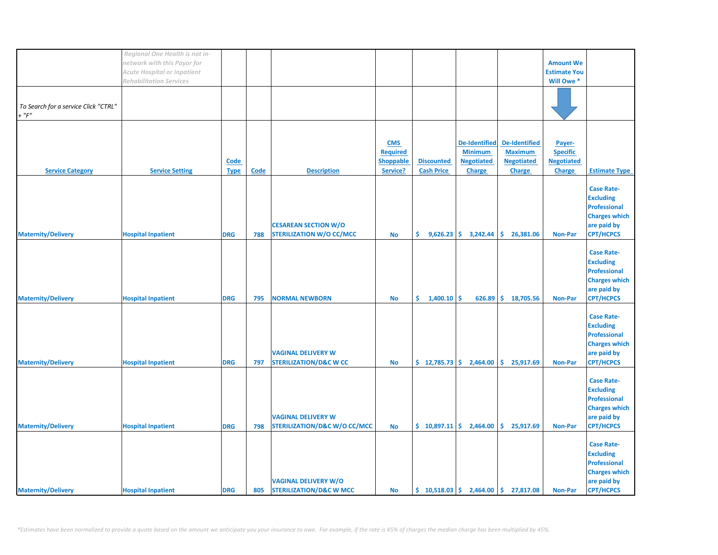|                                      | Regional One Health is not in-     |             |             |                                         |                 |                      |                                                 |                                                                            |                     |                      |
|--------------------------------------|------------------------------------|-------------|-------------|-----------------------------------------|-----------------|----------------------|-------------------------------------------------|----------------------------------------------------------------------------|---------------------|----------------------|
|                                      | network with this Payor for        |             |             |                                         |                 |                      |                                                 |                                                                            | <b>Amount We</b>    |                      |
|                                      | <b>Acute Hospital or Inpatient</b> |             |             |                                         |                 |                      |                                                 |                                                                            | <b>Estimate You</b> |                      |
|                                      | <b>Rehabilitation Services</b>     |             |             |                                         |                 |                      |                                                 |                                                                            | Will Owe *          |                      |
|                                      |                                    |             |             |                                         |                 |                      |                                                 |                                                                            |                     |                      |
|                                      |                                    |             |             |                                         |                 |                      |                                                 |                                                                            |                     |                      |
| To Search for a service Click "CTRL" |                                    |             |             |                                         |                 |                      |                                                 |                                                                            |                     |                      |
| $+$ " $F$ "                          |                                    |             |             |                                         |                 |                      |                                                 |                                                                            |                     |                      |
|                                      |                                    |             |             |                                         |                 |                      |                                                 |                                                                            |                     |                      |
|                                      |                                    |             |             |                                         |                 |                      |                                                 |                                                                            |                     |                      |
|                                      |                                    |             |             |                                         |                 |                      |                                                 |                                                                            |                     |                      |
|                                      |                                    |             |             |                                         | <b>CMS</b>      |                      | <b>De-Identified</b>                            | De-Identified                                                              | Payer-              |                      |
|                                      |                                    |             |             |                                         | <b>Required</b> |                      | <b>Minimum</b>                                  | <b>Maximum</b>                                                             | <b>Specific</b>     |                      |
|                                      |                                    | Code        |             |                                         | Shoppable       | <b>Discounted</b>    | <b>Negotiated</b>                               | <b>Negotiated</b>                                                          | <b>Negotiated</b>   |                      |
| <b>Service Category</b>              | <b>Service Setting</b>             | <b>Type</b> | <b>Code</b> | <b>Description</b>                      | Service?        | <b>Cash Price</b>    | <b>Charge</b>                                   | <b>Charge</b>                                                              | <b>Charge</b>       | <b>Estimate Type</b> |
|                                      |                                    |             |             |                                         |                 |                      |                                                 |                                                                            |                     |                      |
|                                      |                                    |             |             |                                         |                 |                      |                                                 |                                                                            |                     | <b>Case Rate-</b>    |
|                                      |                                    |             |             |                                         |                 |                      |                                                 |                                                                            |                     | <b>Excluding</b>     |
|                                      |                                    |             |             |                                         |                 |                      |                                                 |                                                                            |                     | <b>Professional</b>  |
|                                      |                                    |             |             |                                         |                 |                      |                                                 |                                                                            |                     | <b>Charges which</b> |
|                                      |                                    |             |             |                                         |                 |                      |                                                 |                                                                            |                     |                      |
|                                      |                                    |             |             | <b>CESAREAN SECTION W/O</b>             |                 |                      |                                                 |                                                                            |                     | are paid by          |
| <b>Maternity/Delivery</b>            | <b>Hospital Inpatient</b>          | <b>DRG</b>  | 788         | <b>STERILIZATION W/O CC/MCC</b>         | <b>No</b>       |                      | $\binom{6}{5}$ 9,626.23 $\binom{6}{5}$ 3,242.44 | \$26,381.06                                                                | <b>Non-Par</b>      | <b>CPT/HCPCS</b>     |
|                                      |                                    |             |             |                                         |                 |                      |                                                 |                                                                            |                     |                      |
|                                      |                                    |             |             |                                         |                 |                      |                                                 |                                                                            |                     | <b>Case Rate-</b>    |
|                                      |                                    |             |             |                                         |                 |                      |                                                 |                                                                            |                     | <b>Excluding</b>     |
|                                      |                                    |             |             |                                         |                 |                      |                                                 |                                                                            |                     | <b>Professional</b>  |
|                                      |                                    |             |             |                                         |                 |                      |                                                 |                                                                            |                     | <b>Charges which</b> |
|                                      |                                    |             |             |                                         |                 |                      |                                                 |                                                                            |                     | are paid by          |
| <b>Maternity/Delivery</b>            | <b>Hospital Inpatient</b>          | <b>DRG</b>  | 795         | <b>NORMAL NEWBORN</b>                   | <b>No</b>       | \$.<br>$1,400.10$ \$ | 626.89                                          | \$.<br>18,705.56                                                           | <b>Non-Par</b>      | <b>CPT/HCPCS</b>     |
|                                      |                                    |             |             |                                         |                 |                      |                                                 |                                                                            |                     |                      |
|                                      |                                    |             |             |                                         |                 |                      |                                                 |                                                                            |                     |                      |
|                                      |                                    |             |             |                                         |                 |                      |                                                 |                                                                            |                     | <b>Case Rate-</b>    |
|                                      |                                    |             |             |                                         |                 |                      |                                                 |                                                                            |                     | <b>Excluding</b>     |
|                                      |                                    |             |             |                                         |                 |                      |                                                 |                                                                            |                     | <b>Professional</b>  |
|                                      |                                    |             |             |                                         |                 |                      |                                                 |                                                                            |                     | <b>Charges which</b> |
|                                      |                                    |             |             | <b>VAGINAL DELIVERY W</b>               |                 |                      |                                                 |                                                                            |                     | are paid by          |
| <b>Maternity/Delivery</b>            | <b>Hospital Inpatient</b>          | <b>DRG</b>  | 797         | <b>STERILIZATION/D&amp;C W CC</b>       | <b>No</b>       |                      | $\frac{1}{2}$ 12,785.73 $\frac{1}{2}$ 2,464.00  | \$.<br>25,917.69                                                           | <b>Non-Par</b>      | <b>CPT/HCPCS</b>     |
|                                      |                                    |             |             |                                         |                 |                      |                                                 |                                                                            |                     |                      |
|                                      |                                    |             |             |                                         |                 |                      |                                                 |                                                                            |                     | <b>Case Rate-</b>    |
|                                      |                                    |             |             |                                         |                 |                      |                                                 |                                                                            |                     | <b>Excluding</b>     |
|                                      |                                    |             |             |                                         |                 |                      |                                                 |                                                                            |                     |                      |
|                                      |                                    |             |             |                                         |                 |                      |                                                 |                                                                            |                     | <b>Professional</b>  |
|                                      |                                    |             |             |                                         |                 |                      |                                                 |                                                                            |                     | <b>Charges which</b> |
|                                      |                                    |             |             | <b>VAGINAL DELIVERY W</b>               |                 |                      |                                                 |                                                                            |                     | are paid by          |
| <b>Maternity/Delivery</b>            | <b>Hospital Inpatient</b>          | <b>DRG</b>  | 798         | <b>STERILIZATION/D&amp;C W/O CC/MCC</b> | <b>No</b>       |                      | $\frac{1}{2}$ 10,897.11 $\frac{1}{2}$ 2,464.00  | \$25,917.69                                                                | <b>Non-Par</b>      | <b>CPT/HCPCS</b>     |
|                                      |                                    |             |             |                                         |                 |                      |                                                 |                                                                            |                     |                      |
|                                      |                                    |             |             |                                         |                 |                      |                                                 |                                                                            |                     | <b>Case Rate-</b>    |
|                                      |                                    |             |             |                                         |                 |                      |                                                 |                                                                            |                     | <b>Excluding</b>     |
|                                      |                                    |             |             |                                         |                 |                      |                                                 |                                                                            |                     | <b>Professional</b>  |
|                                      |                                    |             |             |                                         |                 |                      |                                                 |                                                                            |                     | <b>Charges which</b> |
|                                      |                                    |             |             | <b>VAGINAL DELIVERY W/O</b>             |                 |                      |                                                 |                                                                            |                     | are paid by          |
|                                      |                                    |             |             |                                         |                 |                      |                                                 |                                                                            |                     |                      |
| <b>Maternity/Delivery</b>            | <b>Hospital Inpatient</b>          | <b>DRG</b>  | 805         | <b>STERILIZATION/D&amp;C W MCC</b>      | <b>No</b>       |                      |                                                 | $\binom{10}{5}$ 10,518.03 $\binom{2}{1}$ 2,464.00 $\binom{2}{3}$ 27,817.08 | <b>Non-Par</b>      | <b>CPT/HCPCS</b>     |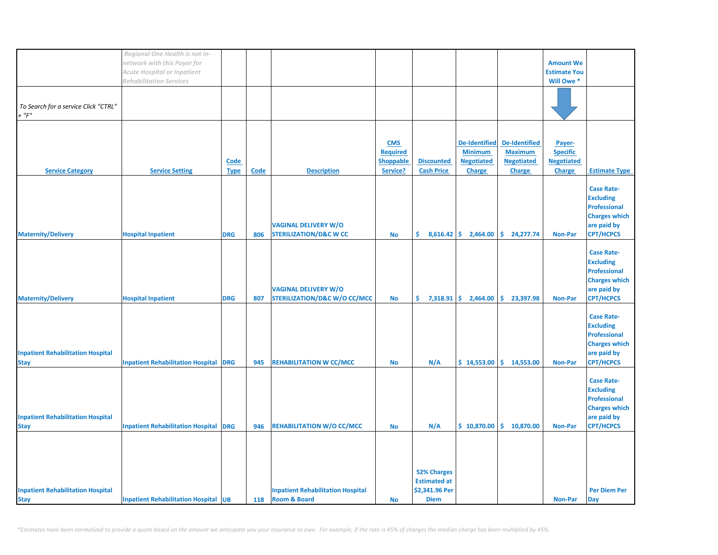|                                                         | Regional One Health is not in-<br>network with this Payor for |                            |             |                                                                        |                                                               |                                                                            |                                                                              |                                                                              | <b>Amount We</b>                                                |                                                                                                                         |
|---------------------------------------------------------|---------------------------------------------------------------|----------------------------|-------------|------------------------------------------------------------------------|---------------------------------------------------------------|----------------------------------------------------------------------------|------------------------------------------------------------------------------|------------------------------------------------------------------------------|-----------------------------------------------------------------|-------------------------------------------------------------------------------------------------------------------------|
|                                                         | Acute Hospital or Inpatient<br><b>Rehabilitation Services</b> |                            |             |                                                                        |                                                               |                                                                            |                                                                              |                                                                              | <b>Estimate You</b><br>Will Owe *                               |                                                                                                                         |
| To Search for a service Click "CTRL"<br>+ "F"           |                                                               |                            |             |                                                                        |                                                               |                                                                            |                                                                              |                                                                              |                                                                 |                                                                                                                         |
| <b>Service Category</b>                                 | <b>Service Setting</b>                                        | <b>Code</b><br><b>Type</b> | <b>Code</b> | <b>Description</b>                                                     | <b>CMS</b><br><b>Required</b><br><b>Shoppable</b><br>Service? | <b>Discounted</b><br><b>Cash Price</b>                                     | <b>De-Identified</b><br><b>Minimum</b><br><b>Negotiated</b><br><b>Charge</b> | <b>De-Identified</b><br><b>Maximum</b><br><b>Negotiated</b><br><b>Charge</b> | Payer-<br><b>Specific</b><br><b>Negotiated</b><br><b>Charge</b> | <b>Estimate Type</b>                                                                                                    |
| <b>Maternity/Delivery</b>                               | <b>Hospital Inpatient</b>                                     | <b>DRG</b>                 | 806         | <b>VAGINAL DELIVERY W/O</b><br><b>STERILIZATION/D&amp;C W CC</b>       | <b>No</b>                                                     | \$.                                                                        | $8,616.42$ \$ 2,464.00                                                       | \$.<br>24,277.74                                                             | <b>Non-Par</b>                                                  | <b>Case Rate-</b><br><b>Excluding</b><br><b>Professional</b><br><b>Charges which</b><br>are paid by<br><b>CPT/HCPCS</b> |
| <b>Maternity/Delivery</b>                               | <b>Hospital Inpatient</b>                                     | <b>DRG</b>                 | 807         | <b>VAGINAL DELIVERY W/O</b><br><b>STERILIZATION/D&amp;C W/O CC/MCC</b> | <b>No</b>                                                     | \$.                                                                        | $7,318.91$ \$ 2,464.00                                                       | \$.<br>23,397.98                                                             | <b>Non-Par</b>                                                  | <b>Case Rate-</b><br><b>Excluding</b><br><b>Professional</b><br><b>Charges which</b><br>are paid by<br><b>CPT/HCPCS</b> |
| <b>Inpatient Rehabilitation Hospital</b><br><b>Stay</b> | <b>Inpatient Rehabilitation Hospital</b>                      | <b>DRG</b>                 | 945         | <b>REHABILITATION W CC/MCC</b>                                         | <b>No</b>                                                     | N/A                                                                        | \$14,553.00                                                                  | \$14,553.00                                                                  | <b>Non-Par</b>                                                  | <b>Case Rate-</b><br><b>Excluding</b><br><b>Professional</b><br><b>Charges which</b><br>are paid by<br><b>CPT/HCPCS</b> |
| <b>Inpatient Rehabilitation Hospital</b><br><b>Stay</b> | <b>Inpatient Rehabilitation Hospital</b>                      | <b>DRG</b>                 | 946         | <b>REHABILITATION W/O CC/MCC</b>                                       | <b>No</b>                                                     | N/A                                                                        | \$10,870.00                                                                  | \$.<br>10,870.00                                                             | <b>Non-Par</b>                                                  | <b>Case Rate-</b><br><b>Excluding</b><br><b>Professional</b><br><b>Charges which</b><br>are paid by<br><b>CPT/HCPCS</b> |
| <b>Inpatient Rehabilitation Hospital</b><br><b>Stay</b> | <b>Inpatient Rehabilitation Hospital UB</b>                   |                            | 118         | <b>Inpatient Rehabilitation Hospital</b><br><b>Room &amp; Board</b>    | <b>No</b>                                                     | <b>52% Charges</b><br><b>Estimated at</b><br>\$2,341.96 Per<br><b>Diem</b> |                                                                              |                                                                              | Non-Par                                                         | <b>Per Diem Per</b><br><b>Day</b>                                                                                       |

*\*Estimates have been normalized to provide a quote based on the amount we anticipate you your insurance to owe. For example, if the rate is 45% of charges the median charge has been multiplied by 45%.*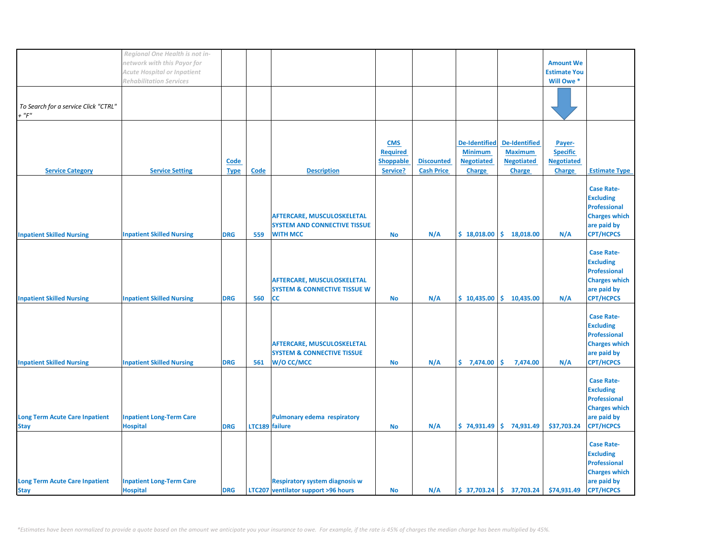|                                                      | Regional One Health is not in-                     |             |                |                                                                              |                  |                   |                      |                                        |                           |                                       |
|------------------------------------------------------|----------------------------------------------------|-------------|----------------|------------------------------------------------------------------------------|------------------|-------------------|----------------------|----------------------------------------|---------------------------|---------------------------------------|
|                                                      | network with this Payor for                        |             |                |                                                                              |                  |                   |                      |                                        | <b>Amount We</b>          |                                       |
|                                                      | Acute Hospital or Inpatient                        |             |                |                                                                              |                  |                   |                      |                                        | <b>Estimate You</b>       |                                       |
|                                                      | <b>Rehabilitation Services</b>                     |             |                |                                                                              |                  |                   |                      |                                        | Will Owe *                |                                       |
|                                                      |                                                    |             |                |                                                                              |                  |                   |                      |                                        |                           |                                       |
| To Search for a service Click "CTRL"                 |                                                    |             |                |                                                                              |                  |                   |                      |                                        |                           |                                       |
| $+$ " $F$ "                                          |                                                    |             |                |                                                                              |                  |                   |                      |                                        |                           |                                       |
|                                                      |                                                    |             |                |                                                                              |                  |                   |                      |                                        |                           |                                       |
|                                                      |                                                    |             |                |                                                                              | <b>CMS</b>       |                   | <b>De-Identified</b> | <b>De-Identified</b>                   |                           |                                       |
|                                                      |                                                    |             |                |                                                                              | <b>Required</b>  |                   | <b>Minimum</b>       | <b>Maximum</b>                         | Payer-<br><b>Specific</b> |                                       |
|                                                      |                                                    | <b>Code</b> |                |                                                                              | <b>Shoppable</b> | <b>Discounted</b> | <b>Negotiated</b>    | <b>Negotiated</b>                      | <b>Negotiated</b>         |                                       |
| <b>Service Category</b>                              | <b>Service Setting</b>                             | <b>Type</b> | <b>Code</b>    | <b>Description</b>                                                           | Service?         | <b>Cash Price</b> | <b>Charge</b>        | <b>Charge</b>                          | <b>Charge</b>             | <b>Estimate Type</b>                  |
|                                                      |                                                    |             |                |                                                                              |                  |                   |                      |                                        |                           |                                       |
|                                                      |                                                    |             |                |                                                                              |                  |                   |                      |                                        |                           | <b>Case Rate-</b>                     |
|                                                      |                                                    |             |                |                                                                              |                  |                   |                      |                                        |                           | <b>Excluding</b>                      |
|                                                      |                                                    |             |                |                                                                              |                  |                   |                      |                                        |                           | <b>Professional</b>                   |
|                                                      |                                                    |             |                | <b>AFTERCARE, MUSCULOSKELETAL</b>                                            |                  |                   |                      |                                        |                           | <b>Charges which</b>                  |
|                                                      |                                                    |             |                | <b>SYSTEM AND CONNECTIVE TISSUE</b>                                          |                  |                   |                      |                                        |                           | are paid by                           |
| <b>Inpatient Skilled Nursing</b>                     | <b>Inpatient Skilled Nursing</b>                   | <b>DRG</b>  | 559            | <b>WITH MCC</b>                                                              | <b>No</b>        | N/A               |                      | $$18,018.00 \mid $18,018.00$           | N/A                       | <b>CPT/HCPCS</b>                      |
|                                                      |                                                    |             |                |                                                                              |                  |                   |                      |                                        |                           |                                       |
|                                                      |                                                    |             |                |                                                                              |                  |                   |                      |                                        |                           | <b>Case Rate-</b><br><b>Excluding</b> |
|                                                      |                                                    |             |                |                                                                              |                  |                   |                      |                                        |                           | <b>Professional</b>                   |
|                                                      |                                                    |             |                | AFTERCARE, MUSCULOSKELETAL                                                   |                  |                   |                      |                                        |                           | <b>Charges which</b>                  |
|                                                      |                                                    |             |                | <b>SYSTEM &amp; CONNECTIVE TISSUE W</b>                                      |                  |                   |                      |                                        |                           | are paid by                           |
| <b>Inpatient Skilled Nursing</b>                     | <b>Inpatient Skilled Nursing</b>                   | <b>DRG</b>  | 560            | <b>CC</b>                                                                    | <b>No</b>        | N/A               | \$10,435.00          | \$.<br>10,435.00                       | N/A                       | <b>CPT/HCPCS</b>                      |
|                                                      |                                                    |             |                |                                                                              |                  |                   |                      |                                        |                           |                                       |
|                                                      |                                                    |             |                |                                                                              |                  |                   |                      |                                        |                           | <b>Case Rate-</b>                     |
|                                                      |                                                    |             |                |                                                                              |                  |                   |                      |                                        |                           | <b>Excluding</b>                      |
|                                                      |                                                    |             |                |                                                                              |                  |                   |                      |                                        |                           | <b>Professional</b>                   |
|                                                      |                                                    |             |                | AFTERCARE, MUSCULOSKELETAL                                                   |                  |                   |                      |                                        |                           | <b>Charges which</b>                  |
|                                                      |                                                    |             |                | <b>SYSTEM &amp; CONNECTIVE TISSUE</b>                                        |                  |                   |                      |                                        |                           | are paid by                           |
| <b>Inpatient Skilled Nursing</b>                     | <b>Inpatient Skilled Nursing</b>                   | <b>DRG</b>  | 561            | W/O CC/MCC                                                                   | <b>No</b>        | N/A               | \$7,474.00           | \$.<br>7,474.00                        | N/A                       | <b>CPT/HCPCS</b>                      |
|                                                      |                                                    |             |                |                                                                              |                  |                   |                      |                                        |                           | <b>Case Rate-</b>                     |
|                                                      |                                                    |             |                |                                                                              |                  |                   |                      |                                        |                           | <b>Excluding</b>                      |
|                                                      |                                                    |             |                |                                                                              |                  |                   |                      |                                        |                           | <b>Professional</b>                   |
|                                                      |                                                    |             |                |                                                                              |                  |                   |                      |                                        |                           | <b>Charges which</b>                  |
| <b>Long Term Acute Care Inpatient</b>                | <b>Inpatient Long-Term Care</b>                    |             |                | <b>Pulmonary edema respiratory</b>                                           |                  |                   |                      |                                        |                           | are paid by                           |
| <b>Stay</b>                                          | <b>Hospital</b>                                    | <b>DRG</b>  | LTC189 failure |                                                                              | <b>No</b>        | N/A               |                      | $$74,931.49 \mid $74,931.49$           | \$37,703.24               | <b>CPT/HCPCS</b>                      |
|                                                      |                                                    |             |                |                                                                              |                  |                   |                      |                                        |                           |                                       |
|                                                      |                                                    |             |                |                                                                              |                  |                   |                      |                                        |                           | <b>Case Rate-</b>                     |
|                                                      |                                                    |             |                |                                                                              |                  |                   |                      |                                        |                           | <b>Excluding</b>                      |
|                                                      |                                                    |             |                |                                                                              |                  |                   |                      |                                        |                           | <b>Professional</b>                   |
|                                                      |                                                    |             |                |                                                                              |                  |                   |                      |                                        |                           | <b>Charges which</b>                  |
| <b>Long Term Acute Care Inpatient</b><br><b>Stay</b> | <b>Inpatient Long-Term Care</b><br><b>Hospital</b> | <b>DRG</b>  |                | <b>Respiratory system diagnosis w</b><br>LTC207 ventilator support >96 hours | <b>No</b>        | N/A               |                      | $$37,703.24$ $$37,703.24$ $$74,931.49$ |                           | are paid by<br><b>CPT/HCPCS</b>       |
|                                                      |                                                    |             |                |                                                                              |                  |                   |                      |                                        |                           |                                       |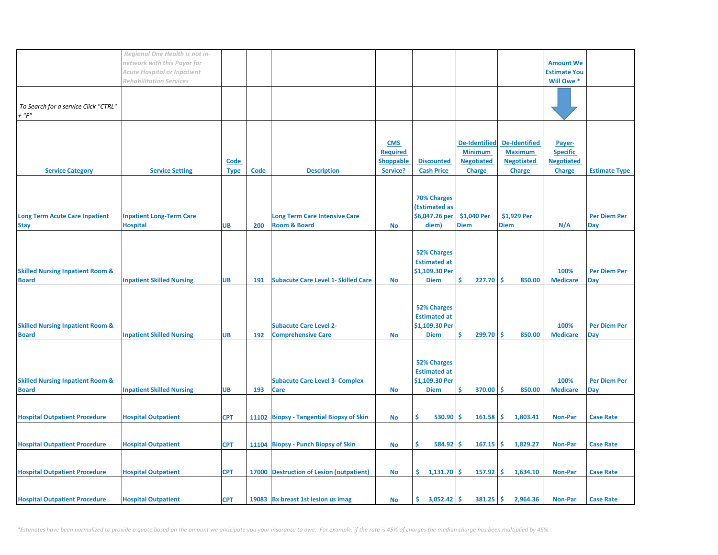|                                                             | Regional One Health is not in-<br>network with this Payor for<br><b>Acute Hospital or Inpatient</b><br><b>Rehabilitation Services</b> |                     |      |                                                                 |                                                               |                                                                            |                                                                              |                                                                              | <b>Amount We</b><br><b>Estimate You</b><br>Will Owe *           |                                   |
|-------------------------------------------------------------|---------------------------------------------------------------------------------------------------------------------------------------|---------------------|------|-----------------------------------------------------------------|---------------------------------------------------------------|----------------------------------------------------------------------------|------------------------------------------------------------------------------|------------------------------------------------------------------------------|-----------------------------------------------------------------|-----------------------------------|
| To Search for a service Click "CTRL"<br>+ "F"               |                                                                                                                                       |                     |      |                                                                 |                                                               |                                                                            |                                                                              |                                                                              |                                                                 |                                   |
| <b>Service Category</b>                                     | <b>Service Setting</b>                                                                                                                | Code<br><b>Type</b> | Code | <b>Description</b>                                              | <b>CMS</b><br><b>Required</b><br><b>Shoppable</b><br>Service? | <b>Discounted</b><br><b>Cash Price</b>                                     | <b>De-Identified</b><br><b>Minimum</b><br><b>Negotiated</b><br><b>Charge</b> | <b>De-Identified</b><br><b>Maximum</b><br><b>Negotiated</b><br><b>Charge</b> | Payer-<br><b>Specific</b><br><b>Negotiated</b><br><b>Charge</b> | <b>Estimate Type</b>              |
| <b>Long Term Acute Care Inpatient</b><br><b>Stay</b>        | <b>Inpatient Long-Term Care</b><br><b>Hospital</b>                                                                                    | <b>UB</b>           | 200  | <b>Long Term Care Intensive Care</b><br><b>Room &amp; Board</b> | No                                                            | <b>70% Charges</b><br>(Estimated as<br>\$6,047.26 per<br>diem)             | \$1,040 Per<br><b>Diem</b>                                                   | \$1,929 Per<br><b>Diem</b>                                                   | N/A                                                             | <b>Per Diem Per</b><br><b>Day</b> |
| <b>Skilled Nursing Inpatient Room &amp;</b><br><b>Board</b> | <b>Inpatient Skilled Nursing</b>                                                                                                      | <b>UB</b>           | 191  | <b>Subacute Care Level 1- Skilled Care</b>                      | <b>No</b>                                                     | <b>52% Charges</b><br><b>Estimated at</b><br>\$1,109.30 Per<br><b>Diem</b> | Ś<br>227.70                                                                  | \$.<br>850.00                                                                | 100%<br><b>Medicare</b>                                         | <b>Per Diem Per</b><br><b>Day</b> |
| <b>Skilled Nursing Inpatient Room &amp;</b><br><b>Board</b> | <b>Inpatient Skilled Nursing</b>                                                                                                      | <b>UB</b>           | 192  | <b>Subacute Care Level 2-</b><br><b>Comprehensive Care</b>      | <b>No</b>                                                     | <b>52% Charges</b><br><b>Estimated at</b><br>\$1,109.30 Per<br><b>Diem</b> | \$<br>299.70                                                                 | -\$<br>850.00                                                                | 100%<br><b>Medicare</b>                                         | <b>Per Diem Per</b><br><b>Day</b> |
| <b>Skilled Nursing Inpatient Room &amp;</b><br><b>Board</b> | <b>Inpatient Skilled Nursing</b>                                                                                                      | <b>UB</b>           | 193  | <b>Subacute Care Level 3- Complex</b><br><b>Care</b>            | <b>No</b>                                                     | <b>52% Charges</b><br><b>Estimated at</b><br>\$1,109.30 Per<br><b>Diem</b> | Ś<br>370.00                                                                  | -\$<br>850.00                                                                | 100%<br><b>Medicare</b>                                         | <b>Per Diem Per</b><br><b>Day</b> |
| <b>Hospital Outpatient Procedure</b>                        | <b>Hospital Outpatient</b>                                                                                                            | <b>CPT</b>          |      | 11102 Biopsy - Tangential Biopsy of Skin                        | <b>No</b>                                                     | Ŝ.<br>530.90                                                               | 161.58<br>Ś                                                                  | Ś<br>1,803.41                                                                | <b>Non-Par</b>                                                  | <b>Case Rate</b>                  |
| <b>Hospital Outpatient Procedure</b>                        | <b>Hospital Outpatient</b>                                                                                                            | <b>CPT</b>          |      | 11104 Biopsy - Punch Biopsy of Skin                             | <b>No</b>                                                     | Ŝ.<br>584.92                                                               | \$<br>167.15                                                                 | \$<br>1,829.27                                                               | <b>Non-Par</b>                                                  | <b>Case Rate</b>                  |
| <b>Hospital Outpatient Procedure</b>                        | <b>Hospital Outpatient</b>                                                                                                            | <b>CPT</b>          |      | 17000 Destruction of Lesion (outpatient)                        | No                                                            | \$1,131.70                                                                 | \$.<br>157.92                                                                | Ŝ.<br>1,634.10                                                               | <b>Non-Par</b>                                                  | <b>Case Rate</b>                  |
| <b>Hospital Outpatient Procedure</b>                        | <b>Hospital Outpatient</b>                                                                                                            | <b>CPT</b>          |      | 19083 Bx breast 1st lesion us imag                              | <b>No</b>                                                     | 3,052.42<br>\$.                                                            | \$<br>381.25                                                                 | \$.<br>2,964.36                                                              | <b>Non-Par</b>                                                  | <b>Case Rate</b>                  |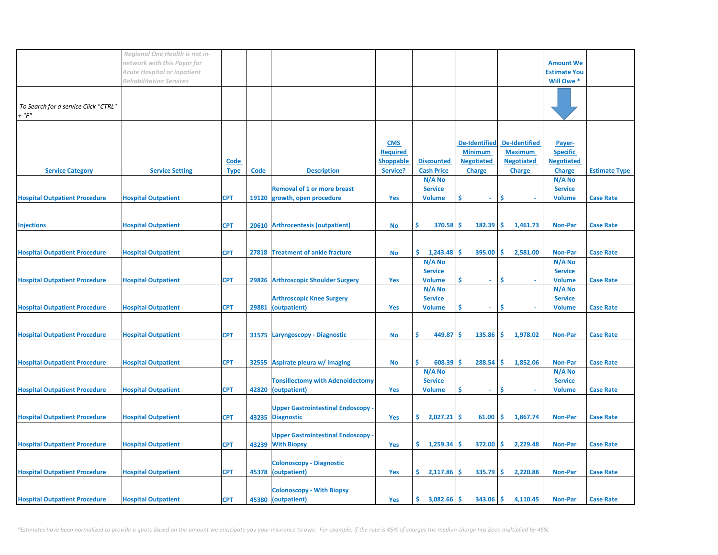|                                                         | Regional One Health is not in-<br>network with this Payor for        |                     |             |                                                                    |                                                               |                                           |                                                                              |                                                                              | <b>Amount We</b>                                                |                      |
|---------------------------------------------------------|----------------------------------------------------------------------|---------------------|-------------|--------------------------------------------------------------------|---------------------------------------------------------------|-------------------------------------------|------------------------------------------------------------------------------|------------------------------------------------------------------------------|-----------------------------------------------------------------|----------------------|
|                                                         | <b>Acute Hospital or Inpatient</b><br><b>Rehabilitation Services</b> |                     |             |                                                                    |                                                               |                                           |                                                                              |                                                                              | <b>Estimate You</b><br>Will Owe *                               |                      |
| To Search for a service Click "CTRL"<br>$\cdot$ " $F$ " |                                                                      |                     |             |                                                                    |                                                               |                                           |                                                                              |                                                                              |                                                                 |                      |
| <b>Service Category</b>                                 | <b>Service Setting</b>                                               | Code<br><b>Type</b> | <b>Code</b> | <b>Description</b>                                                 | <b>CMS</b><br><b>Required</b><br><b>Shoppable</b><br>Service? | <b>Discounted</b><br><b>Cash Price</b>    | <b>De-Identified</b><br><b>Minimum</b><br><b>Negotiated</b><br><b>Charge</b> | <b>De-Identified</b><br><b>Maximum</b><br><b>Negotiated</b><br><b>Charge</b> | Payer-<br><b>Specific</b><br><b>Negotiated</b><br><b>Charge</b> | <b>Estimate Type</b> |
| <b>Hospital Outpatient Procedure</b>                    | <b>Hospital Outpatient</b>                                           | <b>CPT</b>          |             | <b>Removal of 1 or more breast</b><br>19120 growth, open procedure | Yes                                                           | N/A No<br><b>Service</b><br><b>Volume</b> | \$<br>÷.                                                                     | \$                                                                           | N/A No<br><b>Service</b><br><b>Volume</b>                       | <b>Case Rate</b>     |
| <b>Injections</b>                                       | <b>Hospital Outpatient</b>                                           | <b>CPT</b>          |             | 20610 Arthrocentesis (outpatient)                                  | <b>No</b>                                                     | Ŝ<br>370.58                               | 182.39<br>s                                                                  | \$<br>1,461.73                                                               | <b>Non-Par</b>                                                  | <b>Case Rate</b>     |
| <b>Hospital Outpatient Procedure</b>                    | <b>Hospital Outpatient</b>                                           | <b>CPT</b>          |             | 27818 Treatment of ankle fracture                                  | No                                                            | \$.<br>1,243.48<br>N/A No                 | -S<br>395.00                                                                 | Ŝ.<br>2,581.00                                                               | <b>Non-Par</b><br>$N/A$ No                                      | <b>Case Rate</b>     |
| <b>Hospital Outpatient Procedure</b>                    | <b>Hospital Outpatient</b>                                           | <b>CPT</b>          |             | 29826 Arthroscopic Shoulder Surgery                                | Yes                                                           | <b>Service</b><br><b>Volume</b><br>N/A No | S<br>$\omega$                                                                | Ŝ                                                                            | <b>Service</b><br><b>Volume</b><br>N/A No                       | <b>Case Rate</b>     |
| <b>Hospital Outpatient Procedure</b>                    | <b>Hospital Outpatient</b>                                           | <b>CPT</b>          | 29881       | <b>Arthroscopic Knee Surgery</b><br>(outpatient)                   | Yes                                                           | <b>Service</b><br><b>Volume</b>           | \$<br>$\tilde{\phantom{a}}$                                                  | Ŝ                                                                            | <b>Service</b><br><b>Volume</b>                                 | <b>Case Rate</b>     |
| <b>Hospital Outpatient Procedure</b>                    | <b>Hospital Outpatient</b>                                           | <b>CPT</b>          |             | 31575 Laryngoscopy - Diagnostic                                    | No                                                            | Ś<br>449.87                               | 135.86<br>-\$                                                                | -\$<br>1,978.02                                                              | <b>Non-Par</b>                                                  | <b>Case Rate</b>     |
| <b>Hospital Outpatient Procedure</b>                    | <b>Hospital Outpatient</b>                                           | <b>CPT</b>          |             | 32555 Aspirate pleura w/ imaging                                   | No                                                            | Ŝ.<br>608.39<br>N/A No                    | 288.54<br><b>S</b>                                                           | -\$<br>1,852.06                                                              | <b>Non-Par</b><br>N/A No                                        | <b>Case Rate</b>     |
| <b>Hospital Outpatient Procedure</b>                    | <b>Hospital Outpatient</b>                                           | <b>CPT</b>          |             | <b>Tonsillectomy with Adenoidectomy</b><br>42820 (outpatient)      | Yes                                                           | <b>Service</b><br><b>Volume</b>           | S<br>$\overline{\phantom{a}}$                                                | \$                                                                           | <b>Service</b><br><b>Volume</b>                                 | <b>Case Rate</b>     |
| <b>Hospital Outpatient Procedure</b>                    | <b>Hospital Outpatient</b>                                           | <b>CPT</b>          |             | <b>Upper Gastrointestinal Endoscopy</b><br>43235 Diagnostic        | Yes                                                           | \$2,027.21                                | 61.00<br>-\$                                                                 | \$<br>1,867.74                                                               | <b>Non-Par</b>                                                  | <b>Case Rate</b>     |
| <b>Hospital Outpatient Procedure</b>                    | <b>Hospital Outpatient</b>                                           | <b>CPT</b>          |             | <b>Upper Gastrointestinal Endoscopy</b><br>43239 With Biopsy       | Yes                                                           | \$.<br>1,259.34                           | 372.00<br>-\$                                                                | \$<br>2,229.48                                                               | <b>Non-Par</b>                                                  | <b>Case Rate</b>     |
| <b>Hospital Outpatient Procedure</b>                    | <b>Hospital Outpatient</b>                                           | <b>CPT</b>          |             | <b>Colonoscopy - Diagnostic</b><br>45378 (outpatient)              | Yes                                                           | $\frac{2,117.86}{5}$                      | 335.79                                                                       | -\$<br>2,220.88                                                              | <b>Non-Par</b>                                                  | <b>Case Rate</b>     |
| <b>Hospital Outpatient Procedure</b>                    | <b>Hospital Outpatient</b>                                           | <b>CPT</b>          |             | <b>Colonoscopy - With Biopsy</b><br>45380 (outpatient)             | Yes                                                           | 3,082.66<br>\$.                           | 343.06<br>-S                                                                 | \$<br>4,110.45                                                               | <b>Non-Par</b>                                                  | <b>Case Rate</b>     |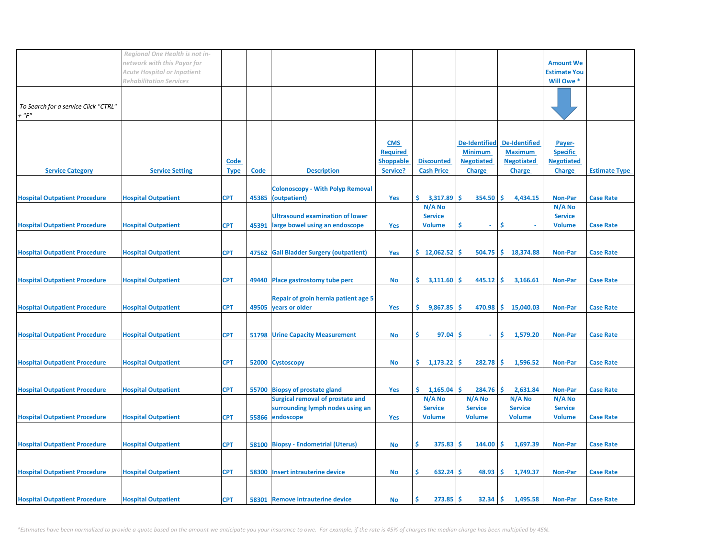|                                               | Regional One Health is not in-<br>network with this Payor for<br><b>Acute Hospital or Inpatient</b> |                            |             |                                                                                                |                                                               |                                           |                                                                              |                                                                              | <b>Amount We</b><br><b>Estimate You</b>                         |                      |
|-----------------------------------------------|-----------------------------------------------------------------------------------------------------|----------------------------|-------------|------------------------------------------------------------------------------------------------|---------------------------------------------------------------|-------------------------------------------|------------------------------------------------------------------------------|------------------------------------------------------------------------------|-----------------------------------------------------------------|----------------------|
|                                               | <b>Rehabilitation Services</b>                                                                      |                            |             |                                                                                                |                                                               |                                           |                                                                              |                                                                              | Will Owe *                                                      |                      |
| To Search for a service Click "CTRL"<br>+ "F" |                                                                                                     |                            |             |                                                                                                |                                                               |                                           |                                                                              |                                                                              |                                                                 |                      |
| <b>Service Category</b>                       | <b>Service Setting</b>                                                                              | <b>Code</b><br><b>Type</b> | <b>Code</b> | <b>Description</b>                                                                             | <b>CMS</b><br><b>Required</b><br><b>Shoppable</b><br>Service? | <b>Discounted</b><br><b>Cash Price</b>    | <b>De-Identified</b><br><b>Minimum</b><br><b>Negotiated</b><br><b>Charge</b> | <b>De-Identified</b><br><b>Maximum</b><br><b>Negotiated</b><br><b>Charge</b> | Payer-<br><b>Specific</b><br><b>Negotiated</b><br><b>Charge</b> | <b>Estimate Type</b> |
| <b>Hospital Outpatient Procedure</b>          | <b>Hospital Outpatient</b>                                                                          | <b>CPT</b>                 |             | <b>Colonoscopy - With Polyp Removal</b><br>45385 (outpatient)                                  | Yes                                                           | Ś.<br>3,317.89                            | 354.50<br>\$.                                                                | \$<br>4,434.15                                                               | <b>Non-Par</b>                                                  | <b>Case Rate</b>     |
| <b>Hospital Outpatient Procedure</b>          | <b>Hospital Outpatient</b>                                                                          | <b>CPT</b>                 | 45391       | <b>Ultrasound examination of lower</b><br>large bowel using an endoscope                       | Yes                                                           | N/A No<br><b>Service</b><br><b>Volume</b> | Ŝ<br>$\omega$                                                                | Ŝ                                                                            | N/A No<br><b>Service</b><br><b>Volume</b>                       | <b>Case Rate</b>     |
| <b>Hospital Outpatient Procedure</b>          | <b>Hospital Outpatient</b>                                                                          | <b>CPT</b>                 |             | 47562 Gall Bladder Surgery (outpatient)                                                        | Yes                                                           | $$12,062.52$ $$$                          |                                                                              | 504.75 \$ 18,374.88                                                          | <b>Non-Par</b>                                                  | <b>Case Rate</b>     |
| <b>Hospital Outpatient Procedure</b>          | <b>Hospital Outpatient</b>                                                                          | <b>CPT</b>                 |             | 49440 Place gastrostomy tube perc                                                              | No                                                            | \$.<br>3,111.60                           | 445.12<br>S                                                                  | -\$<br>3,166.61                                                              | <b>Non-Par</b>                                                  | <b>Case Rate</b>     |
| <b>Hospital Outpatient Procedure</b>          | <b>Hospital Outpatient</b>                                                                          | <b>CPT</b>                 |             | Repair of groin hernia patient age 5<br>49505 years or older                                   | Yes                                                           | \$.<br>9,867.85                           | 470.98<br>-S                                                                 | \$<br>15,040.03                                                              | <b>Non-Par</b>                                                  | <b>Case Rate</b>     |
| <b>Hospital Outpatient Procedure</b>          | <b>Hospital Outpatient</b>                                                                          | <b>CPT</b>                 |             | <b>51798 Urine Capacity Measurement</b>                                                        | No                                                            | Ś<br>97.04                                | -S<br>÷                                                                      | \$<br>1,579.20                                                               | <b>Non-Par</b>                                                  | <b>Case Rate</b>     |
| <b>Hospital Outpatient Procedure</b>          | <b>Hospital Outpatient</b>                                                                          | <b>CPT</b>                 |             | 52000 Cystoscopy                                                                               | No                                                            | \$.<br>$1,173.22$ \$                      | 282.78                                                                       | ι\$<br>1,596.52                                                              | <b>Non-Par</b>                                                  | <b>Case Rate</b>     |
| <b>Hospital Outpatient Procedure</b>          | <b>Hospital Outpatient</b>                                                                          | <b>CPT</b>                 |             | 55700 Biopsy of prostate gland                                                                 | Yes                                                           | \$.<br>$1,165.04$ \$                      | $284.76$ \$                                                                  | 2,631.84                                                                     | <b>Non-Par</b>                                                  | <b>Case Rate</b>     |
| <b>Hospital Outpatient Procedure</b>          | <b>Hospital Outpatient</b>                                                                          | <b>CPT</b>                 |             | <b>Surgical removal of prostate and</b><br>surrounding lymph nodes using an<br>55866 endoscope | Yes                                                           | N/A No<br><b>Service</b><br><b>Volume</b> | N/A No<br><b>Service</b><br><b>Volume</b>                                    | N/A No<br><b>Service</b><br><b>Volume</b>                                    | N/A No<br><b>Service</b><br><b>Volume</b>                       | <b>Case Rate</b>     |
| <b>Hospital Outpatient Procedure</b>          | <b>Hospital Outpatient</b>                                                                          | <b>CPT</b>                 |             | 58100 Biopsy - Endometrial (Uterus)                                                            | No                                                            | \$<br>$375.83$ \$                         | 144.00                                                                       | -\$<br>1,697.39                                                              | <b>Non-Par</b>                                                  | <b>Case Rate</b>     |
| <b>Hospital Outpatient Procedure</b>          | <b>Hospital Outpatient</b>                                                                          | <b>CPT</b>                 |             | 58300 Insert intrauterine device                                                               | <b>No</b>                                                     | $632.24$ \$<br>\$                         | 48.93                                                                        | -\$<br>1,749.37                                                              | <b>Non-Par</b>                                                  | <b>Case Rate</b>     |
| <b>Hospital Outpatient Procedure</b>          | <b>Hospital Outpatient</b>                                                                          | <b>CPT</b>                 |             | 58301 Remove intrauterine device                                                               | No                                                            | Ś<br>273.85                               | -\$<br>32.34                                                                 | \$<br>1,495.58                                                               | Non-Par                                                         | <b>Case Rate</b>     |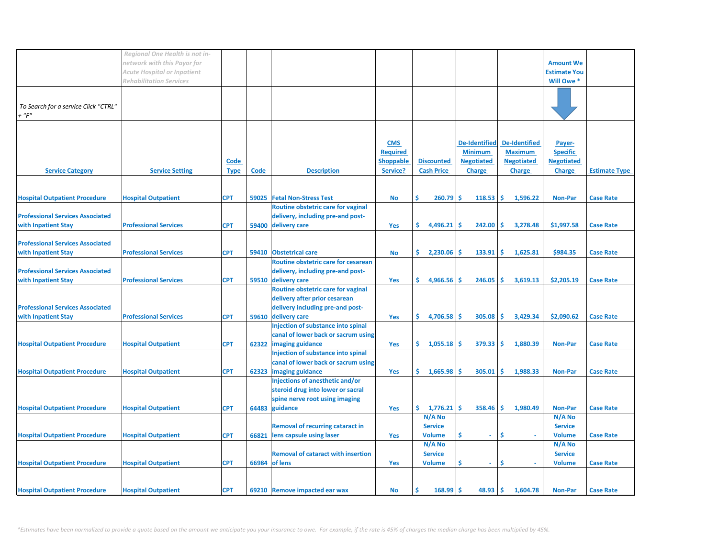|                                         | Regional One Health is not in-     |             |       |                                           |                  |                      |                      |                   |                     |                      |
|-----------------------------------------|------------------------------------|-------------|-------|-------------------------------------------|------------------|----------------------|----------------------|-------------------|---------------------|----------------------|
|                                         |                                    |             |       |                                           |                  |                      |                      |                   |                     |                      |
|                                         | network with this Payor for        |             |       |                                           |                  |                      |                      |                   | <b>Amount We</b>    |                      |
|                                         | <b>Acute Hospital or Inpatient</b> |             |       |                                           |                  |                      |                      |                   | <b>Estimate You</b> |                      |
|                                         | <b>Rehabilitation Services</b>     |             |       |                                           |                  |                      |                      |                   | Will Owe *          |                      |
|                                         |                                    |             |       |                                           |                  |                      |                      |                   |                     |                      |
|                                         |                                    |             |       |                                           |                  |                      |                      |                   |                     |                      |
| To Search for a service Click "CTRL"    |                                    |             |       |                                           |                  |                      |                      |                   |                     |                      |
| $+$ " $F$ "                             |                                    |             |       |                                           |                  |                      |                      |                   |                     |                      |
|                                         |                                    |             |       |                                           |                  |                      |                      |                   |                     |                      |
|                                         |                                    |             |       |                                           |                  |                      |                      |                   |                     |                      |
|                                         |                                    |             |       |                                           | <b>CMS</b>       |                      | <b>De-Identified</b> | De-Identified     | Payer-              |                      |
|                                         |                                    |             |       |                                           | <b>Required</b>  |                      | <b>Minimum</b>       | <b>Maximum</b>    | <b>Specific</b>     |                      |
|                                         |                                    |             |       |                                           | <b>Shoppable</b> | <b>Discounted</b>    | <b>Negotiated</b>    | <b>Negotiated</b> | <b>Negotiated</b>   |                      |
|                                         |                                    | Code        |       |                                           |                  |                      |                      |                   |                     |                      |
| <b>Service Category</b>                 | <b>Service Setting</b>             | <u>Type</u> | Code  | <b>Description</b>                        | Service?         | <b>Cash Price</b>    | <b>Charge</b>        | <b>Charge</b>     | <b>Charge</b>       | <b>Estimate Type</b> |
|                                         |                                    |             |       |                                           |                  |                      |                      |                   |                     |                      |
|                                         |                                    |             |       |                                           |                  |                      |                      |                   |                     |                      |
| <b>Hospital Outpatient Procedure</b>    | <b>Hospital Outpatient</b>         | <b>CPT</b>  | 59025 | <b>Fetal Non-Stress Test</b>              | <b>No</b>        | Ś.<br>260.79         | Ŝ.<br>118.53         | -\$<br>1,596.22   | <b>Non-Par</b>      | <b>Case Rate</b>     |
|                                         |                                    |             |       | Routine obstetric care for vaginal        |                  |                      |                      |                   |                     |                      |
| <b>Professional Services Associated</b> |                                    |             |       | delivery, including pre-and post-         |                  |                      |                      |                   |                     |                      |
| with Inpatient Stay                     | <b>Professional Services</b>       | <b>CPT</b>  |       | 59400 delivery care                       | Yes              | \$.<br>4,496.21      | 242.00<br>-S         | -\$<br>3,278.48   | \$1,997.58          | <b>Case Rate</b>     |
|                                         |                                    |             |       |                                           |                  |                      |                      |                   |                     |                      |
| <b>Professional Services Associated</b> |                                    |             |       |                                           |                  |                      |                      |                   |                     |                      |
| with Inpatient Stay                     | <b>Professional Services</b>       | <b>CPT</b>  | 59410 | <b>Obstetrical care</b>                   |                  | \$.<br>2,230.06      | 133.91<br>S          | Ŝ.<br>1,625.81    | \$984.35            | <b>Case Rate</b>     |
|                                         |                                    |             |       |                                           | No               |                      |                      |                   |                     |                      |
|                                         |                                    |             |       | Routine obstetric care for cesarean       |                  |                      |                      |                   |                     |                      |
| <b>Professional Services Associated</b> |                                    |             |       | delivery, including pre-and post-         |                  |                      |                      |                   |                     |                      |
| with Inpatient Stay                     | <b>Professional Services</b>       | <b>CPT</b>  |       | 59510 delivery care                       | Yes              | \$.<br>4,966.56      | 246.05<br>-S         | \$<br>3,619.13    | \$2,205.19          | <b>Case Rate</b>     |
|                                         |                                    |             |       | Routine obstetric care for vaginal        |                  |                      |                      |                   |                     |                      |
|                                         |                                    |             |       | delivery after prior cesarean             |                  |                      |                      |                   |                     |                      |
| <b>Professional Services Associated</b> |                                    |             |       | delivery including pre-and post-          |                  |                      |                      |                   |                     |                      |
| with Inpatient Stay                     | <b>Professional Services</b>       | <b>CPT</b>  |       | 59610 delivery care                       | Yes              | \$.<br>$4,706.58$ \$ | 305.08               | -\$<br>3,429.34   | \$2,090.62          | <b>Case Rate</b>     |
|                                         |                                    |             |       | Injection of substance into spinal        |                  |                      |                      |                   |                     |                      |
|                                         |                                    |             |       | canal of lower back or sacrum using       |                  |                      |                      |                   |                     |                      |
|                                         |                                    |             |       |                                           |                  |                      | 379.33               | l\$               |                     |                      |
| <b>Hospital Outpatient Procedure</b>    | <b>Hospital Outpatient</b>         | <b>CPT</b>  | 62322 | imaging guidance                          | Yes              | \$1,055.18           |                      | 1,880.39          | <b>Non-Par</b>      | <b>Case Rate</b>     |
|                                         |                                    |             |       | Injection of substance into spinal        |                  |                      |                      |                   |                     |                      |
|                                         |                                    |             |       | canal of lower back or sacrum using       |                  |                      |                      |                   |                     |                      |
| <b>Hospital Outpatient Procedure</b>    | <b>Hospital Outpatient</b>         | <b>CPT</b>  | 62323 | imaging guidance                          | Yes              | \$.<br>1,665.98      | 305.01<br><b>S</b>   | Ŝ<br>1,988.33     | <b>Non-Par</b>      | <b>Case Rate</b>     |
|                                         |                                    |             |       | Injections of anesthetic and/or           |                  |                      |                      |                   |                     |                      |
|                                         |                                    |             |       | steroid drug into lower or sacral         |                  |                      |                      |                   |                     |                      |
|                                         |                                    |             |       | spine nerve root using imaging            |                  |                      |                      |                   |                     |                      |
| <b>Hospital Outpatient Procedure</b>    | <b>Hospital Outpatient</b>         | <b>CPT</b>  |       | 64483 guidance                            | Yes              | \$.<br>1,776.21      | Ŝ.<br>358.46         | \$.<br>1,980.49   | <b>Non-Par</b>      | <b>Case Rate</b>     |
|                                         |                                    |             |       |                                           |                  | N/A No               |                      |                   | N/A No              |                      |
|                                         |                                    |             |       | <b>Removal of recurring cataract in</b>   |                  | <b>Service</b>       |                      |                   | <b>Service</b>      |                      |
| <b>Hospital Outpatient Procedure</b>    | <b>Hospital Outpatient</b>         | <b>CPT</b>  | 66821 | lens capsule using laser                  | Yes              | <b>Volume</b>        | Ś<br>$\omega$        | Ŝ                 | <b>Volume</b>       | <b>Case Rate</b>     |
|                                         |                                    |             |       |                                           |                  |                      |                      |                   |                     |                      |
|                                         |                                    |             |       |                                           |                  | N/A No               |                      |                   | N/A No              |                      |
|                                         |                                    |             |       | <b>Removal of cataract with insertion</b> |                  | <b>Service</b>       |                      |                   | <b>Service</b>      |                      |
| <b>Hospital Outpatient Procedure</b>    | <b>Hospital Outpatient</b>         | <b>CPT</b>  |       | 66984 of lens                             | Yes              | <b>Volume</b>        | \$<br>$\omega$ .     | \$<br>÷.          | <b>Volume</b>       | <b>Case Rate</b>     |
|                                         |                                    |             |       |                                           |                  |                      |                      |                   |                     |                      |
|                                         |                                    |             |       |                                           |                  |                      |                      |                   |                     |                      |
| <b>Hospital Outpatient Procedure</b>    | <b>Hospital Outpatient</b>         | <b>CPT</b>  |       | 69210 Remove impacted ear wax             | No               | 168.99               | 48.93<br>Ŝ           | Ŝ.<br>1,604.78    | <b>Non-Par</b>      | <b>Case Rate</b>     |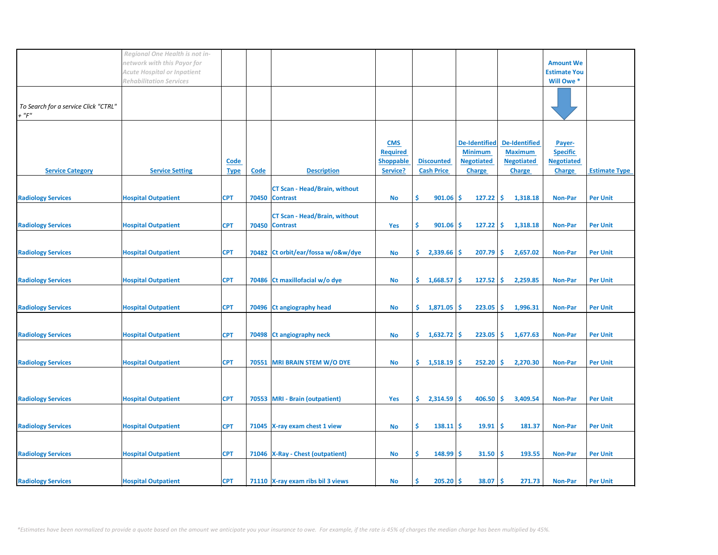|                                                     | Regional One Health is not in-<br>network with this Payor for        |             |      |                                                        |                                                   |                      |                                                             |                                                             | <b>Amount We</b>                               |                      |
|-----------------------------------------------------|----------------------------------------------------------------------|-------------|------|--------------------------------------------------------|---------------------------------------------------|----------------------|-------------------------------------------------------------|-------------------------------------------------------------|------------------------------------------------|----------------------|
|                                                     | <b>Acute Hospital or Inpatient</b><br><b>Rehabilitation Services</b> |             |      |                                                        |                                                   |                      |                                                             |                                                             | <b>Estimate You</b><br>Will Owe *              |                      |
| To Search for a service Click "CTRL"<br>$+$ " $F$ " |                                                                      |             |      |                                                        |                                                   |                      |                                                             |                                                             |                                                |                      |
|                                                     |                                                                      | <b>Code</b> |      |                                                        | <b>CMS</b><br><b>Required</b><br><b>Shoppable</b> | <b>Discounted</b>    | <b>De-Identified</b><br><b>Minimum</b><br><b>Negotiated</b> | <b>De-Identified</b><br><b>Maximum</b><br><b>Negotiated</b> | Payer-<br><b>Specific</b><br><b>Negotiated</b> |                      |
| <b>Service Category</b>                             | <b>Service Setting</b>                                               | <b>Type</b> | Code | <b>Description</b>                                     | Service?                                          | <b>Cash Price</b>    | <b>Charge</b>                                               | <b>Charge</b>                                               | <b>Charge</b>                                  | <b>Estimate Type</b> |
| <b>Radiology Services</b>                           | <b>Hospital Outpatient</b>                                           | <b>CPT</b>  |      | <b>CT Scan - Head/Brain, without</b><br>70450 Contrast | <b>No</b>                                         | Ŝ.<br>901.06         | \$<br>127.22                                                | \$<br>1,318.18                                              | <b>Non-Par</b>                                 | <b>Per Unit</b>      |
|                                                     |                                                                      |             |      | <b>CT Scan - Head/Brain, without</b>                   |                                                   |                      |                                                             |                                                             |                                                |                      |
| <b>Radiology Services</b>                           | <b>Hospital Outpatient</b>                                           | <b>CPT</b>  |      | 70450 Contrast                                         | Yes                                               | \$<br>901.06         | 127.22<br><b>S</b>                                          | \$<br>1,318.18                                              | <b>Non-Par</b>                                 | <b>Per Unit</b>      |
|                                                     |                                                                      |             |      |                                                        |                                                   |                      |                                                             |                                                             |                                                |                      |
| <b>Radiology Services</b>                           | <b>Hospital Outpatient</b>                                           | <b>CPT</b>  |      | 70482 Ct orbit/ear/fossa w/o&w/dye                     | <b>No</b>                                         | \$.<br>2,339.66      | 207.79<br>-\$                                               | -\$<br>2,657.02                                             | <b>Non-Par</b>                                 | <b>Per Unit</b>      |
| <b>Radiology Services</b>                           | <b>Hospital Outpatient</b>                                           | <b>CPT</b>  |      | 70486 Ct maxillofacial w/o dye                         | <b>No</b>                                         | \$.<br>$1,668.57$ \$ | 127.52                                                      | -Ś<br>2,259.85                                              | <b>Non-Par</b>                                 | <b>Per Unit</b>      |
| <b>Radiology Services</b>                           | <b>Hospital Outpatient</b>                                           | <b>CPT</b>  |      | 70496 Ct angiography head                              | <b>No</b>                                         | \$1,871.05           | 223.05<br>Ś                                                 | \$.<br>1,996.31                                             | <b>Non-Par</b>                                 | <b>Per Unit</b>      |
| <b>Radiology Services</b>                           | <b>Hospital Outpatient</b>                                           | <b>CPT</b>  |      | 70498 Ct angiography neck                              | No                                                | \$.<br>$1,632.72$ \$ | 223.05                                                      | -\$<br>1,677.63                                             | <b>Non-Par</b>                                 | <b>Per Unit</b>      |
|                                                     |                                                                      |             |      |                                                        |                                                   |                      |                                                             |                                                             |                                                |                      |
| <b>Radiology Services</b>                           | <b>Hospital Outpatient</b>                                           | <b>CPT</b>  |      | 70551 MRI BRAIN STEM W/O DYE                           | <b>No</b>                                         | \$.<br>$1,518.19$ \$ | 252.20                                                      | -\$<br>2,270.30                                             | <b>Non-Par</b>                                 | <b>Per Unit</b>      |
|                                                     |                                                                      |             |      |                                                        |                                                   |                      |                                                             |                                                             |                                                |                      |
| <b>Radiology Services</b>                           | <b>Hospital Outpatient</b>                                           | <b>CPT</b>  |      | 70553 MRI - Brain (outpatient)                         | Yes                                               | \$.<br>2,314.59      | <b>S</b><br>406.50                                          | -\$<br>3,409.54                                             | <b>Non-Par</b>                                 | <b>Per Unit</b>      |
| <b>Radiology Services</b>                           | <b>Hospital Outpatient</b>                                           | <b>CPT</b>  |      | 71045 X-ray exam chest 1 view                          | <b>No</b>                                         | Ŝ.<br>$138.11$ \$    | 19.91                                                       | -Ś<br>181.37                                                | <b>Non-Par</b>                                 | <b>Per Unit</b>      |
| <b>Radiology Services</b>                           | <b>Hospital Outpatient</b>                                           | <b>CPT</b>  |      | 71046   X-Ray - Chest (outpatient)                     | <b>No</b>                                         | Ŝ.<br>148.99         | 31.50<br>-S                                                 | \$.<br>193.55                                               | <b>Non-Par</b>                                 | <b>Per Unit</b>      |
|                                                     |                                                                      |             |      |                                                        |                                                   |                      |                                                             |                                                             |                                                |                      |
| <b>Radiology Services</b>                           | <b>Hospital Outpatient</b>                                           | <b>CPT</b>  |      | 71110 X-ray exam ribs bil 3 views                      | No                                                | $205.20$ \$<br>S     | 38.07                                                       | -\$<br>271.73                                               | <b>Non-Par</b>                                 | <b>Per Unit</b>      |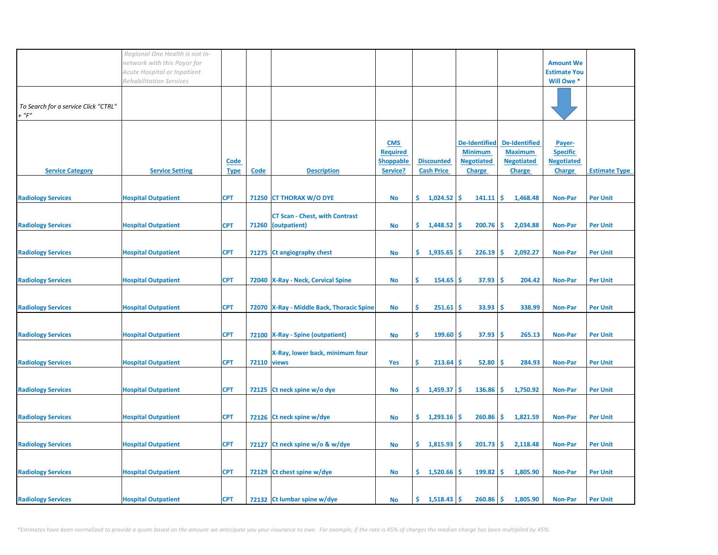|                                                     | Regional One Health is not in-<br>network with this Payor for<br>Acute Hospital or Inpatient<br><b>Rehabilitation Services</b> |                     |                    |                                                             |                                                               |                                        |                                                                              |                                                                              | <b>Amount We</b><br><b>Estimate You</b><br>Will Owe *           |                      |
|-----------------------------------------------------|--------------------------------------------------------------------------------------------------------------------------------|---------------------|--------------------|-------------------------------------------------------------|---------------------------------------------------------------|----------------------------------------|------------------------------------------------------------------------------|------------------------------------------------------------------------------|-----------------------------------------------------------------|----------------------|
| To Search for a service Click "CTRL"<br>$+$ " $F$ " |                                                                                                                                |                     |                    |                                                             |                                                               |                                        |                                                                              |                                                                              |                                                                 |                      |
| <b>Service Category</b>                             | <b>Service Setting</b>                                                                                                         | Code<br><b>Type</b> | Code               | <b>Description</b>                                          | <b>CMS</b><br><b>Required</b><br><b>Shoppable</b><br>Service? | <b>Discounted</b><br><b>Cash Price</b> | <b>De-Identified</b><br><b>Minimum</b><br><b>Negotiated</b><br><b>Charge</b> | <b>De-Identified</b><br><b>Maximum</b><br><b>Negotiated</b><br><b>Charge</b> | Payer-<br><b>Specific</b><br><b>Negotiated</b><br><b>Charge</b> | <b>Estimate Type</b> |
| <b>Radiology Services</b>                           | <b>Hospital Outpatient</b>                                                                                                     | <b>CPT</b>          |                    | 71250 CT THORAX W/O DYE                                     | <b>No</b>                                                     | \$.<br>1,024.52                        | -\$<br>141.11                                                                | \$<br>1,468.48                                                               | <b>Non-Par</b>                                                  | <b>Per Unit</b>      |
| <b>Radiology Services</b>                           | <b>Hospital Outpatient</b>                                                                                                     | <b>CPT</b>          |                    | <b>CT Scan - Chest, with Contrast</b><br>71260 (outpatient) | No                                                            | \$.<br>1,448.52                        | 200.76<br>-\$                                                                | -\$<br>2,034.88                                                              | <b>Non-Par</b>                                                  | <b>Per Unit</b>      |
| <b>Radiology Services</b>                           | <b>Hospital Outpatient</b>                                                                                                     | <b>CPT</b>          |                    | 71275 Ct angiography chest                                  | <b>No</b>                                                     | \$.<br>1,935.65                        | 226.19<br>\$                                                                 | \$<br>2,092.27                                                               | <b>Non-Par</b>                                                  | <b>Per Unit</b>      |
| <b>Radiology Services</b>                           | <b>Hospital Outpatient</b>                                                                                                     | <b>CPT</b>          |                    | 72040 X-Ray - Neck, Cervical Spine                          | No                                                            | \$<br>154.65                           | 37.93<br>\$.                                                                 | -Ś<br>204.42                                                                 | <b>Non-Par</b>                                                  | <b>Per Unit</b>      |
| <b>Radiology Services</b>                           | <b>Hospital Outpatient</b>                                                                                                     | <b>CPT</b>          |                    | 72070 X-Ray - Middle Back, Thoracic Spine                   | No                                                            | \$<br>$251.61$ \$                      | 33.93                                                                        | -\$<br>338.99                                                                | <b>Non-Par</b>                                                  | <b>Per Unit</b>      |
| <b>Radiology Services</b>                           | <b>Hospital Outpatient</b>                                                                                                     | <b>CPT</b>          |                    | 72100 X-Ray - Spine (outpatient)                            | <b>No</b>                                                     | \$<br>$199.60$ \$                      | 37.93                                                                        | ۱\$<br>265.13                                                                | <b>Non-Par</b>                                                  | <b>Per Unit</b>      |
| <b>Radiology Services</b>                           | <b>Hospital Outpatient</b>                                                                                                     | <b>CPT</b>          | <b>72110 views</b> | X-Ray, lower back, minimum four                             | Yes                                                           | \$<br>213.64                           | -S<br>52.80                                                                  | -Ś<br>284.93                                                                 | <b>Non-Par</b>                                                  | <b>Per Unit</b>      |
| <b>Radiology Services</b>                           | <b>Hospital Outpatient</b>                                                                                                     | <b>CPT</b>          |                    | 72125 Ct neck spine w/o dye                                 | No                                                            | \$.<br>$1,459.37$ \$                   | 136.86                                                                       | \$<br>1,750.92                                                               | Non-Par                                                         | <b>Per Unit</b>      |
| <b>Radiology Services</b>                           | <b>Hospital Outpatient</b>                                                                                                     | <b>CPT</b>          |                    | 72126 Ct neck spine w/dye                                   | <b>No</b>                                                     | \$.<br>1,293.16                        | 260.86<br>\$.                                                                | \$<br>1,821.59                                                               | <b>Non-Par</b>                                                  | <b>Per Unit</b>      |
| <b>Radiology Services</b>                           | <b>Hospital Outpatient</b>                                                                                                     | <b>CPT</b>          |                    | 72127 Ct neck spine w/o & w/dye                             | No                                                            | \$.<br>$1,815.93$ \$                   | $201.73$ \$                                                                  | 2,118.48                                                                     | <b>Non-Par</b>                                                  | <b>Per Unit</b>      |
| <b>Radiology Services</b>                           | <b>Hospital Outpatient</b>                                                                                                     | <b>CPT</b>          |                    | 72129 Ct chest spine w/dye                                  | No                                                            | \$1,520.66                             | $199.82$ \$                                                                  | 1,805.90                                                                     | <b>Non-Par</b>                                                  | <b>Per Unit</b>      |
| <b>Radiology Services</b>                           | <b>Hospital Outpatient</b>                                                                                                     | <b>CPT</b>          |                    | 72132 Ct lumbar spine w/dye                                 | No                                                            | 1,518.43<br>\$.                        | \$.<br>260.86                                                                | \$<br>1,805.90                                                               | <b>Non-Par</b>                                                  | <b>Per Unit</b>      |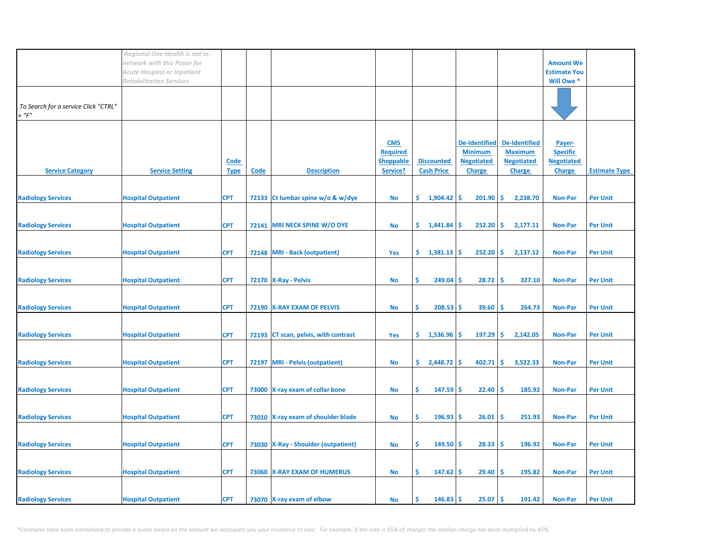|                                                     | Regional One Health is not in-<br>network with this Payor for<br>Acute Hospital or Inpatient |                            |             |                                       |                                                               |                                        |                                                                              |                                                                              | <b>Amount We</b><br><b>Estimate You</b>                         |                      |
|-----------------------------------------------------|----------------------------------------------------------------------------------------------|----------------------------|-------------|---------------------------------------|---------------------------------------------------------------|----------------------------------------|------------------------------------------------------------------------------|------------------------------------------------------------------------------|-----------------------------------------------------------------|----------------------|
| To Search for a service Click "CTRL"<br>$+$ " $F$ " | <b>Rehabilitation Services</b>                                                               |                            |             |                                       |                                                               |                                        |                                                                              |                                                                              | Will Owe *                                                      |                      |
| <b>Service Category</b>                             | <b>Service Setting</b>                                                                       | <b>Code</b><br><b>Type</b> | <b>Code</b> | <b>Description</b>                    | <b>CMS</b><br><b>Required</b><br><b>Shoppable</b><br>Service? | <b>Discounted</b><br><b>Cash Price</b> | <b>De-Identified</b><br><b>Minimum</b><br><b>Negotiated</b><br><b>Charge</b> | <b>De-Identified</b><br><b>Maximum</b><br><b>Negotiated</b><br><b>Charge</b> | Payer-<br><b>Specific</b><br><b>Negotiated</b><br><b>Charge</b> | <b>Estimate Type</b> |
| <b>Radiology Services</b>                           | <b>Hospital Outpatient</b>                                                                   | <b>CPT</b>                 |             | 72133 Ct lumbar spine w/o & w/dye     | <b>No</b>                                                     | \$.<br>1,904.42                        | 201.90<br>\$                                                                 | \$<br>2,238.70                                                               | Non-Par                                                         | <b>Per Unit</b>      |
| <b>Radiology Services</b>                           | <b>Hospital Outpatient</b>                                                                   | <b>CPT</b>                 | 72141       | <b>MRI NECK SPINE W/O DYE</b>         | No                                                            | \$.<br>1,441.84                        | 252.20<br>\$.                                                                | \$<br>2,177.11                                                               | <b>Non-Par</b>                                                  | <b>Per Unit</b>      |
| <b>Radiology Services</b>                           | <b>Hospital Outpatient</b>                                                                   | <b>CPT</b>                 |             | 72148   MRI - Back (outpatient)       | Yes                                                           | $\frac{1}{3}$ 1,381.13 \$              | 252.20                                                                       | \$<br>2,137.12                                                               | <b>Non-Par</b>                                                  | <b>Per Unit</b>      |
| <b>Radiology Services</b>                           | <b>Hospital Outpatient</b>                                                                   | <b>CPT</b>                 |             | 72170   X-Ray - Pelvis                | No                                                            | \$<br>$249.04$ \$                      | 28.72                                                                        | -Ś<br>327.10                                                                 | <b>Non-Par</b>                                                  | <b>Per Unit</b>      |
| <b>Radiology Services</b>                           | <b>Hospital Outpatient</b>                                                                   | <b>CPT</b>                 |             | 72190 X-RAY EXAM OF PELVIS            | <b>No</b>                                                     | Ŝ.<br>$208.53$ \$                      | 39.60                                                                        | Ś<br>264.73                                                                  | <b>Non-Par</b>                                                  | <b>Per Unit</b>      |
| <b>Radiology Services</b>                           | <b>Hospital Outpatient</b>                                                                   | <b>CPT</b>                 |             | 72193 CT scan, pelvis, with contrast  | Yes                                                           | \$.<br>1,536.96                        | 197.29<br>\$.                                                                | -\$<br>2,142.05                                                              | <b>Non-Par</b>                                                  | <b>Per Unit</b>      |
| <b>Radiology Services</b>                           | <b>Hospital Outpatient</b>                                                                   | <b>CPT</b>                 |             | 72197 MRI - Pelvis (outpatient)       | <b>No</b>                                                     | \$.<br>$2,448.72$ \$                   | 402.71                                                                       | \$<br>3,522.33                                                               | <b>Non-Par</b>                                                  | <b>Per Unit</b>      |
| <b>Radiology Services</b>                           | <b>Hospital Outpatient</b>                                                                   | <b>CPT</b>                 |             | 73000 X-ray exam of collar bone       | No                                                            | \$<br>$147.59$ \$                      | 22.40                                                                        | -\$<br>185.92                                                                | <b>Non-Par</b>                                                  | <b>Per Unit</b>      |
| <b>Radiology Services</b>                           | <b>Hospital Outpatient</b>                                                                   | <b>CPT</b>                 |             | 73010 X-ray exam of shoulder blade    | <b>No</b>                                                     | \$<br>$196.93$ \$                      | 26.01                                                                        | -\$<br>251.93                                                                | <b>Non-Par</b>                                                  | <b>Per Unit</b>      |
| <b>Radiology Services</b>                           | <b>Hospital Outpatient</b>                                                                   | <b>CPT</b>                 |             | 73030   X-Ray - Shoulder (outpatient) | No                                                            | \$<br>$149.50$ \$                      | 28.33                                                                        | -\$<br>196.92                                                                | <b>Non-Par</b>                                                  | <b>Per Unit</b>      |
| <b>Radiology Services</b>                           | <b>Hospital Outpatient</b>                                                                   | <b>CPT</b>                 |             | 73060 X-RAY EXAM OF HUMERUS           | <b>No</b>                                                     | \$<br>$147.62$ \$                      | 29.40                                                                        | -\$<br>195.82                                                                | <b>Non-Par</b>                                                  | <b>Per Unit</b>      |
| <b>Radiology Services</b>                           | <b>Hospital Outpatient</b>                                                                   | <b>CPT</b>                 |             | 73070 X-ray exam of elbow             | No                                                            | 146.83<br>Ś                            | -\$<br>25.07                                                                 | \$<br>191.42                                                                 | <b>Non-Par</b>                                                  | <b>Per Unit</b>      |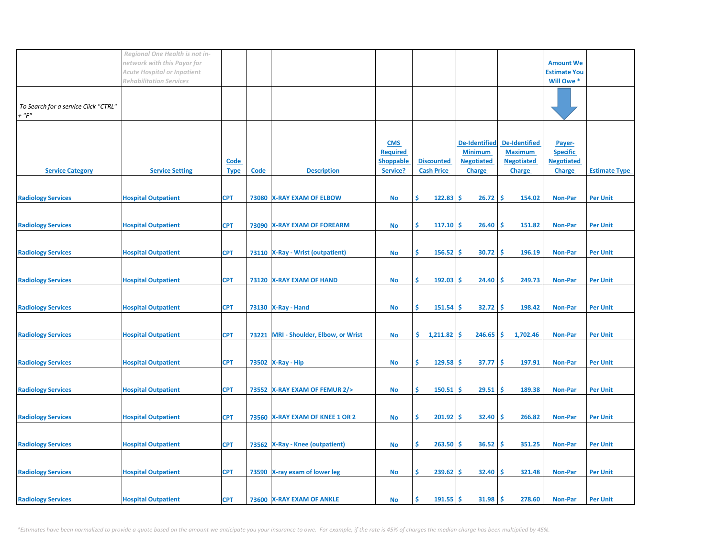|                                                     | Regional One Health is not in-<br>network with this Payor for<br>Acute Hospital or Inpatient |                            |             |                                    |                                                               |                                        |                                                                              |                                                                              | <b>Amount We</b><br><b>Estimate You</b>                         |                      |
|-----------------------------------------------------|----------------------------------------------------------------------------------------------|----------------------------|-------------|------------------------------------|---------------------------------------------------------------|----------------------------------------|------------------------------------------------------------------------------|------------------------------------------------------------------------------|-----------------------------------------------------------------|----------------------|
| To Search for a service Click "CTRL"<br>$+$ " $F$ " | <b>Rehabilitation Services</b>                                                               |                            |             |                                    |                                                               |                                        |                                                                              |                                                                              | Will Owe *                                                      |                      |
| <b>Service Category</b>                             | <b>Service Setting</b>                                                                       | <b>Code</b><br><b>Type</b> | <b>Code</b> | <b>Description</b>                 | <b>CMS</b><br><b>Required</b><br><b>Shoppable</b><br>Service? | <b>Discounted</b><br><b>Cash Price</b> | <b>De-Identified</b><br><b>Minimum</b><br><b>Negotiated</b><br><b>Charge</b> | <b>De-Identified</b><br><b>Maximum</b><br><b>Negotiated</b><br><b>Charge</b> | Payer-<br><b>Specific</b><br><b>Negotiated</b><br><b>Charge</b> | <b>Estimate Type</b> |
| <b>Radiology Services</b>                           | <b>Hospital Outpatient</b>                                                                   | <b>CPT</b>                 |             | 73080 X-RAY EXAM OF ELBOW          | <b>No</b>                                                     | \$<br>122.83                           | -\$<br>26.72                                                                 | -\$<br>154.02                                                                | Non-Par                                                         | <b>Per Unit</b>      |
| <b>Radiology Services</b>                           | <b>Hospital Outpatient</b>                                                                   | <b>CPT</b>                 |             | 73090 X-RAY EXAM OF FOREARM        | <b>No</b>                                                     | Ŝ.<br>$117.10$ \$                      | 26.40                                                                        | \$.<br>151.82                                                                | <b>Non-Par</b>                                                  | <b>Per Unit</b>      |
| <b>Radiology Services</b>                           | <b>Hospital Outpatient</b>                                                                   | <b>CPT</b>                 |             | 73110   X-Ray - Wrist (outpatient) | <b>No</b>                                                     | Ŝ.<br>$156.52$ \$                      | 30.72                                                                        | -Ś<br>196.19                                                                 | <b>Non-Par</b>                                                  | <b>Per Unit</b>      |
| <b>Radiology Services</b>                           | <b>Hospital Outpatient</b>                                                                   | <b>CPT</b>                 |             | 73120 X-RAY EXAM OF HAND           | No                                                            | \$<br>192.03                           | -\$<br>24.40                                                                 | -\$<br>249.73                                                                | <b>Non-Par</b>                                                  | <b>Per Unit</b>      |
| <b>Radiology Services</b>                           | <b>Hospital Outpatient</b>                                                                   | <b>CPT</b>                 |             | 73130   X-Ray - Hand               | <b>No</b>                                                     | \$<br>$151.54$ \$                      | 32.72                                                                        | -Ś<br>198.42                                                                 | <b>Non-Par</b>                                                  | <b>Per Unit</b>      |
| <b>Radiology Services</b>                           | <b>Hospital Outpatient</b>                                                                   | <b>CPT</b>                 | 73221       | MRI - Shoulder, Elbow, or Wrist    | <b>No</b>                                                     | \$.<br>1,211.82                        | 246.65<br>-\$                                                                | -\$<br>1,702.46                                                              | <b>Non-Par</b>                                                  | <b>Per Unit</b>      |
| <b>Radiology Services</b>                           | <b>Hospital Outpatient</b>                                                                   | <b>CPT</b>                 |             | 73502 X-Ray - Hip                  | <b>No</b>                                                     | \$<br>$129.58$ \$                      | 37.77                                                                        | -\$<br>197.91                                                                | <b>Non-Par</b>                                                  | <b>Per Unit</b>      |
| <b>Radiology Services</b>                           | <b>Hospital Outpatient</b>                                                                   | <b>CPT</b>                 |             | 73552 X-RAY EXAM OF FEMUR 2/>      | No                                                            | \$<br>$150.51$ \$                      | 29.51                                                                        | -\$<br>189.38                                                                | <b>Non-Par</b>                                                  | <b>Per Unit</b>      |
| <b>Radiology Services</b>                           | <b>Hospital Outpatient</b>                                                                   | <b>CPT</b>                 |             | 73560 X-RAY EXAM OF KNEE 1 OR 2    | <b>No</b>                                                     | \$<br>$201.92$ \$                      | 32.40                                                                        | -\$<br>266.82                                                                | <b>Non-Par</b>                                                  | <b>Per Unit</b>      |
| <b>Radiology Services</b>                           | <b>Hospital Outpatient</b>                                                                   | <b>CPT</b>                 |             | 73562   X-Ray - Knee (outpatient)  | <b>No</b>                                                     | \$<br>$263.50$ \$                      | 36.52                                                                        | -\$<br>351.25                                                                | <b>Non-Par</b>                                                  | <b>Per Unit</b>      |
| <b>Radiology Services</b>                           | <b>Hospital Outpatient</b>                                                                   | <b>CPT</b>                 |             | 73590 X-ray exam of lower leg      | <b>No</b>                                                     | \$<br>$239.62$ \$                      | 32.40                                                                        | -\$<br>321.48                                                                | <b>Non-Par</b>                                                  | <b>Per Unit</b>      |
| <b>Radiology Services</b>                           | <b>Hospital Outpatient</b>                                                                   | <b>CPT</b>                 |             | 73600 X-RAY EXAM OF ANKLE          | No                                                            | 191.55<br>Ŝ                            | \$.<br>31.98                                                                 | \$<br>278.60                                                                 | <b>Non-Par</b>                                                  | <b>Per Unit</b>      |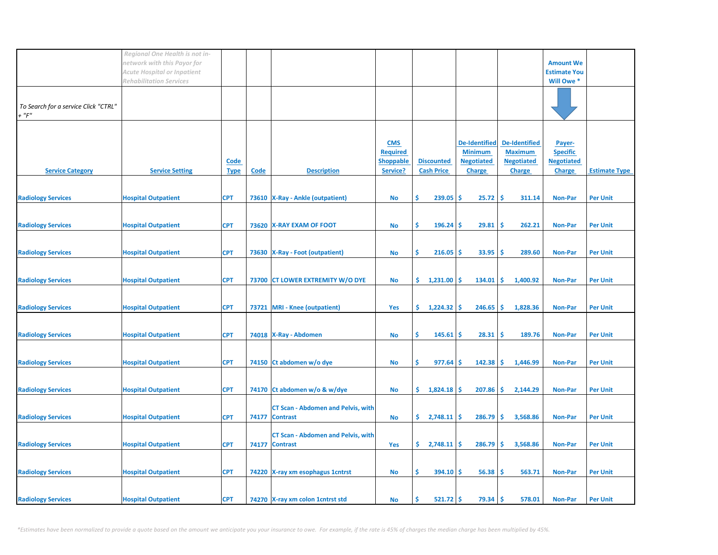|                                                     | Regional One Health is not in-<br>network with this Payor for |                     |      |                                                             |                                                               |                                        |                                                                              |                                                                              | <b>Amount We</b>                                                |                      |
|-----------------------------------------------------|---------------------------------------------------------------|---------------------|------|-------------------------------------------------------------|---------------------------------------------------------------|----------------------------------------|------------------------------------------------------------------------------|------------------------------------------------------------------------------|-----------------------------------------------------------------|----------------------|
|                                                     | Acute Hospital or Inpatient<br><b>Rehabilitation Services</b> |                     |      |                                                             |                                                               |                                        |                                                                              |                                                                              | <b>Estimate You</b><br>Will Owe *                               |                      |
| To Search for a service Click "CTRL"<br>$+$ " $F$ " |                                                               |                     |      |                                                             |                                                               |                                        |                                                                              |                                                                              |                                                                 |                      |
| <b>Service Category</b>                             | <b>Service Setting</b>                                        | Code<br><b>Type</b> | Code | <b>Description</b>                                          | <b>CMS</b><br><b>Required</b><br><b>Shoppable</b><br>Service? | <b>Discounted</b><br><b>Cash Price</b> | <b>De-Identified</b><br><b>Minimum</b><br><b>Negotiated</b><br><b>Charge</b> | <b>De-Identified</b><br><b>Maximum</b><br><b>Negotiated</b><br><b>Charge</b> | Payer-<br><b>Specific</b><br><b>Negotiated</b><br><b>Charge</b> | <b>Estimate Type</b> |
| <b>Radiology Services</b>                           | <b>Hospital Outpatient</b>                                    | <b>CPT</b>          |      | 73610   X-Ray - Ankle (outpatient)                          | <b>No</b>                                                     | Ŝ.<br>239.05                           | Ŝ.<br>25.72                                                                  | -Ś<br>311.14                                                                 | <b>Non-Par</b>                                                  | <b>Per Unit</b>      |
| <b>Radiology Services</b>                           | <b>Hospital Outpatient</b>                                    | <b>CPT</b>          |      | 73620 X-RAY EXAM OF FOOT                                    | <b>No</b>                                                     | Ŝ.<br>$196.24$ \$                      | 29.81                                                                        | -Ś<br>262.21                                                                 | <b>Non-Par</b>                                                  | <b>Per Unit</b>      |
|                                                     |                                                               |                     |      |                                                             |                                                               |                                        |                                                                              |                                                                              |                                                                 |                      |
| <b>Radiology Services</b>                           | <b>Hospital Outpatient</b>                                    | <b>CPT</b>          |      | 73630 X-Ray - Foot (outpatient)                             | <b>No</b>                                                     | \$<br>216.05                           | 33.95<br>\$.                                                                 | \$.<br>289.60                                                                | <b>Non-Par</b>                                                  | <b>Per Unit</b>      |
| <b>Radiology Services</b>                           | <b>Hospital Outpatient</b>                                    | <b>CPT</b>          |      | 73700 CT LOWER EXTREMITY W/O DYE                            | No                                                            | \$.<br>1,231.00                        | 134.01<br>-S                                                                 | \$<br>1,400.92                                                               | <b>Non-Par</b>                                                  | <b>Per Unit</b>      |
| <b>Radiology Services</b>                           | <b>Hospital Outpatient</b>                                    | <b>CPT</b>          |      | 73721 MRI - Knee (outpatient)                               | Yes                                                           | \$.<br>1,224.32                        | 246.65<br>-\$                                                                | \$<br>1,828.36                                                               | <b>Non-Par</b>                                                  | <b>Per Unit</b>      |
| <b>Radiology Services</b>                           | <b>Hospital Outpatient</b>                                    | <b>CPT</b>          |      | 74018 X-Ray - Abdomen                                       | No                                                            | \$<br>$145.61$ \$                      | 28.31                                                                        | -\$<br>189.76                                                                | <b>Non-Par</b>                                                  | <b>Per Unit</b>      |
| <b>Radiology Services</b>                           | <b>Hospital Outpatient</b>                                    | <b>CPT</b>          |      | 74150 Ct abdomen w/o dye                                    | <b>No</b>                                                     | Ŝ.<br>977.64                           | 142.38<br>S.                                                                 | \$<br>1,446.99                                                               | <b>Non-Par</b>                                                  | <b>Per Unit</b>      |
| <b>Radiology Services</b>                           | <b>Hospital Outpatient</b>                                    | <b>CPT</b>          |      | 74170 Ct abdomen w/o & w/dye                                | No                                                            | \$.<br>$1,824.18$ \$                   | 207.86                                                                       | \$<br>2,144.29                                                               | <b>Non-Par</b>                                                  | <b>Per Unit</b>      |
| <b>Radiology Services</b>                           | <b>Hospital Outpatient</b>                                    | <b>CPT</b>          |      | <b>CT Scan - Abdomen and Pelvis, with</b><br>74177 Contrast | <b>No</b>                                                     | $\frac{2,748.11}{5}$                   | 286.79                                                                       | \$<br>3,568.86                                                               | <b>Non-Par</b>                                                  | <b>Per Unit</b>      |
| <b>Radiology Services</b>                           | <b>Hospital Outpatient</b>                                    | <b>CPT</b>          |      | <b>CT Scan - Abdomen and Pelvis, with</b><br>74177 Contrast | Yes                                                           | \$.<br>$2,748.11$ \$                   | 286.79                                                                       | -\$<br>3,568.86                                                              | <b>Non-Par</b>                                                  | <b>Per Unit</b>      |
| <b>Radiology Services</b>                           | <b>Hospital Outpatient</b>                                    | <b>CPT</b>          |      | 74220 X-ray xm esophagus 1 cntrst                           | <b>No</b>                                                     | \$<br>$394.10$ \$                      | 56.38                                                                        | -\$<br>563.71                                                                | <b>Non-Par</b>                                                  | <b>Per Unit</b>      |
| <b>Radiology Services</b>                           | <b>Hospital Outpatient</b>                                    | <b>CPT</b>          |      | 74270 X-ray xm colon 1 cntrst std                           | No                                                            | $521.72$ \$<br>Ŝ                       | 79.34                                                                        | \$<br>578.01                                                                 | <b>Non-Par</b>                                                  | <b>Per Unit</b>      |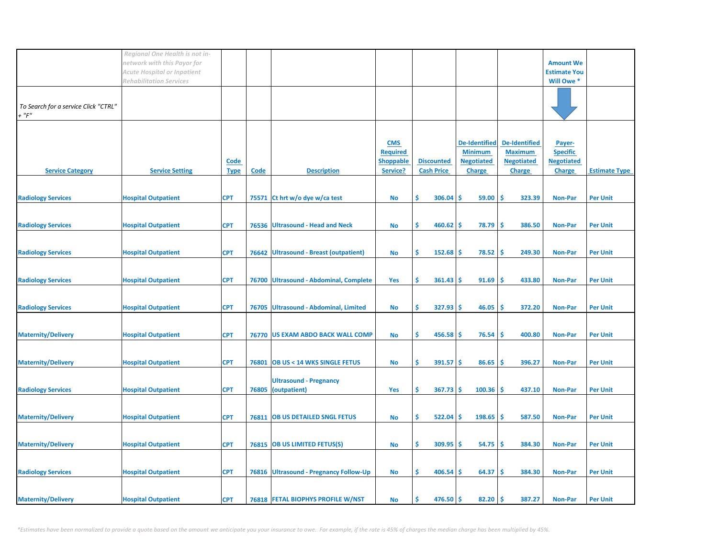|                                                     | Regional One Health is not in-<br>network with this Payor for<br>Acute Hospital or Inpatient |                            |             |                                                     |                                                               |                                        |                                                                              |                                                                              | <b>Amount We</b><br><b>Estimate You</b>                         |                      |
|-----------------------------------------------------|----------------------------------------------------------------------------------------------|----------------------------|-------------|-----------------------------------------------------|---------------------------------------------------------------|----------------------------------------|------------------------------------------------------------------------------|------------------------------------------------------------------------------|-----------------------------------------------------------------|----------------------|
|                                                     | <b>Rehabilitation Services</b>                                                               |                            |             |                                                     |                                                               |                                        |                                                                              |                                                                              | Will Owe *                                                      |                      |
| To Search for a service Click "CTRL"<br>$+$ " $F$ " |                                                                                              |                            |             |                                                     |                                                               |                                        |                                                                              |                                                                              |                                                                 |                      |
| <b>Service Category</b>                             | <b>Service Setting</b>                                                                       | <b>Code</b><br><b>Type</b> | <b>Code</b> | <b>Description</b>                                  | <b>CMS</b><br><b>Required</b><br><b>Shoppable</b><br>Service? | <b>Discounted</b><br><b>Cash Price</b> | <b>De-Identified</b><br><b>Minimum</b><br><b>Negotiated</b><br><b>Charge</b> | <b>De-Identified</b><br><b>Maximum</b><br><b>Negotiated</b><br><b>Charge</b> | Payer-<br><b>Specific</b><br><b>Negotiated</b><br><b>Charge</b> | <b>Estimate Type</b> |
| <b>Radiology Services</b>                           | <b>Hospital Outpatient</b>                                                                   | <b>CPT</b>                 | 75571       | Ct hrt w/o dye w/ca test                            | <b>No</b>                                                     | \$<br>306.04                           | 59.00<br>-\$                                                                 | \$<br>323.39                                                                 | <b>Non-Par</b>                                                  | <b>Per Unit</b>      |
| <b>Radiology Services</b>                           | <b>Hospital Outpatient</b>                                                                   | <b>CPT</b>                 | 76536       | <b>Ultrasound - Head and Neck</b>                   | <b>No</b>                                                     | Ŝ.<br>460.62                           | -S<br>78.79                                                                  | -Ś<br>386.50                                                                 | <b>Non-Par</b>                                                  | <b>Per Unit</b>      |
| <b>Radiology Services</b>                           | <b>Hospital Outpatient</b>                                                                   | <b>CPT</b>                 |             | 76642 Ultrasound - Breast (outpatient)              | <b>No</b>                                                     | Ŝ.<br>152.68                           | 78.52<br>-S                                                                  | -Ś<br>249.30                                                                 | <b>Non-Par</b>                                                  | <b>Per Unit</b>      |
| <b>Radiology Services</b>                           | <b>Hospital Outpatient</b>                                                                   | <b>CPT</b>                 | 76700       | Ultrasound - Abdominal, Complete                    | Yes                                                           | \$<br>361.43                           | -\$<br>91.69                                                                 | -Ś<br>433.80                                                                 | <b>Non-Par</b>                                                  | <b>Per Unit</b>      |
| <b>Radiology Services</b>                           | <b>Hospital Outpatient</b>                                                                   | <b>CPT</b>                 | 76705       | <b>Ultrasound - Abdominal, Limited</b>              | No                                                            | Ŝ.<br>327.93                           | Ŝ.<br>46.05                                                                  | Ś<br>372.20                                                                  | <b>Non-Par</b>                                                  | <b>Per Unit</b>      |
| <b>Maternity/Delivery</b>                           | <b>Hospital Outpatient</b>                                                                   | <b>CPT</b>                 |             | 76770 US EXAM ABDO BACK WALL COMP                   | <b>No</b>                                                     | \$<br>$456.58$ \$                      | 76.54                                                                        | -\$<br>400.80                                                                | <b>Non-Par</b>                                                  | <b>Per Unit</b>      |
| <b>Maternity/Delivery</b>                           | <b>Hospital Outpatient</b>                                                                   | <b>CPT</b>                 | 76801       | <b>OB US &lt; 14 WKS SINGLE FETUS</b>               | <b>No</b>                                                     | \$<br>$391.57$ \$                      | 86.65                                                                        | \$.<br>396.27                                                                | <b>Non-Par</b>                                                  | <b>Per Unit</b>      |
| <b>Radiology Services</b>                           | <b>Hospital Outpatient</b>                                                                   | <b>CPT</b>                 |             | <b>Ultrasound - Pregnancy</b><br>76805 (outpatient) | Yes                                                           | \$<br>$367.73$ \$                      | 100.36                                                                       | -\$<br>437.10                                                                | <b>Non-Par</b>                                                  | <b>Per Unit</b>      |
| <b>Maternity/Delivery</b>                           | <b>Hospital Outpatient</b>                                                                   | <b>CPT</b>                 |             | 76811 OB US DETAILED SNGL FETUS                     | <b>No</b>                                                     | \$<br>522.04                           | 198.65<br>\$.                                                                | -\$<br>587.50                                                                | <b>Non-Par</b>                                                  | <b>Per Unit</b>      |
| <b>Maternity/Delivery</b>                           | <b>Hospital Outpatient</b>                                                                   | <b>CPT</b>                 |             | 76815 OB US LIMITED FETUS(S)                        | <b>No</b>                                                     | \$<br>$309.95$ \$                      | 54.75                                                                        | -\$<br>384.30                                                                | <b>Non-Par</b>                                                  | <b>Per Unit</b>      |
| <b>Radiology Services</b>                           | <b>Hospital Outpatient</b>                                                                   | <b>CPT</b>                 |             | 76816 Ultrasound - Pregnancy Follow-Up              | <b>No</b>                                                     | \$<br>406.54                           | 64.37<br>-\$                                                                 | -\$<br>384.30                                                                | <b>Non-Par</b>                                                  | <b>Per Unit</b>      |
| <b>Maternity/Delivery</b>                           | <b>Hospital Outpatient</b>                                                                   | <b>CPT</b>                 |             | 76818 FETAL BIOPHYS PROFILE W/NST                   | No                                                            | Ś<br>476.50                            | \$.<br>82.20                                                                 | 387.27<br>\$                                                                 | <b>Non-Par</b>                                                  | <b>Per Unit</b>      |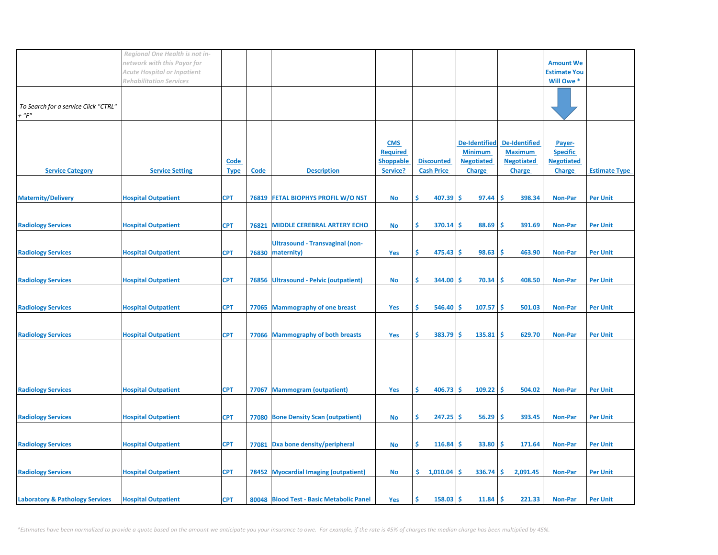|                                                     | Regional One Health is not in-<br>network with this Payor for<br>Acute Hospital or Inpatient<br><b>Rehabilitation Services</b> |                            |             |                                                            |                                                               |                                        |                                                                              |                                                                       | <b>Amount We</b><br><b>Estimate You</b><br>Will Owe *           |                      |
|-----------------------------------------------------|--------------------------------------------------------------------------------------------------------------------------------|----------------------------|-------------|------------------------------------------------------------|---------------------------------------------------------------|----------------------------------------|------------------------------------------------------------------------------|-----------------------------------------------------------------------|-----------------------------------------------------------------|----------------------|
| To Search for a service Click "CTRL"<br>$+$ " $F$ " |                                                                                                                                |                            |             |                                                            |                                                               |                                        |                                                                              |                                                                       |                                                                 |                      |
| <b>Service Category</b>                             | <b>Service Setting</b>                                                                                                         | <b>Code</b><br><b>Type</b> | <b>Code</b> | <b>Description</b>                                         | <b>CMS</b><br><b>Required</b><br><b>Shoppable</b><br>Service? | <b>Discounted</b><br><b>Cash Price</b> | <b>De-Identified</b><br><b>Minimum</b><br><b>Negotiated</b><br><b>Charge</b> | De-Identified<br><b>Maximum</b><br><b>Negotiated</b><br><b>Charge</b> | Payer-<br><b>Specific</b><br><b>Negotiated</b><br><b>Charge</b> | <b>Estimate Type</b> |
| <b>Maternity/Delivery</b>                           | <b>Hospital Outpatient</b>                                                                                                     | <b>CPT</b>                 |             | 76819 FETAL BIOPHYS PROFIL W/O NST                         | No                                                            | Ŝ.<br>$407.39$ \$                      | 97.44                                                                        | -Ś<br>398.34                                                          | <b>Non-Par</b>                                                  | <b>Per Unit</b>      |
| <b>Radiology Services</b>                           | <b>Hospital Outpatient</b>                                                                                                     | <b>CPT</b>                 | 76821       | <b>MIDDLE CEREBRAL ARTERY ECHO</b>                         | <b>No</b>                                                     | Ŝ.<br>$370.14$ \$                      | 88.69                                                                        | -Ś<br>391.69                                                          | <b>Non-Par</b>                                                  | <b>Per Unit</b>      |
| <b>Radiology Services</b>                           | <b>Hospital Outpatient</b>                                                                                                     | <b>CPT</b>                 |             | <b>Ultrasound - Transvaginal (non-</b><br>76830 maternity) | <b>Yes</b>                                                    | \$<br>$475.43$ \$                      | 98.63                                                                        | -Ś<br>463.90                                                          | <b>Non-Par</b>                                                  | <b>Per Unit</b>      |
| <b>Radiology Services</b>                           | <b>Hospital Outpatient</b>                                                                                                     | <b>CPT</b>                 |             | 76856 Ultrasound - Pelvic (outpatient)                     | No                                                            | \$<br>$344.00$ \$                      | 70.34                                                                        | -\$<br>408.50                                                         | <b>Non-Par</b>                                                  | <b>Per Unit</b>      |
| <b>Radiology Services</b>                           | <b>Hospital Outpatient</b>                                                                                                     | <b>CPT</b>                 |             | 77065 Mammography of one breast                            | Yes                                                           | \$<br>546.40                           | Ŝ.<br>107.57                                                                 | -\$<br>501.03                                                         | Non-Par                                                         | <b>Per Unit</b>      |
| <b>Radiology Services</b>                           | <b>Hospital Outpatient</b>                                                                                                     | <b>CPT</b>                 |             | 77066 Mammography of both breasts                          | Yes                                                           | \$<br>$383.79$ \$                      | 135.81                                                                       | -\$<br>629.70                                                         | <b>Non-Par</b>                                                  | <b>Per Unit</b>      |
|                                                     |                                                                                                                                |                            |             |                                                            |                                                               |                                        |                                                                              |                                                                       |                                                                 |                      |
| <b>Radiology Services</b>                           | <b>Hospital Outpatient</b>                                                                                                     | <b>CPT</b>                 |             | 77067 Mammogram (outpatient)                               | Yes                                                           | \$<br>$406.73$ \$                      | $109.22$ \$                                                                  | 504.02                                                                | <b>Non-Par</b>                                                  | <b>Per Unit</b>      |
| <b>Radiology Services</b>                           | <b>Hospital Outpatient</b>                                                                                                     | <b>CPT</b>                 |             | 77080 Bone Density Scan (outpatient)                       | <b>No</b>                                                     | \$<br>247.25                           | -\$<br>56.29                                                                 | \$.<br>393.45                                                         | <b>Non-Par</b>                                                  | <b>Per Unit</b>      |
| <b>Radiology Services</b>                           | <b>Hospital Outpatient</b>                                                                                                     | <b>CPT</b>                 |             | 77081 Dxa bone density/peripheral                          | <b>No</b>                                                     | \$<br>$116.84$ \$                      | 33.80                                                                        | \$<br>171.64                                                          | <b>Non-Par</b>                                                  | <b>Per Unit</b>      |
| <b>Radiology Services</b>                           | <b>Hospital Outpatient</b>                                                                                                     | <b>CPT</b>                 |             | 78452 Myocardial Imaging (outpatient)                      | <b>No</b>                                                     | \$1,010.04                             | 336.74<br>-S                                                                 | \$.<br>2,091.45                                                       | <b>Non-Par</b>                                                  | <b>Per Unit</b>      |
| <b>Laboratory &amp; Pathology Services</b>          | <b>Hospital Outpatient</b>                                                                                                     | <b>CPT</b>                 |             | 80048 Blood Test - Basic Metabolic Panel                   | Yes                                                           | Ŝ<br>158.03                            | 11.84<br>-Ş                                                                  | Ŝ.<br>221.33                                                          | <b>Non-Par</b>                                                  | <b>Per Unit</b>      |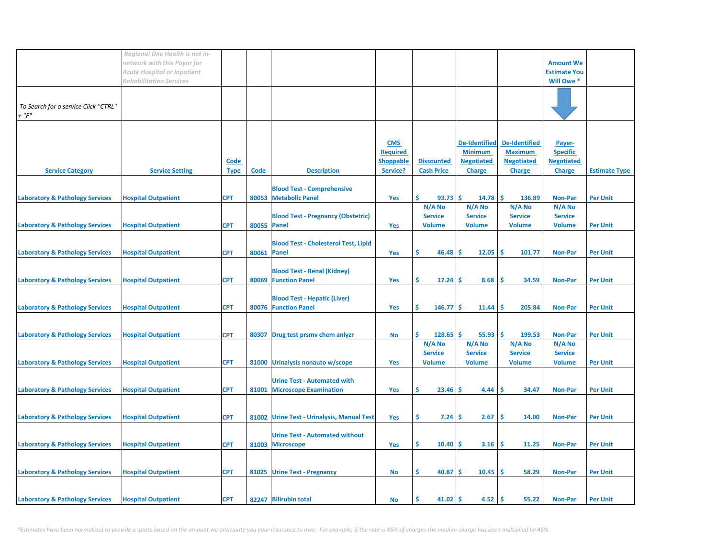|                                               | Regional One Health is not in-<br>network with this Payor for<br><b>Acute Hospital or Inpatient</b> |                     |             |                                                                     |                                                               |                                           |                                                                              |                                                                              | <b>Amount We</b><br><b>Estimate You</b>                         |                      |
|-----------------------------------------------|-----------------------------------------------------------------------------------------------------|---------------------|-------------|---------------------------------------------------------------------|---------------------------------------------------------------|-------------------------------------------|------------------------------------------------------------------------------|------------------------------------------------------------------------------|-----------------------------------------------------------------|----------------------|
|                                               | <b>Rehabilitation Services</b>                                                                      |                     |             |                                                                     |                                                               |                                           |                                                                              |                                                                              | Will Owe *                                                      |                      |
| To Search for a service Click "CTRL"<br>+ "F" |                                                                                                     |                     |             |                                                                     |                                                               |                                           |                                                                              |                                                                              |                                                                 |                      |
| <b>Service Category</b>                       | <b>Service Setting</b>                                                                              | Code<br><u>Type</u> | <b>Code</b> | <b>Description</b>                                                  | <b>CMS</b><br><b>Required</b><br><b>Shoppable</b><br>Service? | <b>Discounted</b><br><b>Cash Price</b>    | <b>De-Identified</b><br><b>Minimum</b><br><b>Negotiated</b><br><b>Charge</b> | <b>De-Identified</b><br><b>Maximum</b><br><b>Negotiated</b><br><b>Charge</b> | Payer-<br><b>Specific</b><br><b>Negotiated</b><br><b>Charge</b> | <b>Estimate Type</b> |
| <b>Laboratory &amp; Pathology Services</b>    | <b>Hospital Outpatient</b>                                                                          | <b>CPT</b>          | 80053       | <b>Blood Test - Comprehensive</b><br><b>Metabolic Panel</b>         | Yes                                                           | Ś.<br>$93.73$ \$                          | 14.78                                                                        | <b>S</b><br>136.89                                                           | Non-Par                                                         | <b>Per Unit</b>      |
| <b>Laboratory &amp; Pathology Services</b>    | <b>Hospital Outpatient</b>                                                                          | <b>CPT</b>          | 80055 Panel | <b>Blood Test - Pregnancy (Obstetric)</b>                           | Yes                                                           | N/A No<br><b>Service</b><br><b>Volume</b> | N/A No<br><b>Service</b><br><b>Volume</b>                                    | N/A No<br><b>Service</b><br><b>Volume</b>                                    | N/A No<br><b>Service</b><br><b>Volume</b>                       | <b>Per Unit</b>      |
| <b>Laboratory &amp; Pathology Services</b>    | <b>Hospital Outpatient</b>                                                                          | <b>CPT</b>          | 80061 Panel | <b>Blood Test - Cholesterol Test, Lipid</b>                         | Yes                                                           | \$<br>46.48                               | Ŝ<br>12.05                                                                   | -Ś<br>101.77                                                                 | <b>Non-Par</b>                                                  | <b>Per Unit</b>      |
| <b>Laboratory &amp; Pathology Services</b>    | <b>Hospital Outpatient</b>                                                                          | <b>CPT</b>          |             | <b>Blood Test - Renal (Kidney)</b><br>80069 Function Panel          | Yes                                                           | \$<br>$17.24$ \$                          | 8.68                                                                         | -\$<br>34.59                                                                 | <b>Non-Par</b>                                                  | <b>Per Unit</b>      |
| <b>Laboratory &amp; Pathology Services</b>    | <b>Hospital Outpatient</b>                                                                          | <b>CPT</b>          |             | <b>Blood Test - Hepatic (Liver)</b><br>80076 Function Panel         | Yes                                                           | \$<br>$146.77$ \$                         | 11.44                                                                        | -\$<br>205.84                                                                | <b>Non-Par</b>                                                  | <b>Per Unit</b>      |
| <b>Laboratory &amp; Pathology Services</b>    | <b>Hospital Outpatient</b>                                                                          | <b>CPT</b>          | 80307       | Drug test prsmv chem anlyzr                                         | No                                                            | \$<br>$128.65$ \$                         | 55.93                                                                        | ۱\$<br>199.53                                                                | <b>Non-Par</b>                                                  | <b>Per Unit</b>      |
| <b>Laboratory &amp; Pathology Services</b>    | <b>Hospital Outpatient</b>                                                                          | <b>CPT</b>          |             | 81000 Urinalysis nonauto w/scope                                    | Yes                                                           | N/A No<br><b>Service</b><br><b>Volume</b> | N/A No<br><b>Service</b><br><b>Volume</b>                                    | N/A No<br><b>Service</b><br><b>Volume</b>                                    | N/A No<br><b>Service</b><br><b>Volume</b>                       | <b>Per Unit</b>      |
| <b>Laboratory &amp; Pathology Services</b>    | <b>Hospital Outpatient</b>                                                                          | <b>CPT</b>          | 81001       | <b>Urine Test - Automated with</b><br><b>Microscope Examination</b> | Yes                                                           | \$.<br>23.46                              | 4.44<br>-S                                                                   | \$<br>34.47                                                                  | <b>Non-Par</b>                                                  | <b>Per Unit</b>      |
| <b>Laboratory &amp; Pathology Services</b>    | <b>Hospital Outpatient</b>                                                                          | <b>CPT</b>          |             | 81002 Urine Test - Urinalysis, Manual Test                          | Yes                                                           | \$<br>7.24                                | 2.67<br><b>S</b>                                                             | Ŝ<br>14.00                                                                   | <b>Non-Par</b>                                                  | <b>Per Unit</b>      |
| <b>Laboratory &amp; Pathology Services</b>    | <b>Hospital Outpatient</b>                                                                          | <b>CPT</b>          |             | <b>Urine Test - Automated without</b><br>81003 Microscope           | Yes                                                           | \$<br>$10.40$ \$                          | 3.16                                                                         | -\$<br>11.25                                                                 | <b>Non-Par</b>                                                  | <b>Per Unit</b>      |
| <b>Laboratory &amp; Pathology Services</b>    | <b>Hospital Outpatient</b>                                                                          | <b>CPT</b>          |             | 81025 Urine Test - Pregnancy                                        | <b>No</b>                                                     | Ś<br>40.87                                | 10.45<br>Ŝ                                                                   | \$<br>58.29                                                                  | <b>Non-Par</b>                                                  | <b>Per Unit</b>      |
| <b>Laboratory &amp; Pathology Services</b>    | <b>Hospital Outpatient</b>                                                                          | <b>CPT</b>          |             | 82247 Bilirubin total                                               | No                                                            | Ś.<br>$41.02$   \$                        | 4.52                                                                         | \$<br>55.22                                                                  | <b>Non-Par</b>                                                  | <b>Per Unit</b>      |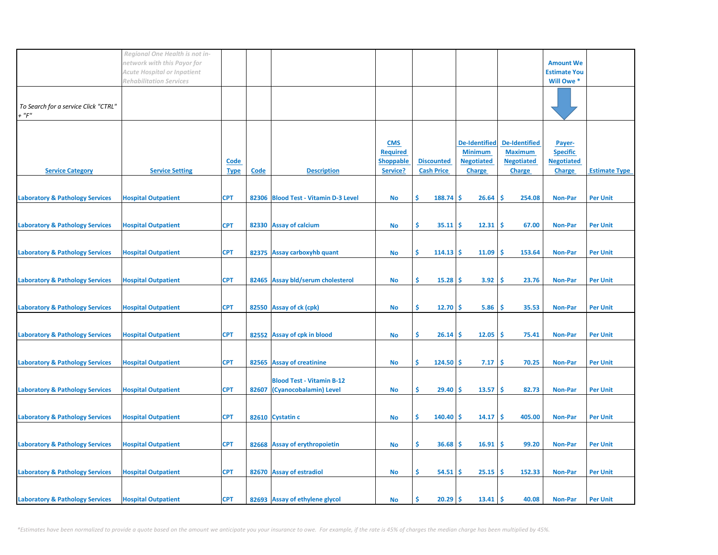|                                               | Regional One Health is not in-<br>network with this Payor for<br><b>Acute Hospital or Inpatient</b> |                     |       |                                                            |                                                               |                                        |                                                                              |                                                                              | <b>Amount We</b>                                                |                      |
|-----------------------------------------------|-----------------------------------------------------------------------------------------------------|---------------------|-------|------------------------------------------------------------|---------------------------------------------------------------|----------------------------------------|------------------------------------------------------------------------------|------------------------------------------------------------------------------|-----------------------------------------------------------------|----------------------|
|                                               | <b>Rehabilitation Services</b>                                                                      |                     |       |                                                            |                                                               |                                        |                                                                              |                                                                              | <b>Estimate You</b><br>Will Owe *                               |                      |
| To Search for a service Click "CTRL"<br>+ "F" |                                                                                                     |                     |       |                                                            |                                                               |                                        |                                                                              |                                                                              |                                                                 |                      |
| <b>Service Category</b>                       | <b>Service Setting</b>                                                                              | Code<br><b>Type</b> | Code  | <b>Description</b>                                         | <b>CMS</b><br><b>Required</b><br><b>Shoppable</b><br>Service? | <b>Discounted</b><br><b>Cash Price</b> | <b>De-Identified</b><br><b>Minimum</b><br><b>Negotiated</b><br><b>Charge</b> | <b>De-Identified</b><br><b>Maximum</b><br><b>Negotiated</b><br><b>Charge</b> | Payer-<br><b>Specific</b><br><b>Negotiated</b><br><b>Charge</b> | <b>Estimate Type</b> |
| <b>Laboratory &amp; Pathology Services</b>    | <b>Hospital Outpatient</b>                                                                          | <b>CPT</b>          |       | 82306 Blood Test - Vitamin D-3 Level                       | No                                                            | \$<br>$188.74$ \$                      | 26.64                                                                        | Ŝ<br>254.08                                                                  | <b>Non-Par</b>                                                  | <b>Per Unit</b>      |
| <b>Laboratory &amp; Pathology Services</b>    | <b>Hospital Outpatient</b>                                                                          | <b>CPT</b>          |       | 82330 Assay of calcium                                     | No                                                            | \$.<br>$35.11$ \$                      | 12.31                                                                        | -Ś<br>67.00                                                                  | <b>Non-Par</b>                                                  | <b>Per Unit</b>      |
| <b>Laboratory &amp; Pathology Services</b>    | <b>Hospital Outpatient</b>                                                                          | <b>CPT</b>          |       | 82375 Assay carboxyhb quant                                | No                                                            | \$<br>$114.13$ \$                      | 11.09                                                                        | -Ś<br>153.64                                                                 | <b>Non-Par</b>                                                  | <b>Per Unit</b>      |
| <b>Laboratory &amp; Pathology Services</b>    | <b>Hospital Outpatient</b>                                                                          | <b>CPT</b>          |       | 82465 Assay bld/serum cholesterol                          | No                                                            | \$<br>$15.28$ \$                       | 3.92                                                                         | -\$<br>23.76                                                                 | <b>Non-Par</b>                                                  | <b>Per Unit</b>      |
| <b>Laboratory &amp; Pathology Services</b>    | <b>Hospital Outpatient</b>                                                                          | <b>CPT</b>          |       | 82550 Assay of ck (cpk)                                    | <b>No</b>                                                     | \$<br>$12.70$ \$                       | 5.86                                                                         | -\$<br>35.53                                                                 | <b>Non-Par</b>                                                  | <b>Per Unit</b>      |
| <b>Laboratory &amp; Pathology Services</b>    | <b>Hospital Outpatient</b>                                                                          | <b>CPT</b>          |       | 82552 Assay of cpk in blood                                | No                                                            | \$<br>$26.14$ \$                       | 12.05                                                                        | -\$<br>75.41                                                                 | <b>Non-Par</b>                                                  | <b>Per Unit</b>      |
| <b>Laboratory &amp; Pathology Services</b>    | <b>Hospital Outpatient</b>                                                                          | <b>CPT</b>          |       | 82565 Assay of creatinine                                  | No                                                            | \$<br>$124.50$ \$                      | 7.17                                                                         | -\$<br>70.25                                                                 | <b>Non-Par</b>                                                  | <b>Per Unit</b>      |
| <b>Laboratory &amp; Pathology Services</b>    | <b>Hospital Outpatient</b>                                                                          | <b>CPT</b>          | 82607 | <b>Blood Test - Vitamin B-12</b><br>(Cyanocobalamin) Level | <b>No</b>                                                     | \$<br>$29.40$ \$                       | 13.57                                                                        | \$<br>82.73                                                                  | <b>Non-Par</b>                                                  | <b>Per Unit</b>      |
| <b>Laboratory &amp; Pathology Services</b>    | <b>Hospital Outpatient</b>                                                                          | <b>CPT</b>          |       | 82610 Cystatin c                                           | No                                                            | \$<br>$140.40$ \$                      | 14.17                                                                        | \$<br>405.00                                                                 | <b>Non-Par</b>                                                  | <b>Per Unit</b>      |
| <b>Laboratory &amp; Pathology Services</b>    | <b>Hospital Outpatient</b>                                                                          | <b>CPT</b>          |       | 82668 Assay of erythropoietin                              | No                                                            | \$<br>$36.68$ \$                       | 16.91                                                                        | -\$<br>99.20                                                                 | <b>Non-Par</b>                                                  | <b>Per Unit</b>      |
| <b>Laboratory &amp; Pathology Services</b>    | <b>Hospital Outpatient</b>                                                                          | <b>CPT</b>          |       | 82670 Assay of estradiol                                   | <b>No</b>                                                     | Ś<br>54.51                             | 25.15<br>-\$                                                                 | \$<br>152.33                                                                 | <b>Non-Par</b>                                                  | <b>Per Unit</b>      |
| <b>Laboratory &amp; Pathology Services</b>    | <b>Hospital Outpatient</b>                                                                          | <b>CPT</b>          |       | 82693 Assay of ethylene glycol                             | No                                                            | Ś.<br>$20.29$ \$                       | 13.41                                                                        | -Ś<br>40.08                                                                  | <b>Non-Par</b>                                                  | <b>Per Unit</b>      |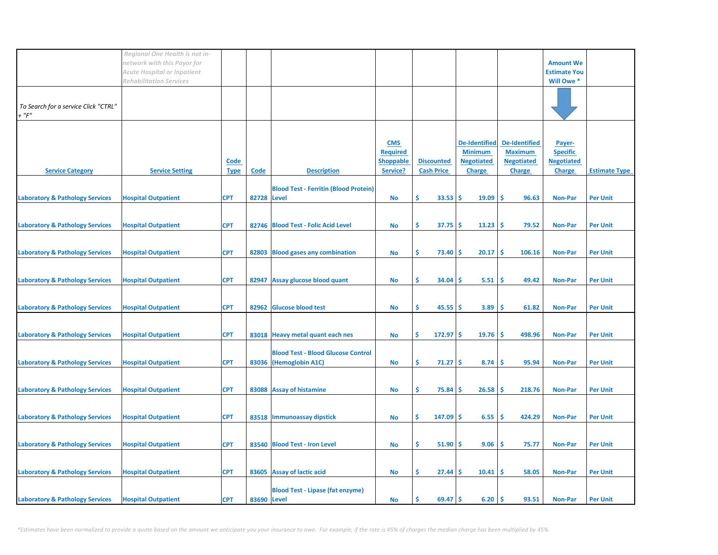|                                               | Regional One Health is not in-<br>network with this Payor for<br><b>Acute Hospital or Inpatient</b> |                     |             |                                                                     |                                                               |                                        |                                                                              |                                                                              | <b>Amount We</b><br><b>Estimate You</b>                         |                      |
|-----------------------------------------------|-----------------------------------------------------------------------------------------------------|---------------------|-------------|---------------------------------------------------------------------|---------------------------------------------------------------|----------------------------------------|------------------------------------------------------------------------------|------------------------------------------------------------------------------|-----------------------------------------------------------------|----------------------|
|                                               | <b>Rehabilitation Services</b>                                                                      |                     |             |                                                                     |                                                               |                                        |                                                                              |                                                                              | Will Owe *                                                      |                      |
| To Search for a service Click "CTRL"<br>+ "F" |                                                                                                     |                     |             |                                                                     |                                                               |                                        |                                                                              |                                                                              |                                                                 |                      |
| <b>Service Category</b>                       | <b>Service Setting</b>                                                                              | Code<br><b>Type</b> | Code        | <b>Description</b>                                                  | <b>CMS</b><br><b>Required</b><br><b>Shoppable</b><br>Service? | <b>Discounted</b><br><b>Cash Price</b> | <b>De-Identified</b><br><b>Minimum</b><br><b>Negotiated</b><br><b>Charge</b> | <b>De-Identified</b><br><b>Maximum</b><br><b>Negotiated</b><br><b>Charge</b> | Payer-<br><b>Specific</b><br><b>Negotiated</b><br><b>Charge</b> | <b>Estimate Type</b> |
| <b>Laboratory &amp; Pathology Services</b>    | <b>Hospital Outpatient</b>                                                                          | <b>CPT</b>          | 82728 Level | <b>Blood Test - Ferritin (Blood Protein)</b>                        | <b>No</b>                                                     | \$<br>$33.53$ \$                       | 19.09                                                                        | <b>S</b><br>96.63                                                            | <b>Non-Par</b>                                                  | <b>Per Unit</b>      |
| <b>Laboratory &amp; Pathology Services</b>    | <b>Hospital Outpatient</b>                                                                          | <b>CPT</b>          |             | 82746 Blood Test - Folic Acid Level                                 | No                                                            | \$.<br>$37.75$ \$                      | 13.23                                                                        | -Ś<br>79.52                                                                  | <b>Non-Par</b>                                                  | <b>Per Unit</b>      |
| <b>Laboratory &amp; Pathology Services</b>    | <b>Hospital Outpatient</b>                                                                          | <b>CPT</b>          |             | 82803 Blood gases any combination                                   | No                                                            | \$.<br>73.40                           | 20.17<br>-S                                                                  | -Ś<br>106.16                                                                 | <b>Non-Par</b>                                                  | <b>Per Unit</b>      |
| <b>Laboratory &amp; Pathology Services</b>    | <b>Hospital Outpatient</b>                                                                          | <b>CPT</b>          | 82947       | Assay glucose blood quant                                           | No                                                            | \$<br>34.04                            | 5.51<br>-S                                                                   | -\$<br>49.42                                                                 | <b>Non-Par</b>                                                  | <b>Per Unit</b>      |
| <b>Laboratory &amp; Pathology Services</b>    | <b>Hospital Outpatient</b>                                                                          | <b>CPT</b>          |             | 82962 Glucose blood test                                            | <b>No</b>                                                     | \$<br>$45.55$ \$                       | 3.89                                                                         | \$<br>61.82                                                                  | <b>Non-Par</b>                                                  | <b>Per Unit</b>      |
| <b>Laboratory &amp; Pathology Services</b>    | <b>Hospital Outpatient</b>                                                                          | <b>CPT</b>          |             | 83018 Heavy metal quant each nes                                    | <b>No</b>                                                     | \$<br>$172.97$ \$                      | 19.76                                                                        | -\$<br>498.96                                                                | <b>Non-Par</b>                                                  | <b>Per Unit</b>      |
| <b>Laboratory &amp; Pathology Services</b>    | <b>Hospital Outpatient</b>                                                                          | <b>CPT</b>          |             | <b>Blood Test - Blood Glucose Control</b><br>83036 (Hemoglobin A1C) | No                                                            | \$.<br>$71.27$ \$                      | 8.74                                                                         | \$<br>95.94                                                                  | <b>Non-Par</b>                                                  | <b>Per Unit</b>      |
| <b>Laboratory &amp; Pathology Services</b>    | <b>Hospital Outpatient</b>                                                                          | <b>CPT</b>          |             | 83088 Assay of histamine                                            | No                                                            | \$<br>75.84                            | 26.58<br>-S                                                                  | -\$<br>218.76                                                                | <b>Non-Par</b>                                                  | <b>Per Unit</b>      |
| <b>Laboratory &amp; Pathology Services</b>    | <b>Hospital Outpatient</b>                                                                          | <b>CPT</b>          |             | 83518 Immunoassay dipstick                                          | <b>No</b>                                                     | \$<br>147.09                           | 6.55<br>Ŝ.                                                                   | Ŝ<br>424.29                                                                  | <b>Non-Par</b>                                                  | <b>Per Unit</b>      |
| <b>Laboratory &amp; Pathology Services</b>    | <b>Hospital Outpatient</b>                                                                          | <b>CPT</b>          |             | 83540 Blood Test - Iron Level                                       | No                                                            | \$<br>$51.90$ \$                       | 9.06                                                                         | Ŝ<br>75.77                                                                   | <b>Non-Par</b>                                                  | <b>Per Unit</b>      |
| <b>Laboratory &amp; Pathology Services</b>    | <b>Hospital Outpatient</b>                                                                          | <b>CPT</b>          |             | 83605 Assay of lactic acid                                          | No                                                            | Ś<br>27.44                             | 10.41<br>-S                                                                  | Ŝ<br>58.05                                                                   | <b>Non-Par</b>                                                  | <b>Per Unit</b>      |
| <b>Laboratory &amp; Pathology Services</b>    | <b>Hospital Outpatient</b>                                                                          | <b>CPT</b>          | 83690 Level | <b>Blood Test - Lipase (fat enzyme)</b>                             | No                                                            | \$.<br>$69.47$ \$                      | 6.20                                                                         | Ŝ.<br>93.51                                                                  | <b>Non-Par</b>                                                  | <b>Per Unit</b>      |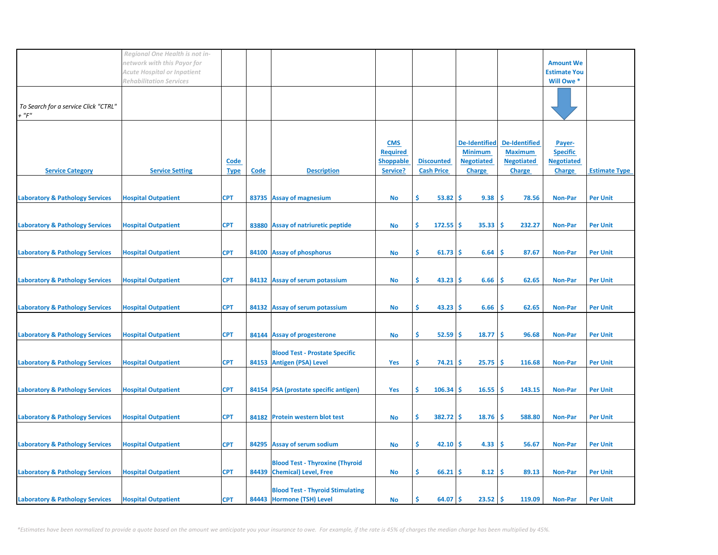|                                               | Regional One Health is not in-<br>network with this Payor for<br><b>Acute Hospital or Inpatient</b> |                     |       |                                                                       |                                                               |                                        |                                                                              |                                                                              | <b>Amount We</b><br><b>Estimate You</b>                         |                      |
|-----------------------------------------------|-----------------------------------------------------------------------------------------------------|---------------------|-------|-----------------------------------------------------------------------|---------------------------------------------------------------|----------------------------------------|------------------------------------------------------------------------------|------------------------------------------------------------------------------|-----------------------------------------------------------------|----------------------|
|                                               | <b>Rehabilitation Services</b>                                                                      |                     |       |                                                                       |                                                               |                                        |                                                                              |                                                                              | Will Owe *                                                      |                      |
| To Search for a service Click "CTRL"<br>+ "F" |                                                                                                     |                     |       |                                                                       |                                                               |                                        |                                                                              |                                                                              |                                                                 |                      |
| <b>Service Category</b>                       | <b>Service Setting</b>                                                                              | Code<br><b>Type</b> | Code  | <b>Description</b>                                                    | <b>CMS</b><br><b>Required</b><br><b>Shoppable</b><br>Service? | <b>Discounted</b><br><b>Cash Price</b> | <b>De-Identified</b><br><b>Minimum</b><br><b>Negotiated</b><br><b>Charge</b> | <b>De-Identified</b><br><b>Maximum</b><br><b>Negotiated</b><br><b>Charge</b> | Payer-<br><b>Specific</b><br><b>Negotiated</b><br><b>Charge</b> | <b>Estimate Type</b> |
| <b>Laboratory &amp; Pathology Services</b>    | <b>Hospital Outpatient</b>                                                                          | <b>CPT</b>          |       | 83735 Assay of magnesium                                              | No                                                            | Ś.<br>53.82                            | 9.38<br>Ŝ                                                                    | -\$<br>78.56                                                                 | <b>Non-Par</b>                                                  | <b>Per Unit</b>      |
| <b>Laboratory &amp; Pathology Services</b>    | <b>Hospital Outpatient</b>                                                                          | <b>CPT</b>          | 83880 | Assay of natriuretic peptide                                          | <b>No</b>                                                     | Ś<br>$172.55$ \$                       | 35.33                                                                        | Ŝ<br>232.27                                                                  | <b>Non-Par</b>                                                  | <b>Per Unit</b>      |
| <b>Laboratory &amp; Pathology Services</b>    | <b>Hospital Outpatient</b>                                                                          | <b>CPT</b>          | 84100 | <b>Assay of phosphorus</b>                                            | <b>No</b>                                                     | \$<br>$61.73$ \$                       | 6.64                                                                         | Ŝ<br>87.67                                                                   | <b>Non-Par</b>                                                  | <b>Per Unit</b>      |
| <b>Laboratory &amp; Pathology Services</b>    | <b>Hospital Outpatient</b>                                                                          | <b>CPT</b>          |       | 84132 Assay of serum potassium                                        | No                                                            | \$.<br>$43.23$ \$                      | 6.66                                                                         | Ŝ<br>62.65                                                                   | <b>Non-Par</b>                                                  | <b>Per Unit</b>      |
| <b>Laboratory &amp; Pathology Services</b>    | <b>Hospital Outpatient</b>                                                                          | <b>CPT</b>          |       | 84132 Assay of serum potassium                                        | <b>No</b>                                                     | \$<br>43.23                            | 6.66<br>-S                                                                   | \$.<br>62.65                                                                 | <b>Non-Par</b>                                                  | <b>Per Unit</b>      |
| <b>Laboratory &amp; Pathology Services</b>    | <b>Hospital Outpatient</b>                                                                          | <b>CPT</b>          |       | 84144 Assay of progesterone                                           | No                                                            | Ś<br>$52.59$ \$                        | 18.77                                                                        | -\$<br>96.68                                                                 | <b>Non-Par</b>                                                  | <b>Per Unit</b>      |
| <b>Laboratory &amp; Pathology Services</b>    | <b>Hospital Outpatient</b>                                                                          | <b>CPT</b>          |       | <b>Blood Test - Prostate Specific</b><br>84153 Antigen (PSA) Level    | Yes                                                           | \$.<br>$74.21$ \$                      | 25.75                                                                        | -Ś<br>116.68                                                                 | <b>Non-Par</b>                                                  | <b>Per Unit</b>      |
| <b>Laboratory &amp; Pathology Services</b>    | <b>Hospital Outpatient</b>                                                                          | <b>CPT</b>          |       | 84154 PSA (prostate specific antigen)                                 | Yes                                                           | \$<br>$106.34$ \$                      | 16.55                                                                        | -\$<br>143.15                                                                | <b>Non-Par</b>                                                  | <b>Per Unit</b>      |
| <b>Laboratory &amp; Pathology Services</b>    | <b>Hospital Outpatient</b>                                                                          | <b>CPT</b>          |       | 84182 Protein western blot test                                       | <b>No</b>                                                     | \$<br>$382.72$ \$                      | 18.76                                                                        | -\$<br>588.80                                                                | <b>Non-Par</b>                                                  | <b>Per Unit</b>      |
| <b>Laboratory &amp; Pathology Services</b>    | <b>Hospital Outpatient</b>                                                                          | <b>CPT</b>          |       | 84295 Assay of serum sodium                                           | No                                                            | \$<br>$42.10$ \$                       | 4.33                                                                         | -\$<br>56.67                                                                 | <b>Non-Par</b>                                                  | <b>Per Unit</b>      |
| <b>Laboratory &amp; Pathology Services</b>    | <b>Hospital Outpatient</b>                                                                          | <b>CPT</b>          |       | <b>Blood Test - Thyroxine (Thyroid</b><br>84439 Chemical) Level, Free | No                                                            | \$.<br>66.21                           | 8.12<br>-S                                                                   | -\$<br>89.13                                                                 | <b>Non-Par</b>                                                  | <b>Per Unit</b>      |
| <b>Laboratory &amp; Pathology Services</b>    | <b>Hospital Outpatient</b>                                                                          | <b>CPT</b>          |       | <b>Blood Test - Thyroid Stimulating</b><br>84443 Hormone (TSH) Level  | No                                                            | Ś<br>64.07                             | -\$<br>23.52                                                                 | -\$<br>119.09                                                                | <b>Non-Par</b>                                                  | <b>Per Unit</b>      |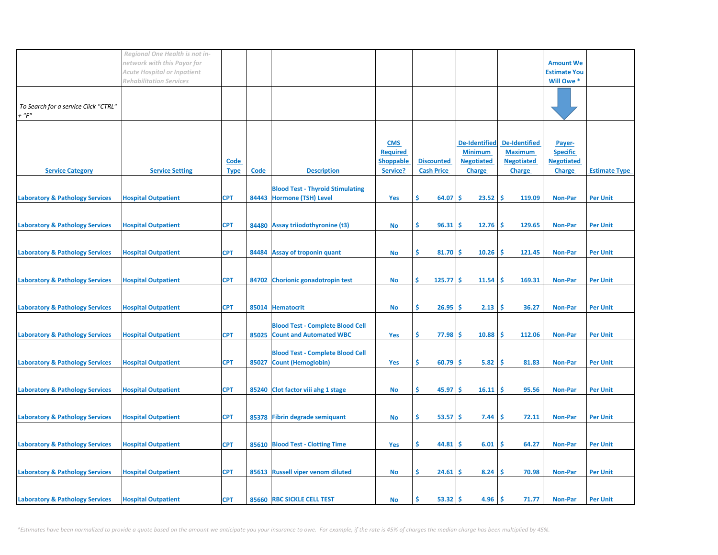|                                                     | Regional One Health is not in-<br>network with this Payor for        |                     |      |                                                                          |                                                               |                                        |                                                                              |                                                                              | <b>Amount We</b>                                                |                      |
|-----------------------------------------------------|----------------------------------------------------------------------|---------------------|------|--------------------------------------------------------------------------|---------------------------------------------------------------|----------------------------------------|------------------------------------------------------------------------------|------------------------------------------------------------------------------|-----------------------------------------------------------------|----------------------|
|                                                     | <b>Acute Hospital or Inpatient</b><br><b>Rehabilitation Services</b> |                     |      |                                                                          |                                                               |                                        |                                                                              |                                                                              | <b>Estimate You</b><br>Will Owe *                               |                      |
| To Search for a service Click "CTRL"<br>$+$ " $F$ " |                                                                      |                     |      |                                                                          |                                                               |                                        |                                                                              |                                                                              |                                                                 |                      |
| <b>Service Category</b>                             | <b>Service Setting</b>                                               | Code<br><u>Type</u> | Code | <b>Description</b>                                                       | <b>CMS</b><br><b>Required</b><br><b>Shoppable</b><br>Service? | <b>Discounted</b><br><b>Cash Price</b> | <b>De-Identified</b><br><b>Minimum</b><br><b>Negotiated</b><br><b>Charge</b> | <b>De-Identified</b><br><b>Maximum</b><br><b>Negotiated</b><br><b>Charge</b> | Payer-<br><b>Specific</b><br><b>Negotiated</b><br><b>Charge</b> | <b>Estimate Type</b> |
| <b>Laboratory &amp; Pathology Services</b>          | <b>Hospital Outpatient</b>                                           | <b>CPT</b>          |      | <b>Blood Test - Thyroid Stimulating</b><br>84443 Hormone (TSH) Level     | Yes                                                           | \$<br>64.07                            | 23.52<br>Ŝ.                                                                  | -Ś<br>119.09                                                                 | <b>Non-Par</b>                                                  | <b>Per Unit</b>      |
| <b>Laboratory &amp; Pathology Services</b>          | <b>Hospital Outpatient</b>                                           | <b>CPT</b>          |      | 84480 Assay triiodothyronine (t3)                                        | No                                                            | \$<br>$96.31$ \$                       | 12.76                                                                        | -\$<br>129.65                                                                | <b>Non-Par</b>                                                  | <b>Per Unit</b>      |
| <b>Laboratory &amp; Pathology Services</b>          | <b>Hospital Outpatient</b>                                           | <b>CPT</b>          |      | 84484 Assay of troponin quant                                            | <b>No</b>                                                     | \$.<br>$81.70$ \$                      | 10.26                                                                        | -\$<br>121.45                                                                | <b>Non-Par</b>                                                  | <b>Per Unit</b>      |
| <b>Laboratory &amp; Pathology Services</b>          | <b>Hospital Outpatient</b>                                           | <b>CPT</b>          |      | 84702 Chorionic gonadotropin test                                        | <b>No</b>                                                     | \$<br>$125.77$ \$                      | 11.54                                                                        | -\$<br>169.31                                                                | <b>Non-Par</b>                                                  | <b>Per Unit</b>      |
| <b>Laboratory &amp; Pathology Services</b>          | <b>Hospital Outpatient</b>                                           | <b>CPT</b>          |      | 85014 Hematocrit                                                         | No                                                            | \$<br>26.95                            | 2.13<br>-\$                                                                  | -\$<br>36.27                                                                 | <b>Non-Par</b>                                                  | <b>Per Unit</b>      |
| <b>Laboratory &amp; Pathology Services</b>          | <b>Hospital Outpatient</b>                                           | <b>CPT</b>          |      | <b>Blood Test - Complete Blood Cell</b><br>85025 Count and Automated WBC | Yes                                                           | \$<br>$77.98$ \$                       | 10.88                                                                        | -Ś<br>112.06                                                                 | <b>Non-Par</b>                                                  | <b>Per Unit</b>      |
| <b>Laboratory &amp; Pathology Services</b>          | <b>Hospital Outpatient</b>                                           | <b>CPT</b>          |      | <b>Blood Test - Complete Blood Cell</b><br>85027 Count (Hemoglobin)      | Yes                                                           | \$.<br>$60.79$ \$                      | 5.82                                                                         | -\$<br>81.83                                                                 | Non-Par                                                         | <b>Per Unit</b>      |
| <b>Laboratory &amp; Pathology Services</b>          | <b>Hospital Outpatient</b>                                           | <b>CPT</b>          |      | 85240 Clot factor viii ahg 1 stage                                       | No                                                            | \$.<br>45.97S                          | 16.11                                                                        | -\$<br>95.56                                                                 | Non-Par                                                         | <b>Per Unit</b>      |
| <b>Laboratory &amp; Pathology Services</b>          | <b>Hospital Outpatient</b>                                           | <b>CPT</b>          |      | 85378 Fibrin degrade semiquant                                           | <b>No</b>                                                     | \$<br>$53.57$ \$                       | 7.44                                                                         | \$<br>72.11                                                                  | <b>Non-Par</b>                                                  | <b>Per Unit</b>      |
| <b>Laboratory &amp; Pathology Services</b>          | <b>Hospital Outpatient</b>                                           | <b>CPT</b>          |      | 85610 Blood Test - Clotting Time                                         | Yes                                                           | \$<br>$44.81$ \$                       | 6.01                                                                         | -\$<br>64.27                                                                 | <b>Non-Par</b>                                                  | <b>Per Unit</b>      |
| <b>Laboratory &amp; Pathology Services</b>          | <b>Hospital Outpatient</b>                                           | <b>CPT</b>          |      | 85613 Russell viper venom diluted                                        | No                                                            | \$.<br>$24.61$ \$                      | 8.24                                                                         | -\$<br>70.98                                                                 | <b>Non-Par</b>                                                  | <b>Per Unit</b>      |
| <b>Laboratory &amp; Pathology Services</b>          | <b>Hospital Outpatient</b>                                           | <b>CPT</b>          |      | 85660 RBC SICKLE CELL TEST                                               | No                                                            | \$<br>$53.32$ \$                       | 4.96                                                                         | -\$<br>71.77                                                                 | Non-Par                                                         | <b>Per Unit</b>      |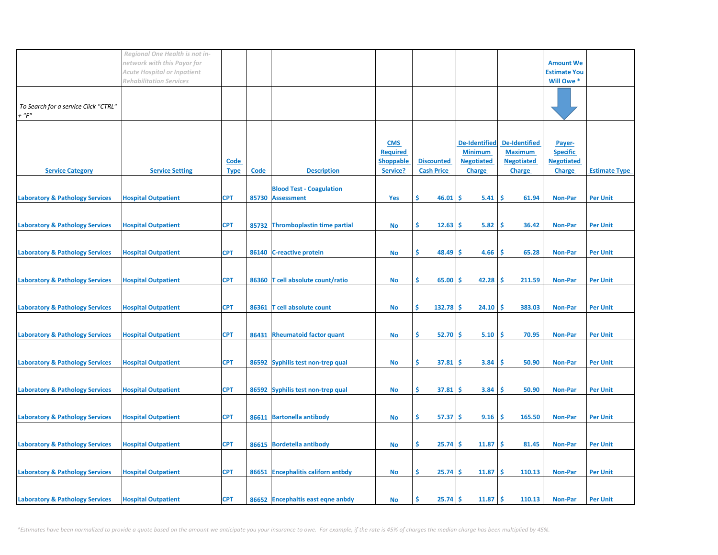|                                               | Regional One Health is not in-<br>network with this Payor for<br><b>Acute Hospital or Inpatient</b> |                     |       |                                                     |                                                               |                                        |                                                                              |                                                                       | <b>Amount We</b><br><b>Estimate You</b>                         |                      |
|-----------------------------------------------|-----------------------------------------------------------------------------------------------------|---------------------|-------|-----------------------------------------------------|---------------------------------------------------------------|----------------------------------------|------------------------------------------------------------------------------|-----------------------------------------------------------------------|-----------------------------------------------------------------|----------------------|
| To Search for a service Click "CTRL"<br>+ "F" | <b>Rehabilitation Services</b>                                                                      |                     |       |                                                     |                                                               |                                        |                                                                              |                                                                       | Will Owe *                                                      |                      |
| <b>Service Category</b>                       | <b>Service Setting</b>                                                                              | Code<br><b>Type</b> | Code  | <b>Description</b>                                  | <b>CMS</b><br><b>Required</b><br><b>Shoppable</b><br>Service? | <b>Discounted</b><br><b>Cash Price</b> | <b>De-Identified</b><br><b>Minimum</b><br><b>Negotiated</b><br><b>Charge</b> | De-Identified<br><b>Maximum</b><br><b>Negotiated</b><br><b>Charge</b> | Payer-<br><b>Specific</b><br><b>Negotiated</b><br><b>Charge</b> | <b>Estimate Type</b> |
| <b>Laboratory &amp; Pathology Services</b>    | <b>Hospital Outpatient</b>                                                                          | <b>CPT</b>          |       | <b>Blood Test - Coagulation</b><br>85730 Assessment | Yes                                                           | \$<br>46.01                            | Ŝ<br>5.41                                                                    | -\$<br>61.94                                                          | <b>Non-Par</b>                                                  | <b>Per Unit</b>      |
| <b>Laboratory &amp; Pathology Services</b>    | <b>Hospital Outpatient</b>                                                                          | <b>CPT</b>          | 85732 | Thromboplastin time partial                         | <b>No</b>                                                     | Ś.<br>12.63                            | 5.82<br>-S                                                                   | Ś<br>36.42                                                            | <b>Non-Par</b>                                                  | <b>Per Unit</b>      |
| <b>Laboratory &amp; Pathology Services</b>    | <b>Hospital Outpatient</b>                                                                          | <b>CPT</b>          |       | 86140 C-reactive protein                            | <b>No</b>                                                     | \$<br>48.49                            | 4.66<br>s                                                                    | \$.<br>65.28                                                          | <b>Non-Par</b>                                                  | <b>Per Unit</b>      |
| <b>Laboratory &amp; Pathology Services</b>    | <b>Hospital Outpatient</b>                                                                          | <b>CPT</b>          | 86360 | T cell absolute count/ratio                         | No                                                            | \$.<br>65.00                           | 42.28<br>-S                                                                  | -Ś<br>211.59                                                          | <b>Non-Par</b>                                                  | <b>Per Unit</b>      |
| <b>Laboratory &amp; Pathology Services</b>    | <b>Hospital Outpatient</b>                                                                          | <b>CPT</b>          | 86361 | T cell absolute count                               | <b>No</b>                                                     | \$<br>$132.78$ \$                      | 24.10                                                                        | -Ś<br>383.03                                                          | <b>Non-Par</b>                                                  | <b>Per Unit</b>      |
| <b>Laboratory &amp; Pathology Services</b>    | <b>Hospital Outpatient</b>                                                                          | <b>CPT</b>          | 86431 | <b>Rheumatoid factor quant</b>                      | No                                                            | \$<br>$52.70$ \$                       | 5.10                                                                         | -\$<br>70.95                                                          | <b>Non-Par</b>                                                  | <b>Per Unit</b>      |
| <b>Laboratory &amp; Pathology Services</b>    | <b>Hospital Outpatient</b>                                                                          | <b>CPT</b>          |       | 86592 Syphilis test non-trep qual                   | <b>No</b>                                                     | \$<br>$37.81 \;$ \$                    | 3.84                                                                         | \$<br>50.90                                                           | <b>Non-Par</b>                                                  | <b>Per Unit</b>      |
| <b>Laboratory &amp; Pathology Services</b>    | <b>Hospital Outpatient</b>                                                                          | <b>CPT</b>          |       | 86592 Syphilis test non-trep qual                   | No                                                            | \$<br>$37.81 \;$ \$                    | 3.84                                                                         | \$<br>50.90                                                           | <b>Non-Par</b>                                                  | <b>Per Unit</b>      |
| <b>Laboratory &amp; Pathology Services</b>    | <b>Hospital Outpatient</b>                                                                          | <b>CPT</b>          |       | 86611 Bartonella antibody                           | No                                                            | \$<br>$57.37$ \$                       | 9.16                                                                         | \$<br>165.50                                                          | <b>Non-Par</b>                                                  | <b>Per Unit</b>      |
| <b>Laboratory &amp; Pathology Services</b>    | <b>Hospital Outpatient</b>                                                                          | <b>CPT</b>          |       | 86615 Bordetella antibody                           | No                                                            | \$<br>$25.74$ \$                       | 11.87                                                                        | -\$<br>81.45                                                          | <b>Non-Par</b>                                                  | <b>Per Unit</b>      |
| <b>Laboratory &amp; Pathology Services</b>    | <b>Hospital Outpatient</b>                                                                          | <b>CPT</b>          |       | 86651 Encephalitis californ antbdy                  | No                                                            | \$<br>$25.74$ \$                       | 11.87                                                                        | \$<br>110.13                                                          | <b>Non-Par</b>                                                  | <b>Per Unit</b>      |
| <b>Laboratory &amp; Pathology Services</b>    | <b>Hospital Outpatient</b>                                                                          | <b>CPT</b>          |       | 86652 Encephaltis east eqne anbdy                   | No                                                            | Ś<br>25.74                             | -\$<br>11.87                                                                 | -\$<br>110.13                                                         | <b>Non-Par</b>                                                  | <b>Per Unit</b>      |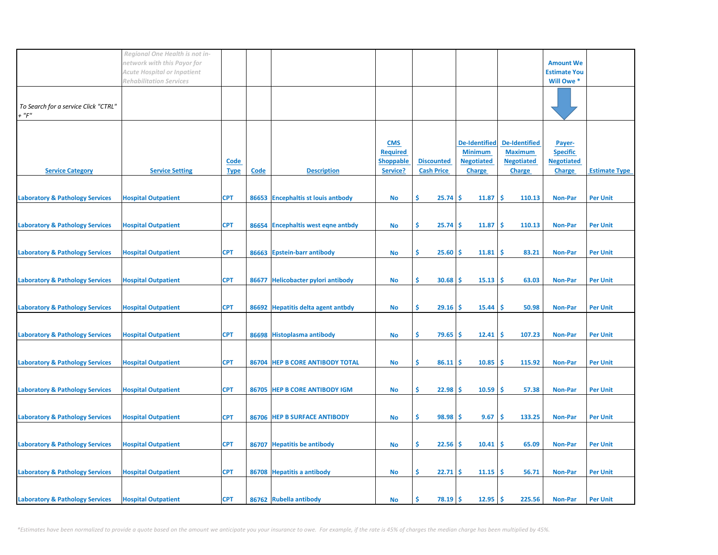|                                                     | Regional One Health is not in-<br>network with this Payor for<br><b>Acute Hospital or Inpatient</b> |                     |      |                                    |                                                               |                                        |                                                                              |                                                                       | <b>Amount We</b><br><b>Estimate You</b>                         |                      |
|-----------------------------------------------------|-----------------------------------------------------------------------------------------------------|---------------------|------|------------------------------------|---------------------------------------------------------------|----------------------------------------|------------------------------------------------------------------------------|-----------------------------------------------------------------------|-----------------------------------------------------------------|----------------------|
|                                                     | <b>Rehabilitation Services</b>                                                                      |                     |      |                                    |                                                               |                                        |                                                                              |                                                                       | Will Owe *                                                      |                      |
| To Search for a service Click "CTRL"<br>$+$ " $F$ " |                                                                                                     |                     |      |                                    |                                                               |                                        |                                                                              |                                                                       |                                                                 |                      |
| <b>Service Category</b>                             | <b>Service Setting</b>                                                                              | Code<br><b>Type</b> | Code | <b>Description</b>                 | <b>CMS</b><br><b>Required</b><br><b>Shoppable</b><br>Service? | <b>Discounted</b><br><b>Cash Price</b> | <b>De-Identified</b><br><b>Minimum</b><br><b>Negotiated</b><br><b>Charge</b> | De-Identified<br><b>Maximum</b><br><b>Negotiated</b><br><b>Charge</b> | Payer-<br><b>Specific</b><br><b>Negotiated</b><br><b>Charge</b> | <b>Estimate Type</b> |
| <b>Laboratory &amp; Pathology Services</b>          | <b>Hospital Outpatient</b>                                                                          | <b>CPT</b>          |      | 86653 Encephaltis st louis antbody | <b>No</b>                                                     | \$<br>25.74                            | -Ś<br>11.87                                                                  | -Ś<br>110.13                                                          | <b>Non-Par</b>                                                  | <b>Per Unit</b>      |
|                                                     |                                                                                                     |                     |      |                                    |                                                               |                                        |                                                                              |                                                                       |                                                                 |                      |
| <b>Laboratory &amp; Pathology Services</b>          | <b>Hospital Outpatient</b>                                                                          | <b>CPT</b>          |      | 86654 Encephaltis west eqne antbdy | No                                                            | \$<br>$25.74$ \$                       | 11.87                                                                        | -\$<br>110.13                                                         | <b>Non-Par</b>                                                  | <b>Per Unit</b>      |
| <b>Laboratory &amp; Pathology Services</b>          | <b>Hospital Outpatient</b>                                                                          | <b>CPT</b>          |      | 86663 Epstein-barr antibody        | No                                                            | \$.<br>$25.60$ \$                      | 11.81                                                                        | -\$<br>83.21                                                          | <b>Non-Par</b>                                                  | <b>Per Unit</b>      |
| <b>Laboratory &amp; Pathology Services</b>          | <b>Hospital Outpatient</b>                                                                          | <b>CPT</b>          |      | 86677 Helicobacter pylori antibody | <b>No</b>                                                     | \$<br>$30.68$ \$                       | $15.13$ \$                                                                   | 63.03                                                                 | <b>Non-Par</b>                                                  | <b>Per Unit</b>      |
| <b>Laboratory &amp; Pathology Services</b>          | <b>Hospital Outpatient</b>                                                                          | <b>CPT</b>          |      | 86692 Hepatitis delta agent antbdy | No                                                            | \$<br>$29.16$ \$                       | 15.44                                                                        | -\$<br>50.98                                                          | <b>Non-Par</b>                                                  | <b>Per Unit</b>      |
| <b>Laboratory &amp; Pathology Services</b>          | <b>Hospital Outpatient</b>                                                                          | <b>CPT</b>          |      | 86698 Histoplasma antibody         | No                                                            | \$<br>$79.65$ \$                       | 12.41                                                                        | -\$<br>107.23                                                         | <b>Non-Par</b>                                                  | <b>Per Unit</b>      |
| <b>Laboratory &amp; Pathology Services</b>          | <b>Hospital Outpatient</b>                                                                          | <b>CPT</b>          |      | 86704 HEP B CORE ANTIBODY TOTAL    | No                                                            | \$.<br>$86.11$ \$                      | 10.85                                                                        | -\$<br>115.92                                                         | <b>Non-Par</b>                                                  | <b>Per Unit</b>      |
| <b>Laboratory &amp; Pathology Services</b>          | <b>Hospital Outpatient</b>                                                                          | <b>CPT</b>          |      | 86705 HEP B CORE ANTIBODY IGM      | No                                                            | \$<br>$22.98$ \$                       | 10.59                                                                        | -\$<br>57.38                                                          | <b>Non-Par</b>                                                  | <b>Per Unit</b>      |
|                                                     |                                                                                                     |                     |      |                                    |                                                               |                                        |                                                                              |                                                                       |                                                                 |                      |
| <b>Laboratory &amp; Pathology Services</b>          | <b>Hospital Outpatient</b>                                                                          | <b>CPT</b>          |      | 86706 HEP B SURFACE ANTIBODY       | <b>No</b>                                                     | \$<br>$98.98$ \$                       | 9.67                                                                         | \$<br>133.25                                                          | <b>Non-Par</b>                                                  | <b>Per Unit</b>      |
| <b>Laboratory &amp; Pathology Services</b>          | <b>Hospital Outpatient</b>                                                                          | <b>CPT</b>          |      | 86707 Hepatitis be antibody        | No                                                            | \$.<br>$22.56$ \$                      | 10.41                                                                        | -\$<br>65.09                                                          | <b>Non-Par</b>                                                  | <b>Per Unit</b>      |
| <b>Laboratory &amp; Pathology Services</b>          | <b>Hospital Outpatient</b>                                                                          | <b>CPT</b>          |      | 86708 Hepatitis a antibody         | No                                                            | \$.<br>$22.71$ \$                      | 11.15                                                                        | ∣\$<br>56.71                                                          | <b>Non-Par</b>                                                  | <b>Per Unit</b>      |
|                                                     |                                                                                                     |                     |      |                                    |                                                               |                                        |                                                                              |                                                                       |                                                                 |                      |
| <b>Laboratory &amp; Pathology Services</b>          | <b>Hospital Outpatient</b>                                                                          | <b>CPT</b>          |      | 86762 Rubella antibody             | No                                                            | \$<br>$78.19$ \$                       | 12.95                                                                        | -\$<br>225.56                                                         | <b>Non-Par</b>                                                  | <b>Per Unit</b>      |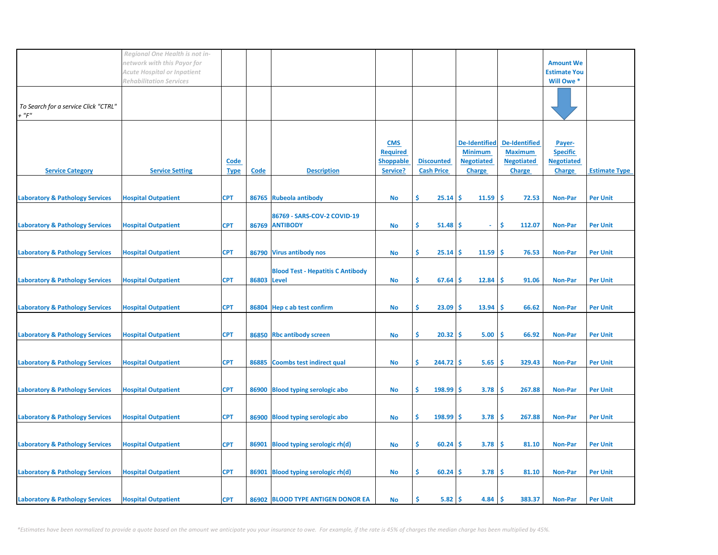|                                                     | Regional One Health is not in-<br>network with this Payor for        |                     |             |                                               |                                                               |                                               |                                                                              |                                                                       | <b>Amount We</b>                                                |                      |
|-----------------------------------------------------|----------------------------------------------------------------------|---------------------|-------------|-----------------------------------------------|---------------------------------------------------------------|-----------------------------------------------|------------------------------------------------------------------------------|-----------------------------------------------------------------------|-----------------------------------------------------------------|----------------------|
|                                                     | <b>Acute Hospital or Inpatient</b><br><b>Rehabilitation Services</b> |                     |             |                                               |                                                               |                                               |                                                                              |                                                                       | <b>Estimate You</b><br>Will Owe *                               |                      |
| To Search for a service Click "CTRL"<br>$+$ " $F$ " |                                                                      |                     |             |                                               |                                                               |                                               |                                                                              |                                                                       |                                                                 |                      |
| <b>Service Category</b>                             | <b>Service Setting</b>                                               | Code<br><u>Type</u> | Code        | <b>Description</b>                            | <b>CMS</b><br><b>Required</b><br><b>Shoppable</b><br>Service? | <b>Discounted</b><br><b>Cash Price</b>        | <b>De-Identified</b><br><b>Minimum</b><br><b>Negotiated</b><br><b>Charge</b> | De-Identified<br><b>Maximum</b><br><b>Negotiated</b><br><b>Charge</b> | Payer-<br><b>Specific</b><br><b>Negotiated</b><br><b>Charge</b> | <b>Estimate Type</b> |
| <b>Laboratory &amp; Pathology Services</b>          | <b>Hospital Outpatient</b>                                           | <b>CPT</b>          |             | 86765 Rubeola antibody                        | <b>No</b>                                                     | \$<br>$25.14$ \$                              | 11.59                                                                        | <b>S</b><br>72.53                                                     | <b>Non-Par</b>                                                  | <b>Per Unit</b>      |
| <b>Laboratory &amp; Pathology Services</b>          | <b>Hospital Outpatient</b>                                           | <b>CPT</b>          |             | 86769 - SARS-COV-2 COVID-19<br>86769 ANTIBODY | No                                                            | \$<br>$51.48$ \$                              | $\omega$                                                                     | \$<br>112.07                                                          | <b>Non-Par</b>                                                  | <b>Per Unit</b>      |
| <b>Laboratory &amp; Pathology Services</b>          | <b>Hospital Outpatient</b>                                           | <b>CPT</b>          |             | 86790 Virus antibody nos                      | <b>No</b>                                                     | \$.<br>$25.14$ \$                             | 11.59                                                                        | \$<br>76.53                                                           | <b>Non-Par</b>                                                  | <b>Per Unit</b>      |
| <b>Laboratory &amp; Pathology Services</b>          | <b>Hospital Outpatient</b>                                           | <b>CPT</b>          | 86803 Level | <b>Blood Test - Hepatitis C Antibody</b>      | No                                                            | \$<br>$67.64$ \$                              | 12.84                                                                        | -\$<br>91.06                                                          | <b>Non-Par</b>                                                  | <b>Per Unit</b>      |
| <b>Laboratory &amp; Pathology Services</b>          | <b>Hospital Outpatient</b>                                           | <b>CPT</b>          |             | 86804 Hep c ab test confirm                   | No                                                            | \$<br>23.09                                   | 13.94<br>\$.                                                                 | -\$<br>66.62                                                          | <b>Non-Par</b>                                                  | <b>Per Unit</b>      |
| <b>Laboratory &amp; Pathology Services</b>          | <b>Hospital Outpatient</b>                                           | <b>CPT</b>          |             | 86850 Rbc antibody screen                     | No                                                            | \$<br>$20.32$ \$                              | 5.00                                                                         | -\$<br>66.92                                                          | <b>Non-Par</b>                                                  | <b>Per Unit</b>      |
| <b>Laboratory &amp; Pathology Services</b>          | <b>Hospital Outpatient</b>                                           | <b>CPT</b>          |             | 86885 Coombs test indirect qual               | No                                                            | \$<br>$244.72$ \$                             | 5.65                                                                         | \$<br>329.43                                                          | <b>Non-Par</b>                                                  | <b>Per Unit</b>      |
| <b>Laboratory &amp; Pathology Services</b>          | <b>Hospital Outpatient</b>                                           | <b>CPT</b>          |             | 86900 Blood typing serologic abo              | No                                                            | \$<br>$198.99$ \$                             | 3.78                                                                         | -\$<br>267.88                                                         | <b>Non-Par</b>                                                  | <b>Per Unit</b>      |
| <b>Laboratory &amp; Pathology Services</b>          | <b>Hospital Outpatient</b>                                           | <b>CPT</b>          |             | 86900 Blood typing serologic abo              | <b>No</b>                                                     | \$<br>$198.99$ \$                             | 3.78                                                                         | -\$<br>267.88                                                         | <b>Non-Par</b>                                                  | <b>Per Unit</b>      |
| <b>Laboratory &amp; Pathology Services</b>          | <b>Hospital Outpatient</b>                                           | <b>CPT</b>          | 86901       | Blood typing serologic rh(d)                  | No                                                            | \$.<br>$60.24$ \$                             | 3.78                                                                         | -\$<br>81.10                                                          | <b>Non-Par</b>                                                  | <b>Per Unit</b>      |
| <b>Laboratory &amp; Pathology Services</b>          | <b>Hospital Outpatient</b>                                           | <b>CPT</b>          |             | 86901 Blood typing serologic rh(d)            | <b>No</b>                                                     | \$<br>$60.24$ \$                              | 3.78                                                                         | -\$<br>81.10                                                          | <b>Non-Par</b>                                                  | <b>Per Unit</b>      |
| <b>Laboratory &amp; Pathology Services</b>          | <b>Hospital Outpatient</b>                                           | <b>CPT</b>          |             | 86902 BLOOD TYPE ANTIGEN DONOR EA             | No                                                            | \$.<br>$5.82 \, \cancel{\hspace{1.5pt}}\,$ \$ | 4.84                                                                         | -\$<br>383.37                                                         | <b>Non-Par</b>                                                  | <b>Per Unit</b>      |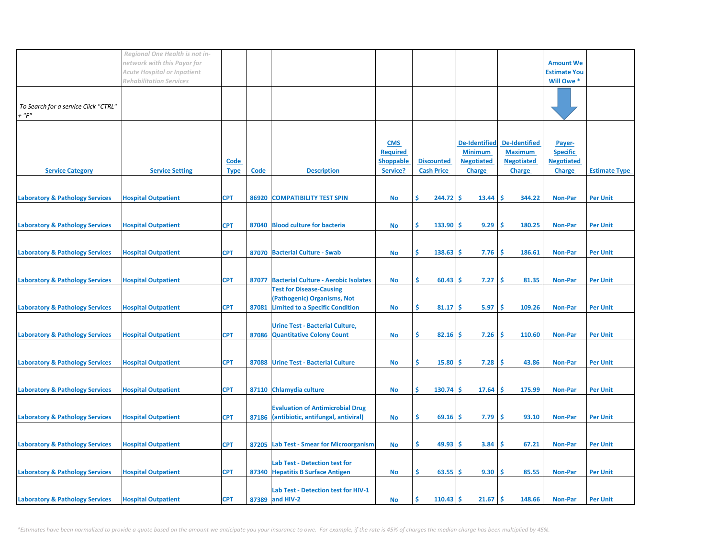|                                               | Regional One Health is not in-<br>network with this Payor for<br><b>Acute Hospital or Inpatient</b> |                     |       |                                                                                                          |                                                               |                                        |                                                                              |                                                                              | <b>Amount We</b><br><b>Estimate You</b>                         |                      |
|-----------------------------------------------|-----------------------------------------------------------------------------------------------------|---------------------|-------|----------------------------------------------------------------------------------------------------------|---------------------------------------------------------------|----------------------------------------|------------------------------------------------------------------------------|------------------------------------------------------------------------------|-----------------------------------------------------------------|----------------------|
|                                               | <b>Rehabilitation Services</b>                                                                      |                     |       |                                                                                                          |                                                               |                                        |                                                                              |                                                                              | Will Owe *                                                      |                      |
| To Search for a service Click "CTRL"<br>+ "F" |                                                                                                     |                     |       |                                                                                                          |                                                               |                                        |                                                                              |                                                                              |                                                                 |                      |
| <b>Service Category</b>                       | <b>Service Setting</b>                                                                              | Code<br><b>Type</b> | Code  | <b>Description</b>                                                                                       | <b>CMS</b><br><b>Required</b><br><b>Shoppable</b><br>Service? | <b>Discounted</b><br><b>Cash Price</b> | <b>De-Identified</b><br><b>Minimum</b><br><b>Negotiated</b><br><b>Charge</b> | <b>De-Identified</b><br><b>Maximum</b><br><b>Negotiated</b><br><b>Charge</b> | Payer-<br><b>Specific</b><br><b>Negotiated</b><br><b>Charge</b> | <b>Estimate Type</b> |
| <b>Laboratory &amp; Pathology Services</b>    | <b>Hospital Outpatient</b>                                                                          | <b>CPT</b>          | 86920 | <b>COMPATIBILITY TEST SPIN</b>                                                                           | No                                                            | Ŝ<br>$244.72$ \$                       | 13.44                                                                        | Ś<br>344.22                                                                  | <b>Non-Par</b>                                                  | <b>Per Unit</b>      |
| <b>Laboratory &amp; Pathology Services</b>    | <b>Hospital Outpatient</b>                                                                          | <b>CPT</b>          | 87040 | <b>Blood culture for bacteria</b>                                                                        | <b>No</b>                                                     | Ś<br>$133.90$ \$                       | 9.29                                                                         | Ŝ<br>180.25                                                                  | <b>Non-Par</b>                                                  | <b>Per Unit</b>      |
| <b>Laboratory &amp; Pathology Services</b>    | <b>Hospital Outpatient</b>                                                                          | <b>CPT</b>          |       | 87070 Bacterial Culture - Swab                                                                           | No                                                            | \$<br>$138.63$ \$                      | 7.76                                                                         | \$.<br>186.61                                                                | <b>Non-Par</b>                                                  | <b>Per Unit</b>      |
| <b>Laboratory &amp; Pathology Services</b>    | <b>Hospital Outpatient</b>                                                                          | <b>CPT</b>          | 87077 | <b>Bacterial Culture - Aerobic Isolates</b>                                                              | No                                                            | Ś<br>60.43                             | 7.27<br><b>S</b>                                                             | Ŝ<br>81.35                                                                   | <b>Non-Par</b>                                                  | <b>Per Unit</b>      |
| <b>Laboratory &amp; Pathology Services</b>    | <b>Hospital Outpatient</b>                                                                          | <b>CPT</b>          | 87081 | <b>Test for Disease-Causing</b><br>(Pathogenic) Organisms, Not<br><b>Limited to a Specific Condition</b> | No                                                            | \$<br>81.17S                           | 5.97                                                                         | Ŝ<br>109.26                                                                  | <b>Non-Par</b>                                                  | <b>Per Unit</b>      |
| <b>Laboratory &amp; Pathology Services</b>    | <b>Hospital Outpatient</b>                                                                          | <b>CPT</b>          |       | <b>Urine Test - Bacterial Culture,</b><br>87086 Quantitative Colony Count                                | No                                                            | Ś<br>$82.16$ \$                        | 7.26                                                                         | Ŝ<br>110.60                                                                  | <b>Non-Par</b>                                                  | <b>Per Unit</b>      |
| <b>Laboratory &amp; Pathology Services</b>    | <b>Hospital Outpatient</b>                                                                          | <b>CPT</b>          |       | 87088 Urine Test - Bacterial Culture                                                                     | <b>No</b>                                                     | \$.<br>$15.80$ \$                      | 7.28                                                                         | -Ś<br>43.86                                                                  | <b>Non-Par</b>                                                  | <b>Per Unit</b>      |
| <b>Laboratory &amp; Pathology Services</b>    | <b>Hospital Outpatient</b>                                                                          | <b>CPT</b>          |       | 87110 Chlamydia culture                                                                                  | No                                                            | \$<br>$130.74$ \$                      | 17.64                                                                        | -\$<br>175.99                                                                | <b>Non-Par</b>                                                  | <b>Per Unit</b>      |
| <b>Laboratory &amp; Pathology Services</b>    | <b>Hospital Outpatient</b>                                                                          | <b>CPT</b>          |       | <b>Evaluation of Antimicrobial Drug</b><br>87186 (antibiotic, antifungal, antiviral)                     | No                                                            | \$<br>69.16                            | 7.79<br>-S                                                                   | \$<br>93.10                                                                  | <b>Non-Par</b>                                                  | <b>Per Unit</b>      |
| <b>Laboratory &amp; Pathology Services</b>    | <b>Hospital Outpatient</b>                                                                          | <b>CPT</b>          |       | 87205 Lab Test - Smear for Microorganism                                                                 | No                                                            | \$<br>49.93                            | 3.84<br>-S                                                                   | \$<br>67.21                                                                  | <b>Non-Par</b>                                                  | <b>Per Unit</b>      |
| <b>Laboratory &amp; Pathology Services</b>    | <b>Hospital Outpatient</b>                                                                          | <b>CPT</b>          |       | <b>Lab Test - Detection test for</b><br>87340 Hepatitis B Surface Antigen                                | No                                                            | \$<br>$63.55$ \$                       | 9.30                                                                         | -\$<br>85.55                                                                 | <b>Non-Par</b>                                                  | <b>Per Unit</b>      |
| <b>Laboratory &amp; Pathology Services</b>    | <b>Hospital Outpatient</b>                                                                          | <b>CPT</b>          |       | Lab Test - Detection test for HIV-1<br>87389 and HIV-2                                                   | No                                                            | Ś<br>$110.43$ \$                       | 21.67                                                                        | -\$<br>148.66                                                                | <b>Non-Par</b>                                                  | <b>Per Unit</b>      |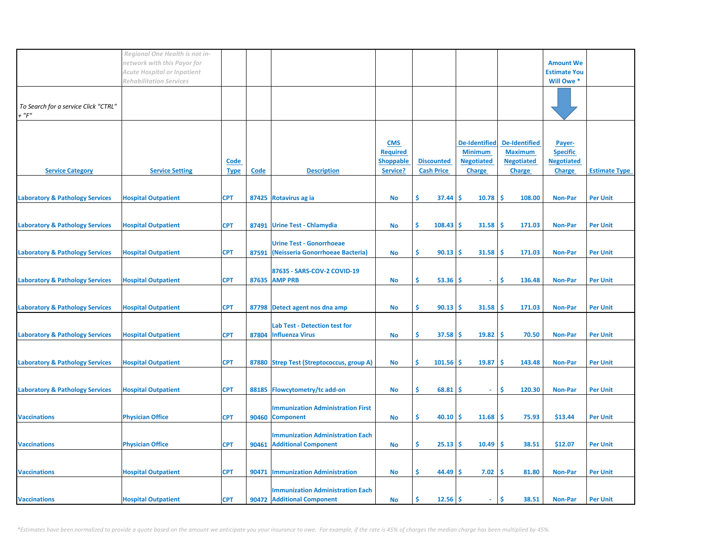|                                                         | Regional One Health is not in-                                    |                            |       |                                           |                              |                                        |                                    |                                    |                                         |                      |
|---------------------------------------------------------|-------------------------------------------------------------------|----------------------------|-------|-------------------------------------------|------------------------------|----------------------------------------|------------------------------------|------------------------------------|-----------------------------------------|----------------------|
|                                                         | network with this Payor for<br><b>Acute Hospital or Inpatient</b> |                            |       |                                           |                              |                                        |                                    |                                    | <b>Amount We</b><br><b>Estimate You</b> |                      |
|                                                         | <b>Rehabilitation Services</b>                                    |                            |       |                                           |                              |                                        |                                    |                                    | Will Owe *                              |                      |
|                                                         |                                                                   |                            |       |                                           |                              |                                        |                                    |                                    |                                         |                      |
| To Search for a service Click "CTRL"<br>$\cdot$ " $F$ " |                                                                   |                            |       |                                           |                              |                                        |                                    |                                    |                                         |                      |
|                                                         |                                                                   |                            |       |                                           |                              |                                        |                                    |                                    |                                         |                      |
|                                                         |                                                                   |                            |       |                                           | <b>CMS</b>                   |                                        | <b>De-Identified</b>               | <b>De-Identified</b>               | Payer-                                  |                      |
|                                                         |                                                                   |                            |       |                                           | <b>Required</b>              |                                        | <b>Minimum</b>                     | <b>Maximum</b>                     | <b>Specific</b>                         |                      |
| <b>Service Category</b>                                 | <b>Service Setting</b>                                            | <b>Code</b><br><b>Type</b> | Code  | <b>Description</b>                        | <b>Shoppable</b><br>Service? | <b>Discounted</b><br><b>Cash Price</b> | <b>Negotiated</b><br><b>Charge</b> | <b>Negotiated</b><br><b>Charge</b> | <b>Negotiated</b><br><b>Charge</b>      | <b>Estimate Type</b> |
|                                                         |                                                                   |                            |       |                                           |                              |                                        |                                    |                                    |                                         |                      |
| <b>Laboratory &amp; Pathology Services</b>              | <b>Hospital Outpatient</b>                                        | <b>CPT</b>                 |       | 87425 Rotavirus ag ia                     | <b>No</b>                    | \$<br>37.44                            | 10.78<br><b>S</b>                  | -\$<br>108.00                      | <b>Non-Par</b>                          | <b>Per Unit</b>      |
|                                                         |                                                                   |                            |       |                                           |                              |                                        |                                    |                                    |                                         |                      |
| <b>Laboratory &amp; Pathology Services</b>              | <b>Hospital Outpatient</b>                                        | <b>CPT</b>                 | 87491 | <b>Urine Test - Chlamydia</b>             | No                           | \$<br>108.43                           | -S<br>31.58                        | -\$<br>171.03                      | <b>Non-Par</b>                          | <b>Per Unit</b>      |
|                                                         |                                                                   |                            |       | <b>Urine Test - Gonorrhoeae</b>           |                              |                                        |                                    |                                    |                                         |                      |
| <b>Laboratory &amp; Pathology Services</b>              | <b>Hospital Outpatient</b>                                        | <b>CPT</b>                 | 87591 | (Neisseria Gonorrhoeae Bacteria)          | No                           | \$.<br>$90.13$ \$                      | 31.58                              | -Ś<br>171.03                       | Non-Par                                 | <b>Per Unit</b>      |
|                                                         |                                                                   |                            |       | 87635 - SARS-COV-2 COVID-19               |                              |                                        |                                    |                                    |                                         |                      |
| <b>Laboratory &amp; Pathology Services</b>              | <b>Hospital Outpatient</b>                                        | <b>CPT</b>                 |       | 87635 AMP PRB                             | No                           | \$<br>$53.36$ \$                       | $\sim$                             | \$<br>136.48                       | <b>Non-Par</b>                          | <b>Per Unit</b>      |
|                                                         |                                                                   |                            |       |                                           |                              |                                        |                                    |                                    |                                         |                      |
| <b>Laboratory &amp; Pathology Services</b>              | <b>Hospital Outpatient</b>                                        | <b>CPT</b>                 |       | 87798 Detect agent nos dna amp            | No                           | \$<br>$90.13$ \$                       | 31.58                              | Ŝ<br>171.03                        | <b>Non-Par</b>                          | <b>Per Unit</b>      |
|                                                         |                                                                   |                            |       | <b>Lab Test - Detection test for</b>      |                              |                                        |                                    |                                    |                                         |                      |
| <b>Laboratory &amp; Pathology Services</b>              | <b>Hospital Outpatient</b>                                        | <b>CPT</b>                 |       | 87804 Influenza Virus                     | No                           | \$.<br>$37.58$ \$                      | 19.82                              | ۱\$<br>70.50                       | <b>Non-Par</b>                          | <b>Per Unit</b>      |
|                                                         |                                                                   |                            |       |                                           |                              |                                        |                                    |                                    |                                         |                      |
| <b>Laboratory &amp; Pathology Services</b>              | <b>Hospital Outpatient</b>                                        | <b>CPT</b>                 |       | 87880 Strep Test (Streptococcus, group A) | No                           | \$<br>$101.56$ \$                      | 19.87                              | \$<br>143.48                       | <b>Non-Par</b>                          | <b>Per Unit</b>      |
|                                                         |                                                                   |                            |       |                                           |                              |                                        |                                    |                                    |                                         |                      |
| <b>Laboratory &amp; Pathology Services</b>              | <b>Hospital Outpatient</b>                                        | <b>CPT</b>                 |       | 88185 Flowcytometry/tc add-on             | <b>No</b>                    | \$.<br>68.81                           | -S<br>$\omega$                     | \$<br>120.30                       | <b>Non-Par</b>                          | <b>Per Unit</b>      |
|                                                         |                                                                   |                            |       | <b>Immunization Administration First</b>  |                              |                                        |                                    |                                    |                                         |                      |
| <b>Vaccinations</b>                                     | <b>Physician Office</b>                                           | <b>CPT</b>                 |       | 90460 Component                           | No                           | \$<br>$40.10$ \$                       | 11.68                              | -\$<br>75.93                       | \$13.44                                 | <b>Per Unit</b>      |
|                                                         |                                                                   |                            |       | <b>Immunization Administration Each</b>   |                              |                                        |                                    |                                    |                                         |                      |
| <b>Vaccinations</b>                                     | <b>Physician Office</b>                                           | <b>CPT</b>                 |       | 90461 Additional Component                | No                           | \$.<br>$25.13$ \$                      | 10.49                              | ۱\$<br>38.51                       | \$12.07                                 | <b>Per Unit</b>      |
|                                                         |                                                                   |                            |       |                                           |                              |                                        |                                    |                                    |                                         |                      |
| <b>Vaccinations</b>                                     | <b>Hospital Outpatient</b>                                        | <b>CPT</b>                 | 90471 | <b>Immunization Administration</b>        | No                           | \$.<br>$44.49$ \$                      | 7.02                               | -\$<br>81.80                       | <b>Non-Par</b>                          | <b>Per Unit</b>      |
|                                                         |                                                                   |                            |       | <b>Immunization Administration Each</b>   |                              |                                        |                                    |                                    |                                         |                      |
| <b>Vaccinations</b>                                     | <b>Hospital Outpatient</b>                                        | <b>CPT</b>                 |       | 90472 Additional Component                | No                           | \$<br>$12.56 \, \text{S}$              | $\sim$                             | \$<br>38.51                        | Non-Par                                 | <b>Per Unit</b>      |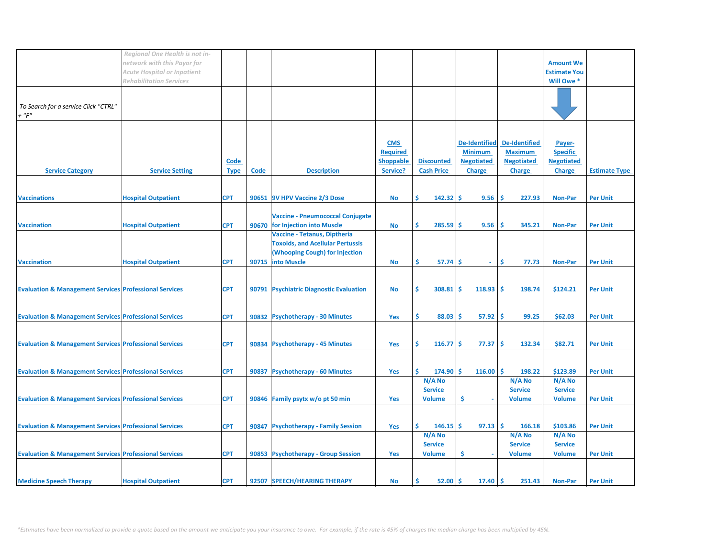|                                                                   | Regional One Health is not in-<br>network with this Payor for        |             |             |                                                     |                  |                                      |                      |                          | <b>Amount We</b>                  |                      |
|-------------------------------------------------------------------|----------------------------------------------------------------------|-------------|-------------|-----------------------------------------------------|------------------|--------------------------------------|----------------------|--------------------------|-----------------------------------|----------------------|
|                                                                   | <b>Acute Hospital or Inpatient</b><br><b>Rehabilitation Services</b> |             |             |                                                     |                  |                                      |                      |                          | <b>Estimate You</b><br>Will Owe * |                      |
| To Search for a service Click "CTRL"<br>$+$ " $F$ "               |                                                                      |             |             |                                                     |                  |                                      |                      |                          |                                   |                      |
|                                                                   |                                                                      |             |             |                                                     | <b>CMS</b>       |                                      | <b>De-Identified</b> | <b>De-Identified</b>     | Payer-                            |                      |
|                                                                   |                                                                      |             |             |                                                     | <b>Required</b>  |                                      | <b>Minimum</b>       | <b>Maximum</b>           | <b>Specific</b>                   |                      |
|                                                                   |                                                                      | Code        |             |                                                     | <b>Shoppable</b> | <b>Discounted</b>                    | <b>Negotiated</b>    | <b>Negotiated</b>        | <b>Negotiated</b>                 |                      |
| <b>Service Category</b>                                           | <b>Service Setting</b>                                               | <b>Type</b> | <b>Code</b> | <b>Description</b>                                  | Service?         | <b>Cash Price</b>                    | <b>Charge</b>        | <b>Charge</b>            | <b>Charge</b>                     | <b>Estimate Type</b> |
|                                                                   |                                                                      |             |             |                                                     |                  |                                      |                      |                          |                                   |                      |
| <b>Vaccinations</b>                                               | <b>Hospital Outpatient</b>                                           | <b>CPT</b>  |             | 90651 9V HPV Vaccine 2/3 Dose                       | <b>No</b>        | Ŝ.<br>$142.32 \mid \mathsf{S}$       | 9.56                 | Ŝ<br>227.93              | <b>Non-Par</b>                    | <b>Per Unit</b>      |
|                                                                   |                                                                      |             |             | <b>Vaccine - Pneumococcal Conjugate</b>             |                  |                                      |                      |                          |                                   |                      |
| <b>Vaccination</b>                                                | <b>Hospital Outpatient</b>                                           | <b>CPT</b>  |             | 90670 for Injection into Muscle                     | <b>No</b>        | Ś.<br>285.59                         | 9.56<br>Ŝ            | Ŝ<br>345.21              | <b>Non-Par</b>                    | <b>Per Unit</b>      |
|                                                                   |                                                                      |             |             | Vaccine - Tetanus, Diptheria                        |                  |                                      |                      |                          |                                   |                      |
|                                                                   |                                                                      |             |             | <b>Toxoids, and Acellular Pertussis</b>             |                  |                                      |                      |                          |                                   |                      |
| <b>Vaccination</b>                                                | <b>Hospital Outpatient</b>                                           | <b>CPT</b>  |             | (Whooping Cough) for Injection<br>90715 into Muscle | <b>No</b>        | \$<br>$57.74$ \$                     | $\omega$ .           | Ŝ.<br>77.73              | <b>Non-Par</b>                    | <b>Per Unit</b>      |
|                                                                   |                                                                      |             |             |                                                     |                  |                                      |                      |                          |                                   |                      |
|                                                                   |                                                                      |             |             |                                                     |                  |                                      |                      |                          |                                   |                      |
| <b>Evaluation &amp; Management Services Professional Services</b> |                                                                      | <b>CPT</b>  |             | 90791 Psychiatric Diagnostic Evaluation             | No               | Ŝ.<br>308.81                         | -S<br>118.93         | -Ś<br>198.74             | \$124.21                          | <b>Per Unit</b>      |
|                                                                   |                                                                      |             |             |                                                     |                  |                                      |                      |                          |                                   |                      |
| <b>Evaluation &amp; Management Services Professional Services</b> |                                                                      | <b>CPT</b>  |             | 90832 Psychotherapy - 30 Minutes                    | Yes              | $\left  \mathsf{s} \right $<br>88.03 | 57.92<br>-S          | Ŝ<br>99.25               | \$62.03                           | <b>Per Unit</b>      |
|                                                                   |                                                                      |             |             |                                                     |                  |                                      |                      |                          |                                   |                      |
| <b>Evaluation &amp; Management Services Professional Services</b> |                                                                      | <b>CPT</b>  |             | 90834 Psychotherapy - 45 Minutes                    | Yes              | Ŝ.<br>$116.77$ \$                    | 77.37                | -Ś<br>132.34             | \$82.71                           | <b>Per Unit</b>      |
|                                                                   |                                                                      |             |             |                                                     |                  |                                      |                      |                          |                                   |                      |
|                                                                   |                                                                      |             |             |                                                     |                  |                                      |                      |                          |                                   |                      |
| <b>Evaluation &amp; Management Services Professional Services</b> |                                                                      | <b>CPT</b>  | 90837       | <b>Psychotherapy - 60 Minutes</b>                   | Yes              | S.<br>$174.90$ \$                    | 116.00               | -Ś<br>198.22             | \$123.89                          | <b>Per Unit</b>      |
|                                                                   |                                                                      |             |             |                                                     |                  | N/A No<br><b>Service</b>             |                      | N/A No<br><b>Service</b> | N/A No<br><b>Service</b>          |                      |
| <b>Evaluation &amp; Management Services Professional Services</b> |                                                                      | <b>CPT</b>  |             | 90846 Family psytx w/o pt 50 min                    | Yes              | <b>Volume</b>                        | \$                   | <b>Volume</b>            | <b>Volume</b>                     | <b>Per Unit</b>      |
|                                                                   |                                                                      |             |             |                                                     |                  |                                      |                      |                          |                                   |                      |
| <b>Evaluation &amp; Management Services Professional Services</b> |                                                                      | <b>CPT</b>  |             | 90847 Psychotherapy - Family Session                | Yes              | Ŝ.<br>146.15                         | Ŝ.<br>97.13          | Ŝ.<br>166.18             | \$103.86                          | <b>Per Unit</b>      |
|                                                                   |                                                                      |             |             |                                                     |                  | N/A No                               |                      | N/A No                   | N/A No                            |                      |
|                                                                   |                                                                      |             |             |                                                     |                  | <b>Service</b>                       |                      | <b>Service</b>           | <b>Service</b>                    |                      |
| <b>Evaluation &amp; Management Services Professional Services</b> |                                                                      | <b>CPT</b>  |             | 90853 Psychotherapy - Group Session                 | Yes              | <b>Volume</b>                        | \$                   | <b>Volume</b>            | <b>Volume</b>                     | <b>Per Unit</b>      |
|                                                                   |                                                                      |             |             |                                                     |                  |                                      |                      |                          |                                   |                      |
| <b>Medicine Speech Therapy</b>                                    | <b>Hospital Outpatient</b>                                           | <b>CPT</b>  |             | 92507 SPEECH/HEARING THERAPY                        | No               | Ś.<br>52.00                          | -\$<br>17.40         | Ŝ.<br>251.43             | <b>Non-Par</b>                    | <b>Per Unit</b>      |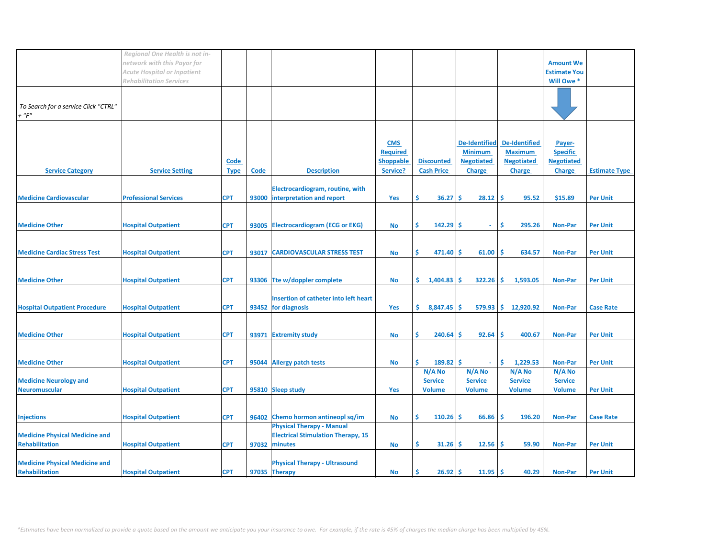| Regional One Health is not in-                                                                                                                                                            |                     |                      |
|-------------------------------------------------------------------------------------------------------------------------------------------------------------------------------------------|---------------------|----------------------|
| network with this Payor for                                                                                                                                                               | <b>Amount We</b>    |                      |
|                                                                                                                                                                                           |                     |                      |
| <b>Acute Hospital or Inpatient</b>                                                                                                                                                        | <b>Estimate You</b> |                      |
| <b>Rehabilitation Services</b>                                                                                                                                                            | Will Owe *          |                      |
|                                                                                                                                                                                           |                     |                      |
|                                                                                                                                                                                           |                     |                      |
| To Search for a service Click "CTRL"                                                                                                                                                      |                     |                      |
| $+$ " $F$ "                                                                                                                                                                               |                     |                      |
|                                                                                                                                                                                           |                     |                      |
|                                                                                                                                                                                           |                     |                      |
| <b>De-Identified</b><br><b>De-Identified</b><br><b>CMS</b>                                                                                                                                | Payer-              |                      |
| <b>Maximum</b><br><b>Required</b><br><b>Minimum</b>                                                                                                                                       | <b>Specific</b>     |                      |
| <b>Shoppable</b><br><b>Discounted</b><br><b>Negotiated</b><br><b>Negotiated</b><br>Code                                                                                                   | <b>Negotiated</b>   |                      |
| <b>Description</b><br><b>Cash Price</b><br><b>Service Category</b><br><b>Service Setting</b><br><b>Code</b><br>Service?<br><b>Charge</b><br><b>Charge</b><br><b>Type</b>                  | <b>Charge</b>       | <b>Estimate Type</b> |
|                                                                                                                                                                                           |                     |                      |
|                                                                                                                                                                                           |                     |                      |
| Electrocardiogram, routine, with                                                                                                                                                          |                     |                      |
| \$<br>\$.<br><b>Medicine Cardiovascular</b><br><b>Professional Services</b><br><b>CPT</b><br>interpretation and report<br>36.27<br>Ŝ<br>28.12<br>95.52<br>93000<br>Yes                    | \$15.89             | <b>Per Unit</b>      |
|                                                                                                                                                                                           |                     |                      |
|                                                                                                                                                                                           |                     |                      |
| <b>CPT</b><br>Ŝ.<br>$142.29$ \$<br>\$<br><b>Medicine Other</b><br><b>Hospital Outpatient</b><br>93005 Electrocardiogram (ECG or EKG)<br><b>No</b><br>295.26<br>$\sim$                     | <b>Non-Par</b>      | <b>Per Unit</b>      |
|                                                                                                                                                                                           |                     |                      |
|                                                                                                                                                                                           |                     |                      |
| 471.40<br>61.00<br>\$.<br>634.57<br><b>Medicine Cardiac Stress Test</b><br><b>Hospital Outpatient</b><br><b>CPT</b><br><b>CARDIOVASCULAR STRESS TEST</b><br>Ŝ.<br>Ŝ<br>93017<br><b>No</b> | <b>Non-Par</b>      | <b>Per Unit</b>      |
|                                                                                                                                                                                           |                     |                      |
|                                                                                                                                                                                           |                     |                      |
| 93306 Tte w/doppler complete<br>\$.<br>Ŝ.<br><b>Medicine Other</b><br><b>Hospital Outpatient</b><br><b>CPT</b><br>1,404.83<br>Ŝ.<br>322.26<br>1,593.05<br><b>No</b>                       | <b>Non-Par</b>      | <b>Per Unit</b>      |
|                                                                                                                                                                                           |                     |                      |
|                                                                                                                                                                                           |                     |                      |
| <b>Insertion of catheter into left heart</b>                                                                                                                                              |                     |                      |
| <b>CPT</b><br>93452 for diagnosis<br>579.93 \$ 12,920.92<br><b>Hospital Outpatient Procedure</b><br><b>Hospital Outpatient</b><br>Yes<br>\$8,847.45<br>\$.                                | <b>Non-Par</b>      | <b>Case Rate</b>     |
|                                                                                                                                                                                           |                     |                      |
|                                                                                                                                                                                           |                     |                      |
| <b>CPT</b><br>Ŝ.<br>240.64<br>92.64<br>-Ś<br><b>Medicine Other</b><br><b>Hospital Outpatient</b><br>-S<br>400.67<br>93971<br><b>Extremity study</b><br><b>No</b>                          | <b>Non-Par</b>      | <b>Per Unit</b>      |
|                                                                                                                                                                                           |                     |                      |
|                                                                                                                                                                                           |                     |                      |
| \$<br>$189.82$ \$<br>\$.<br>1,229.53<br><b>Medicine Other</b><br><b>Hospital Outpatient</b><br><b>CPT</b><br>95044 Allergy patch tests<br><b>No</b>                                       | <b>Non-Par</b>      | <b>Per Unit</b>      |
| N/A No<br>N/A No<br>N/A No                                                                                                                                                                | N/A No              |                      |
| <b>Service</b><br><b>Service</b><br><b>Medicine Neurology and</b><br><b>Service</b>                                                                                                       | <b>Service</b>      |                      |
| <b>Neuromuscular</b><br><b>CPT</b><br>95810 Sleep study<br>Yes<br><b>Hospital Outpatient</b><br><b>Volume</b><br><b>Volume</b><br><b>Volume</b>                                           | <b>Volume</b>       | <b>Per Unit</b>      |
|                                                                                                                                                                                           |                     |                      |
|                                                                                                                                                                                           |                     |                      |
|                                                                                                                                                                                           |                     |                      |
| Ŝ.<br>110.26<br>\$<br>66.86<br>\$.<br><b>Hospital Outpatient</b><br><b>CPT</b><br>96402 Chemo hormon antineopl sq/im<br>196.20<br><b>Injections</b><br><b>No</b>                          | <b>Non-Par</b>      | <b>Case Rate</b>     |
| <b>Physical Therapy - Manual</b>                                                                                                                                                          |                     |                      |
| <b>Electrical Stimulation Therapy, 15</b><br><b>Medicine Physical Medicine and</b>                                                                                                        |                     |                      |
| <b>Rehabilitation</b><br>-\$<br><b>Hospital Outpatient</b><br><b>CPT</b><br>97032 minutes<br>\$.<br>31.26<br>-S<br>12.56<br>59.90<br><b>No</b>                                            | <b>Non-Par</b>      | <b>Per Unit</b>      |
|                                                                                                                                                                                           |                     |                      |
| <b>Medicine Physical Medicine and</b><br><b>Physical Therapy - Ultrasound</b>                                                                                                             |                     |                      |
| <b>CPT</b><br>$11.95$ \$<br>Rehabilitation<br><b>Hospital Outpatient</b><br>97035 Therapy<br>\$<br>$26.92$ \$<br>40.29<br><b>No</b>                                                       | Non-Par             | <b>Per Unit</b>      |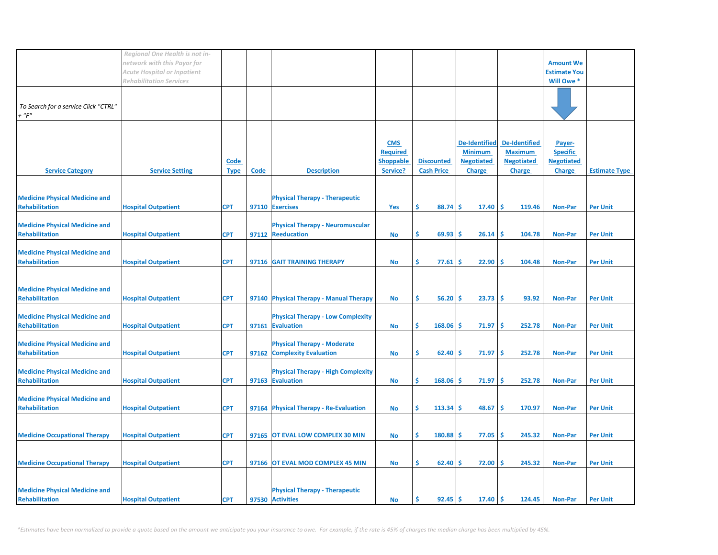|                                       | Regional One Health is not in- |             |      |                                                          |                  |                   |                      |                      |                     |                      |
|---------------------------------------|--------------------------------|-------------|------|----------------------------------------------------------|------------------|-------------------|----------------------|----------------------|---------------------|----------------------|
|                                       | network with this Payor for    |             |      |                                                          |                  |                   |                      |                      | <b>Amount We</b>    |                      |
|                                       | Acute Hospital or Inpatient    |             |      |                                                          |                  |                   |                      |                      | <b>Estimate You</b> |                      |
|                                       | <b>Rehabilitation Services</b> |             |      |                                                          |                  |                   |                      |                      | Will Owe *          |                      |
|                                       |                                |             |      |                                                          |                  |                   |                      |                      |                     |                      |
|                                       |                                |             |      |                                                          |                  |                   |                      |                      |                     |                      |
| To Search for a service Click "CTRL"  |                                |             |      |                                                          |                  |                   |                      |                      |                     |                      |
| $+$ " $F$ "                           |                                |             |      |                                                          |                  |                   |                      |                      |                     |                      |
|                                       |                                |             |      |                                                          |                  |                   |                      |                      |                     |                      |
|                                       |                                |             |      |                                                          |                  |                   |                      |                      |                     |                      |
|                                       |                                |             |      |                                                          | <b>CMS</b>       |                   | <b>De-Identified</b> | <b>De-Identified</b> | Payer-              |                      |
|                                       |                                |             |      |                                                          | <b>Required</b>  |                   | <b>Minimum</b>       | <b>Maximum</b>       | <b>Specific</b>     |                      |
|                                       |                                | Code        |      |                                                          | <b>Shoppable</b> | <b>Discounted</b> | <b>Negotiated</b>    | <b>Negotiated</b>    | <b>Negotiated</b>   |                      |
| <b>Service Category</b>               | <b>Service Setting</b>         | <b>Type</b> | Code | <b>Description</b>                                       | Service?         | <b>Cash Price</b> | <b>Charge</b>        | <b>Charge</b>        | <b>Charge</b>       | <b>Estimate Type</b> |
|                                       |                                |             |      |                                                          |                  |                   |                      |                      |                     |                      |
| <b>Medicine Physical Medicine and</b> |                                |             |      |                                                          |                  |                   |                      |                      |                     |                      |
| <b>Rehabilitation</b>                 |                                | <b>CPT</b>  |      | <b>Physical Therapy - Therapeutic</b><br>97110 Exercises |                  | \$.<br>88.74      | Ŝ.<br>17.40          | -Ś<br>119.46         | <b>Non-Par</b>      | <b>Per Unit</b>      |
|                                       | <b>Hospital Outpatient</b>     |             |      |                                                          | Yes              |                   |                      |                      |                     |                      |
| <b>Medicine Physical Medicine and</b> |                                |             |      | <b>Physical Therapy - Neuromuscular</b>                  |                  |                   |                      |                      |                     |                      |
| <b>Rehabilitation</b>                 | <b>Hospital Outpatient</b>     | <b>CPT</b>  |      | 97112 Reeducation                                        | No               | \$.<br>69.93      | \$.<br>26.14         | -Ś<br>104.78         | <b>Non-Par</b>      | <b>Per Unit</b>      |
|                                       |                                |             |      |                                                          |                  |                   |                      |                      |                     |                      |
| <b>Medicine Physical Medicine and</b> |                                |             |      |                                                          |                  |                   |                      |                      |                     |                      |
| <b>Rehabilitation</b>                 | <b>Hospital Outpatient</b>     | <b>CPT</b>  |      | 97116 GAIT TRAINING THERAPY                              | No               | \$.<br>77.61      | 22.90<br>'\$         | -\$<br>104.48        | <b>Non-Par</b>      | <b>Per Unit</b>      |
|                                       |                                |             |      |                                                          |                  |                   |                      |                      |                     |                      |
|                                       |                                |             |      |                                                          |                  |                   |                      |                      |                     |                      |
| <b>Medicine Physical Medicine and</b> |                                |             |      |                                                          |                  |                   |                      |                      |                     |                      |
| <b>Rehabilitation</b>                 | <b>Hospital Outpatient</b>     | <b>CPT</b>  |      | 97140 Physical Therapy - Manual Therapy                  | No               | \$.<br>56.20      | \$<br>23.73          | ۱\$.<br>93.92        | <b>Non-Par</b>      | <b>Per Unit</b>      |
|                                       |                                |             |      |                                                          |                  |                   |                      |                      |                     |                      |
| <b>Medicine Physical Medicine and</b> |                                |             |      | <b>Physical Therapy - Low Complexity</b>                 |                  |                   |                      |                      |                     |                      |
| <b>Rehabilitation</b>                 | <b>Hospital Outpatient</b>     | <b>CPT</b>  |      | 97161 Evaluation                                         | No               | \$<br>168.06      | 71.97<br><b>S</b>    | -\$<br>252.78        | <b>Non-Par</b>      | <b>Per Unit</b>      |
|                                       |                                |             |      |                                                          |                  |                   |                      |                      |                     |                      |
| <b>Medicine Physical Medicine and</b> |                                |             |      | <b>Physical Therapy - Moderate</b>                       |                  |                   |                      |                      |                     |                      |
| <b>Rehabilitation</b>                 | <b>Hospital Outpatient</b>     | <b>CPT</b>  |      | 97162 Complexity Evaluation                              | <b>No</b>        | \$<br>62.40       | '\$<br>71.97         | -\$<br>252.78        | <b>Non-Par</b>      | <b>Per Unit</b>      |
|                                       |                                |             |      |                                                          |                  |                   |                      |                      |                     |                      |
| <b>Medicine Physical Medicine and</b> |                                |             |      | <b>Physical Therapy - High Complexity</b>                |                  |                   |                      |                      |                     |                      |
| <b>Rehabilitation</b>                 | <b>Hospital Outpatient</b>     | <b>CPT</b>  |      | 97163 Evaluation                                         | No               | \$<br>168.06      | 71.97<br>Ŝ.          | -\$<br>252.78        | <b>Non-Par</b>      | <b>Per Unit</b>      |
|                                       |                                |             |      |                                                          |                  |                   |                      |                      |                     |                      |
| <b>Medicine Physical Medicine and</b> |                                |             |      |                                                          |                  |                   |                      |                      |                     |                      |
| <b>Rehabilitation</b>                 | <b>Hospital Outpatient</b>     | <b>CPT</b>  |      | 97164 Physical Therapy - Re-Evaluation                   | No               | \$<br>113.34      | 48.67<br>\$.         | -\$<br>170.97        | <b>Non-Par</b>      | <b>Per Unit</b>      |
|                                       |                                |             |      |                                                          |                  |                   |                      |                      |                     |                      |
|                                       |                                |             |      |                                                          |                  |                   |                      |                      |                     |                      |
| <b>Medicine Occupational Therapy</b>  | <b>Hospital Outpatient</b>     | <b>CPT</b>  |      | 97165 OT EVAL LOW COMPLEX 30 MIN                         | <b>No</b>        | \$<br>180.88      | 77.05<br><b>S</b>    | -\$<br>245.32        | <b>Non-Par</b>      | <b>Per Unit</b>      |
|                                       |                                |             |      |                                                          |                  |                   |                      |                      |                     |                      |
|                                       |                                |             |      |                                                          |                  |                   |                      |                      |                     |                      |
| <b>Medicine Occupational Therapy</b>  | <b>Hospital Outpatient</b>     | <b>CPT</b>  |      | 97166 OT EVAL MOD COMPLEX 45 MIN                         | No               | \$<br>62.40       | 72.00<br>\$.         | -\$<br>245.32        | <b>Non-Par</b>      | <b>Per Unit</b>      |
|                                       |                                |             |      |                                                          |                  |                   |                      |                      |                     |                      |
|                                       |                                |             |      |                                                          |                  |                   |                      |                      |                     |                      |
| <b>Medicine Physical Medicine and</b> |                                |             |      | <b>Physical Therapy - Therapeutic</b>                    |                  |                   |                      |                      |                     |                      |
| Rehabilitation                        | <b>Hospital Outpatient</b>     | <b>CPT</b>  |      | 97530 Activities                                         | No               | Ś.<br>92.45       | $17.40 \,$ \$<br>\$. | 124.45               | <b>Non-Par</b>      | <b>Per Unit</b>      |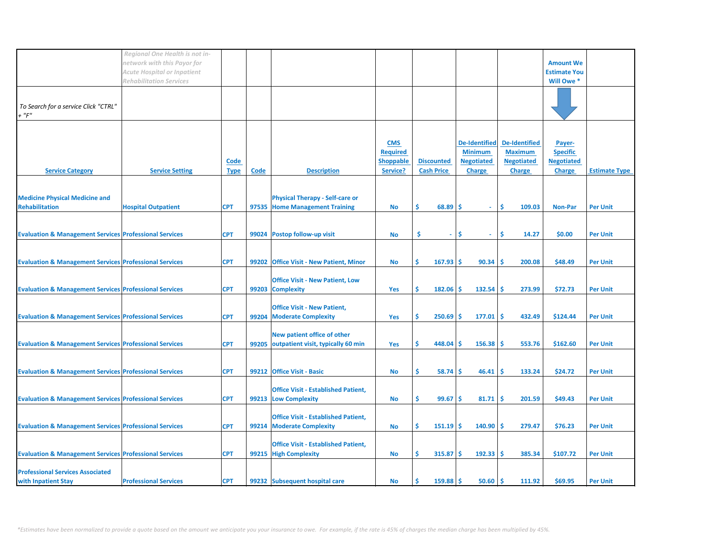|                                                                   | Regional One Health is not in-     |             |             |                                            |                  |                         |                      |                      |                     |                      |
|-------------------------------------------------------------------|------------------------------------|-------------|-------------|--------------------------------------------|------------------|-------------------------|----------------------|----------------------|---------------------|----------------------|
|                                                                   | network with this Payor for        |             |             |                                            |                  |                         |                      |                      | <b>Amount We</b>    |                      |
|                                                                   |                                    |             |             |                                            |                  |                         |                      |                      |                     |                      |
|                                                                   | <b>Acute Hospital or Inpatient</b> |             |             |                                            |                  |                         |                      |                      | <b>Estimate You</b> |                      |
|                                                                   | <b>Rehabilitation Services</b>     |             |             |                                            |                  |                         |                      |                      | Will Owe *          |                      |
|                                                                   |                                    |             |             |                                            |                  |                         |                      |                      |                     |                      |
|                                                                   |                                    |             |             |                                            |                  |                         |                      |                      |                     |                      |
| To Search for a service Click "CTRL"                              |                                    |             |             |                                            |                  |                         |                      |                      |                     |                      |
| $+$ " $F$ "                                                       |                                    |             |             |                                            |                  |                         |                      |                      |                     |                      |
|                                                                   |                                    |             |             |                                            |                  |                         |                      |                      |                     |                      |
|                                                                   |                                    |             |             |                                            |                  |                         |                      |                      |                     |                      |
|                                                                   |                                    |             |             |                                            | <b>CMS</b>       |                         | <b>De-Identified</b> | <b>De-Identified</b> | Payer-              |                      |
|                                                                   |                                    |             |             |                                            | <b>Required</b>  |                         | <b>Minimum</b>       | <b>Maximum</b>       | <b>Specific</b>     |                      |
|                                                                   |                                    | Code        |             |                                            | <b>Shoppable</b> | <b>Discounted</b>       | <b>Negotiated</b>    | <b>Negotiated</b>    | <b>Negotiated</b>   |                      |
| <b>Service Category</b>                                           | <b>Service Setting</b>             | <b>Type</b> | <b>Code</b> | <b>Description</b>                         | Service?         | <b>Cash Price</b>       | <b>Charge</b>        | <b>Charge</b>        | <b>Charge</b>       | <b>Estimate Type</b> |
|                                                                   |                                    |             |             |                                            |                  |                         |                      |                      |                     |                      |
|                                                                   |                                    |             |             |                                            |                  |                         |                      |                      |                     |                      |
| <b>Medicine Physical Medicine and</b>                             |                                    |             |             | <b>Physical Therapy - Self-care or</b>     |                  |                         |                      |                      |                     |                      |
| <b>Rehabilitation</b>                                             | <b>Hospital Outpatient</b>         | <b>CPT</b>  |             | 97535 Home Management Training             |                  | Ś.<br>68.89             | Ŝ<br>$\omega$        | Ŝ.<br>109.03         | <b>Non-Par</b>      | <b>Per Unit</b>      |
|                                                                   |                                    |             |             |                                            | No               |                         |                      |                      |                     |                      |
|                                                                   |                                    |             |             |                                            |                  |                         |                      |                      |                     |                      |
|                                                                   |                                    |             |             |                                            |                  |                         |                      |                      |                     |                      |
| <b>Evaluation &amp; Management Services Professional Services</b> |                                    | <b>CPT</b>  |             | 99024 Postop follow-up visit               | <b>No</b>        | Ś<br>÷.                 | \$.<br>$\sim$        | Ś<br>14.27           | \$0.00              | <b>Per Unit</b>      |
|                                                                   |                                    |             |             |                                            |                  |                         |                      |                      |                     |                      |
|                                                                   |                                    |             |             |                                            |                  |                         |                      |                      |                     |                      |
| <b>Evaluation &amp; Management Services Professional Services</b> |                                    | <b>CPT</b>  |             | 99202 Office Visit - New Patient, Minor    | <b>No</b>        | Ŝ.<br>167.93            | 90.34<br>Ŝ.          | -Ś<br>200.08         | \$48.49             | <b>Per Unit</b>      |
|                                                                   |                                    |             |             |                                            |                  |                         |                      |                      |                     |                      |
|                                                                   |                                    |             |             | <b>Office Visit - New Patient, Low</b>     |                  |                         |                      |                      |                     |                      |
| <b>Evaluation &amp; Management Services Professional Services</b> |                                    | <b>CPT</b>  |             | 99203 Complexity                           | Yes              | \$.<br>182.06           | 132.54<br>\$.        | -Ś<br>273.99         | \$72.73             | <b>Per Unit</b>      |
|                                                                   |                                    |             |             |                                            |                  |                         |                      |                      |                     |                      |
|                                                                   |                                    |             |             | <b>Office Visit - New Patient,</b>         |                  |                         |                      |                      |                     |                      |
|                                                                   |                                    | <b>CPT</b>  |             | 99204 Moderate Complexity                  | Yes              | \$.<br>250.69           | 177.01<br>-S         | -\$<br>432.49        | \$124.44            | <b>Per Unit</b>      |
| <b>Evaluation &amp; Management Services Professional Services</b> |                                    |             |             |                                            |                  |                         |                      |                      |                     |                      |
|                                                                   |                                    |             |             |                                            |                  |                         |                      |                      |                     |                      |
|                                                                   |                                    |             |             | New patient office of other                |                  |                         |                      |                      |                     |                      |
| <b>Evaluation &amp; Management Services Professional Services</b> |                                    | <b>CPT</b>  |             | 99205 outpatient visit, typically 60 min   | Yes              | Ŝ.<br>448.04            | Ŝ.<br>156.38         | <b>S</b><br>553.76   | \$162.60            | <b>Per Unit</b>      |
|                                                                   |                                    |             |             |                                            |                  |                         |                      |                      |                     |                      |
|                                                                   |                                    |             |             |                                            |                  |                         |                      |                      |                     |                      |
| <b>Evaluation &amp; Management Services Professional Services</b> |                                    | <b>CPT</b>  |             | 99212 Office Visit - Basic                 | No               | Ś.<br>58.74             | 46.41<br>Ŝ           | Ŝ<br>133.24          | \$24.72             | <b>Per Unit</b>      |
|                                                                   |                                    |             |             |                                            |                  |                         |                      |                      |                     |                      |
|                                                                   |                                    |             |             | <b>Office Visit - Established Patient,</b> |                  |                         |                      |                      |                     |                      |
| <b>Evaluation &amp; Management Services Professional Services</b> |                                    | <b>CPT</b>  |             | 99213 Low Complexity                       | <b>No</b>        | \$<br>99.67             | 81.71<br>-S          | -Ś<br>201.59         | \$49.43             | <b>Per Unit</b>      |
|                                                                   |                                    |             |             |                                            |                  |                         |                      |                      |                     |                      |
|                                                                   |                                    |             |             | <b>Office Visit - Established Patient,</b> |                  |                         |                      |                      |                     |                      |
| <b>Evaluation &amp; Management Services Professional Services</b> |                                    | <b>CPT</b>  |             | 99214 Moderate Complexity                  | <b>No</b>        | Ŝ.<br>151.19            | 140.90<br>-S         | Ŝ<br>279.47          | \$76.23             | <b>Per Unit</b>      |
|                                                                   |                                    |             |             |                                            |                  |                         |                      |                      |                     |                      |
|                                                                   |                                    |             |             | <b>Office Visit - Established Patient,</b> |                  |                         |                      |                      |                     |                      |
|                                                                   |                                    |             |             |                                            |                  |                         |                      | Ŝ                    |                     |                      |
| <b>Evaluation &amp; Management Services Professional Services</b> |                                    | <b>CPT</b>  |             | 99215 High Complexity                      | No               | 315.87<br>Ś.            | 192.33<br>-S         | 385.34               | \$107.72            | <b>Per Unit</b>      |
|                                                                   |                                    |             |             |                                            |                  |                         |                      |                      |                     |                      |
| <b>Professional Services Associated</b>                           |                                    |             |             |                                            |                  |                         |                      |                      |                     |                      |
| with Inpatient Stay                                               | <b>Professional Services</b>       | <b>CPT</b>  |             | 99232 Subsequent hospital care             | <b>No</b>        | $159.88$ \$<br><b>S</b> | $50.60$ \$           | 111.92               | \$69.95             | <b>Per Unit</b>      |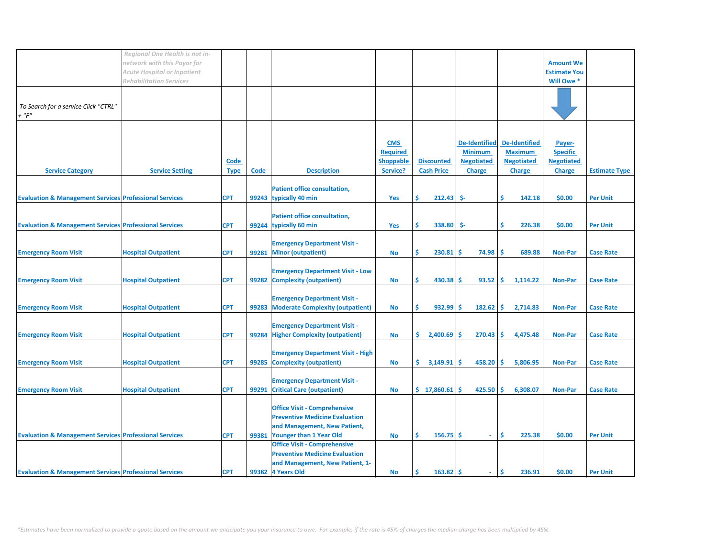|                                                                   | Regional One Health is not in- |             |       |                                          |                  |                       |                      |                      |                     |                      |
|-------------------------------------------------------------------|--------------------------------|-------------|-------|------------------------------------------|------------------|-----------------------|----------------------|----------------------|---------------------|----------------------|
|                                                                   | network with this Payor for    |             |       |                                          |                  |                       |                      |                      | <b>Amount We</b>    |                      |
|                                                                   | Acute Hospital or Inpatient    |             |       |                                          |                  |                       |                      |                      | <b>Estimate You</b> |                      |
|                                                                   |                                |             |       |                                          |                  |                       |                      |                      |                     |                      |
|                                                                   | <b>Rehabilitation Services</b> |             |       |                                          |                  |                       |                      |                      | Will Owe *          |                      |
|                                                                   |                                |             |       |                                          |                  |                       |                      |                      |                     |                      |
|                                                                   |                                |             |       |                                          |                  |                       |                      |                      |                     |                      |
| To Search for a service Click "CTRL"                              |                                |             |       |                                          |                  |                       |                      |                      |                     |                      |
| + "F"                                                             |                                |             |       |                                          |                  |                       |                      |                      |                     |                      |
|                                                                   |                                |             |       |                                          |                  |                       |                      |                      |                     |                      |
|                                                                   |                                |             |       |                                          |                  |                       |                      |                      |                     |                      |
|                                                                   |                                |             |       |                                          |                  |                       |                      |                      |                     |                      |
|                                                                   |                                |             |       |                                          | <b>CMS</b>       |                       | <b>De-Identified</b> | <b>De-Identified</b> | Payer-              |                      |
|                                                                   |                                |             |       |                                          | <b>Required</b>  |                       | <b>Minimum</b>       | <b>Maximum</b>       | <b>Specific</b>     |                      |
|                                                                   |                                | Code        |       |                                          | <b>Shoppable</b> | <b>Discounted</b>     | <b>Negotiated</b>    | <b>Negotiated</b>    | <b>Negotiated</b>   |                      |
| <b>Service Category</b>                                           | <b>Service Setting</b>         | <b>Type</b> | Code  | <b>Description</b>                       | Service?         | <b>Cash Price</b>     | <b>Charge</b>        | <b>Charge</b>        | <b>Charge</b>       | <b>Estimate Type</b> |
|                                                                   |                                |             |       |                                          |                  |                       |                      |                      |                     |                      |
|                                                                   |                                |             |       |                                          |                  |                       |                      |                      |                     |                      |
|                                                                   |                                |             |       | <b>Patient office consultation,</b>      |                  |                       |                      |                      |                     |                      |
| <b>Evaluation &amp; Management Services Professional Services</b> |                                | <b>CPT</b>  |       | 99243 typically 40 min                   | Yes              | \$.<br>212.43         | \$-                  | \$.<br>142.18        | \$0.00              | <b>Per Unit</b>      |
|                                                                   |                                |             |       |                                          |                  |                       |                      |                      |                     |                      |
|                                                                   |                                |             |       | <b>Patient office consultation,</b>      |                  |                       |                      |                      |                     |                      |
|                                                                   |                                |             |       |                                          |                  |                       |                      |                      |                     |                      |
| <b>Evaluation &amp; Management Services Professional Services</b> |                                | <b>CPT</b>  | 99244 | typically 60 min                         | <b>Yes</b>       | Ś.<br>338.80          | -\$-                 | \$<br>226.38         | \$0.00              | <b>Per Unit</b>      |
|                                                                   |                                |             |       |                                          |                  |                       |                      |                      |                     |                      |
|                                                                   |                                |             |       | <b>Emergency Department Visit -</b>      |                  |                       |                      |                      |                     |                      |
| <b>Emergency Room Visit</b>                                       | <b>Hospital Outpatient</b>     | <b>CPT</b>  |       | 99281 Minor (outpatient)                 | No               | \$.<br>230.81         | 74.98<br>-S          | Ŝ.<br>689.88         | <b>Non-Par</b>      | <b>Case Rate</b>     |
|                                                                   |                                |             |       |                                          |                  |                       |                      |                      |                     |                      |
|                                                                   |                                |             |       |                                          |                  |                       |                      |                      |                     |                      |
|                                                                   |                                |             |       | <b>Emergency Department Visit - Low</b>  |                  |                       |                      |                      |                     |                      |
| <b>Emergency Room Visit</b>                                       | <b>Hospital Outpatient</b>     | <b>CPT</b>  |       | 99282 Complexity (outpatient)            | No               | \$<br>430.38          | -Ś<br>93.52          | \$<br>1,114.22       | <b>Non-Par</b>      | <b>Case Rate</b>     |
|                                                                   |                                |             |       |                                          |                  |                       |                      |                      |                     |                      |
|                                                                   |                                |             |       | <b>Emergency Department Visit -</b>      |                  |                       |                      |                      |                     |                      |
|                                                                   |                                |             |       |                                          |                  |                       |                      |                      |                     |                      |
| <b>Emergency Room Visit</b>                                       | <b>Hospital Outpatient</b>     | <b>CPT</b>  |       | 99283 Moderate Complexity (outpatient)   | No               | \$.<br>932.99         | -Ś<br>182.62         | ∣\$.<br>2,714.83     | <b>Non-Par</b>      | <b>Case Rate</b>     |
|                                                                   |                                |             |       |                                          |                  |                       |                      |                      |                     |                      |
|                                                                   |                                |             |       | <b>Emergency Department Visit -</b>      |                  |                       |                      |                      |                     |                      |
| <b>Emergency Room Visit</b>                                       | <b>Hospital Outpatient</b>     | <b>CPT</b>  | 99284 | <b>Higher Complexity (outpatient)</b>    | No               | \$<br>2,400.69        | \$<br>270.43         | \$<br>4,475.48       | <b>Non-Par</b>      | <b>Case Rate</b>     |
|                                                                   |                                |             |       |                                          |                  |                       |                      |                      |                     |                      |
|                                                                   |                                |             |       | <b>Emergency Department Visit - High</b> |                  |                       |                      |                      |                     |                      |
|                                                                   |                                |             |       |                                          |                  |                       |                      |                      |                     |                      |
| <b>Emergency Room Visit</b>                                       | <b>Hospital Outpatient</b>     | <b>CPT</b>  | 99285 | <b>Complexity (outpatient)</b>           | No               | \$.<br>3,149.91       | $458.20$ \$<br>-S    | 5,806.95             | <b>Non-Par</b>      | <b>Case Rate</b>     |
|                                                                   |                                |             |       |                                          |                  |                       |                      |                      |                     |                      |
|                                                                   |                                |             |       | <b>Emergency Department Visit -</b>      |                  |                       |                      |                      |                     |                      |
| <b>Emergency Room Visit</b>                                       | <b>Hospital Outpatient</b>     | <b>CPT</b>  | 99291 | <b>Critical Care (outpatient)</b>        | <b>No</b>        | \$17,860.61           | Ŝ<br>425.50          | ۱Ś.<br>6,308.07      | <b>Non-Par</b>      | <b>Case Rate</b>     |
|                                                                   |                                |             |       |                                          |                  |                       |                      |                      |                     |                      |
|                                                                   |                                |             |       |                                          |                  |                       |                      |                      |                     |                      |
|                                                                   |                                |             |       | <b>Office Visit - Comprehensive</b>      |                  |                       |                      |                      |                     |                      |
|                                                                   |                                |             |       | <b>Preventive Medicine Evaluation</b>    |                  |                       |                      |                      |                     |                      |
|                                                                   |                                |             |       | and Management, New Patient,             |                  |                       |                      |                      |                     |                      |
| <b>Evaluation &amp; Management Services Professional Services</b> |                                | <b>CPT</b>  | 99381 | <b>Younger than 1 Year Old</b>           | No               | \$<br>$156.75$ \$     | $\sim$               | \$<br>225.38         | \$0.00              | <b>Per Unit</b>      |
|                                                                   |                                |             |       | <b>Office Visit - Comprehensive</b>      |                  |                       |                      |                      |                     |                      |
|                                                                   |                                |             |       |                                          |                  |                       |                      |                      |                     |                      |
|                                                                   |                                |             |       | <b>Preventive Medicine Evaluation</b>    |                  |                       |                      |                      |                     |                      |
|                                                                   |                                |             |       | and Management, New Patient, 1-          |                  |                       |                      |                      |                     |                      |
| <b>Evaluation &amp; Management Services Professional Services</b> |                                | <b>CPT</b>  |       | 99382 4 Years Old                        | <b>No</b>        | \$<br>$163.82 \mid 5$ | ÷.                   | Ŝ.<br>236.91         | \$0.00              | <b>Per Unit</b>      |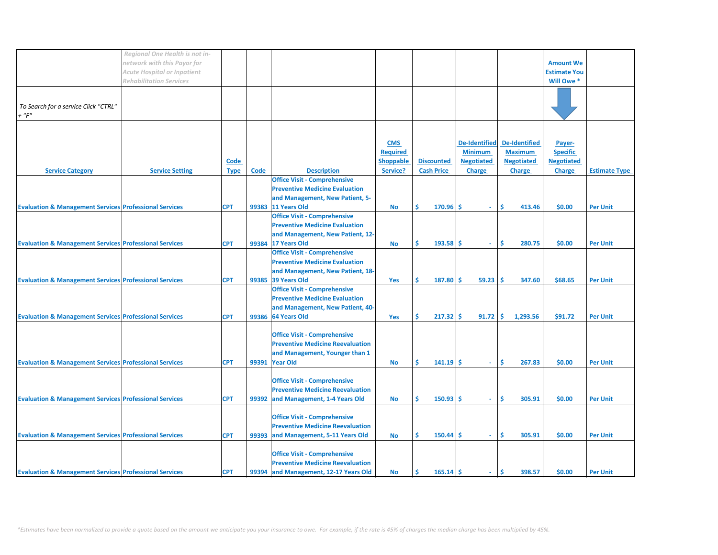|                                                                   | Regional One Health is not in-     |             |             |                                         |                  |                   |                      |                      |                     |                      |
|-------------------------------------------------------------------|------------------------------------|-------------|-------------|-----------------------------------------|------------------|-------------------|----------------------|----------------------|---------------------|----------------------|
|                                                                   | network with this Payor for        |             |             |                                         |                  |                   |                      |                      | <b>Amount We</b>    |                      |
|                                                                   | <b>Acute Hospital or Inpatient</b> |             |             |                                         |                  |                   |                      |                      | <b>Estimate You</b> |                      |
|                                                                   |                                    |             |             |                                         |                  |                   |                      |                      | Will Owe *          |                      |
|                                                                   | <b>Rehabilitation Services</b>     |             |             |                                         |                  |                   |                      |                      |                     |                      |
|                                                                   |                                    |             |             |                                         |                  |                   |                      |                      |                     |                      |
|                                                                   |                                    |             |             |                                         |                  |                   |                      |                      |                     |                      |
| To Search for a service Click "CTRL"                              |                                    |             |             |                                         |                  |                   |                      |                      |                     |                      |
| $+$ " $F$ "                                                       |                                    |             |             |                                         |                  |                   |                      |                      |                     |                      |
|                                                                   |                                    |             |             |                                         |                  |                   |                      |                      |                     |                      |
|                                                                   |                                    |             |             |                                         |                  |                   |                      |                      |                     |                      |
|                                                                   |                                    |             |             |                                         |                  |                   |                      |                      |                     |                      |
|                                                                   |                                    |             |             |                                         | <b>CMS</b>       |                   | <b>De-Identified</b> | <b>De-Identified</b> | Payer-              |                      |
|                                                                   |                                    |             |             |                                         | <b>Required</b>  |                   | <b>Minimum</b>       | <b>Maximum</b>       | <b>Specific</b>     |                      |
|                                                                   |                                    |             |             |                                         |                  |                   |                      |                      |                     |                      |
|                                                                   |                                    | Code        |             |                                         | <b>Shoppable</b> | <b>Discounted</b> | <b>Negotiated</b>    | <b>Negotiated</b>    | <b>Negotiated</b>   |                      |
| <b>Service Category</b>                                           | <b>Service Setting</b>             | <b>Type</b> | <b>Code</b> | <b>Description</b>                      | Service?         | <b>Cash Price</b> | Charge               | <b>Charge</b>        | <b>Charge</b>       | <b>Estimate Type</b> |
|                                                                   |                                    |             |             | <b>Office Visit - Comprehensive</b>     |                  |                   |                      |                      |                     |                      |
|                                                                   |                                    |             |             | <b>Preventive Medicine Evaluation</b>   |                  |                   |                      |                      |                     |                      |
|                                                                   |                                    |             |             |                                         |                  |                   |                      |                      |                     |                      |
|                                                                   |                                    |             |             | and Management, New Patient, 5-         |                  |                   |                      |                      |                     |                      |
| <b>Evaluation &amp; Management Services Professional Services</b> |                                    | <b>CPT</b>  | 99383       | 11 Years Old                            | No               | $170.96$ \$<br>Ś  | $\omega$             | \$.<br>413.46        | \$0.00              | <b>Per Unit</b>      |
|                                                                   |                                    |             |             | <b>Office Visit - Comprehensive</b>     |                  |                   |                      |                      |                     |                      |
|                                                                   |                                    |             |             |                                         |                  |                   |                      |                      |                     |                      |
|                                                                   |                                    |             |             | <b>Preventive Medicine Evaluation</b>   |                  |                   |                      |                      |                     |                      |
|                                                                   |                                    |             |             | and Management, New Patient, 12-        |                  |                   |                      |                      |                     |                      |
| <b>Evaluation &amp; Management Services Professional Services</b> |                                    | <b>CPT</b>  |             | 99384 17 Years Old                      | No               | Ś<br>$193.58$ \$  | ÷.                   | Ŝ<br>280.75          | \$0.00              | <b>Per Unit</b>      |
|                                                                   |                                    |             |             | <b>Office Visit - Comprehensive</b>     |                  |                   |                      |                      |                     |                      |
|                                                                   |                                    |             |             |                                         |                  |                   |                      |                      |                     |                      |
|                                                                   |                                    |             |             | <b>Preventive Medicine Evaluation</b>   |                  |                   |                      |                      |                     |                      |
|                                                                   |                                    |             |             | and Management, New Patient, 18-        |                  |                   |                      |                      |                     |                      |
| <b>Evaluation &amp; Management Services Professional Services</b> |                                    | <b>CPT</b>  |             | 99385 39 Years Old                      | Yes              | Ś.<br>$187.80$ \$ | 59.23                | Ŝ<br>347.60          | \$68.65             | <b>Per Unit</b>      |
|                                                                   |                                    |             |             |                                         |                  |                   |                      |                      |                     |                      |
|                                                                   |                                    |             |             | <b>Office Visit - Comprehensive</b>     |                  |                   |                      |                      |                     |                      |
|                                                                   |                                    |             |             | <b>Preventive Medicine Evaluation</b>   |                  |                   |                      |                      |                     |                      |
|                                                                   |                                    |             |             | and Management, New Patient, 40-        |                  |                   |                      |                      |                     |                      |
|                                                                   |                                    |             |             | 99386 64 Years Old                      |                  | Ś                 |                      | l\$                  |                     |                      |
| <b>Evaluation &amp; Management Services Professional Services</b> |                                    | <b>CPT</b>  |             |                                         | Yes              | $217.32$ \$       | 91.72                | 1,293.56             | \$91.72             | <b>Per Unit</b>      |
|                                                                   |                                    |             |             |                                         |                  |                   |                      |                      |                     |                      |
|                                                                   |                                    |             |             | <b>Office Visit - Comprehensive</b>     |                  |                   |                      |                      |                     |                      |
|                                                                   |                                    |             |             | <b>Preventive Medicine Reevaluation</b> |                  |                   |                      |                      |                     |                      |
|                                                                   |                                    |             |             |                                         |                  |                   |                      |                      |                     |                      |
|                                                                   |                                    |             |             | and Management, Younger than 1          |                  |                   |                      |                      |                     |                      |
| <b>Evaluation &amp; Management Services Professional Services</b> |                                    | <b>CPT</b>  | 99391       | <b>Year Old</b>                         | <b>No</b>        | Ś<br>$141.19$ \$  | ÷.                   | Ŝ<br>267.83          | \$0.00              | <b>Per Unit</b>      |
|                                                                   |                                    |             |             |                                         |                  |                   |                      |                      |                     |                      |
|                                                                   |                                    |             |             | <b>Office Visit - Comprehensive</b>     |                  |                   |                      |                      |                     |                      |
|                                                                   |                                    |             |             |                                         |                  |                   |                      |                      |                     |                      |
|                                                                   |                                    |             |             | <b>Preventive Medicine Reevaluation</b> |                  |                   |                      |                      |                     |                      |
| <b>Evaluation &amp; Management Services Professional Services</b> |                                    | <b>CPT</b>  |             | 99392 and Management, 1-4 Years Old     | <b>No</b>        | $150.93$ S<br>Ś.  | $\omega$             | Ŝ<br>305.91          | \$0.00              | <b>Per Unit</b>      |
|                                                                   |                                    |             |             |                                         |                  |                   |                      |                      |                     |                      |
|                                                                   |                                    |             |             | <b>Office Visit - Comprehensive</b>     |                  |                   |                      |                      |                     |                      |
|                                                                   |                                    |             |             |                                         |                  |                   |                      |                      |                     |                      |
|                                                                   |                                    |             |             | <b>Preventive Medicine Reevaluation</b> |                  |                   |                      |                      |                     |                      |
| <b>Evaluation &amp; Management Services Professional Services</b> |                                    | <b>CPT</b>  |             | 99393 and Management, 5-11 Years Old    | <b>No</b>        | Ś.<br>$150.44$ \$ | $\omega$             | \$.<br>305.91        | \$0.00              | <b>Per Unit</b>      |
|                                                                   |                                    |             |             |                                         |                  |                   |                      |                      |                     |                      |
|                                                                   |                                    |             |             |                                         |                  |                   |                      |                      |                     |                      |
|                                                                   |                                    |             |             | <b>Office Visit - Comprehensive</b>     |                  |                   |                      |                      |                     |                      |
|                                                                   |                                    |             |             | <b>Preventive Medicine Reevaluation</b> |                  |                   |                      |                      |                     |                      |
| <b>Evaluation &amp; Management Services Professional Services</b> |                                    | <b>CPT</b>  |             | 99394 and Management, 12-17 Years Old   | No               | Ŝ<br>$165.14$ \$  | ÷.                   | \$<br>398.57         | \$0.00              | <b>Per Unit</b>      |
|                                                                   |                                    |             |             |                                         |                  |                   |                      |                      |                     |                      |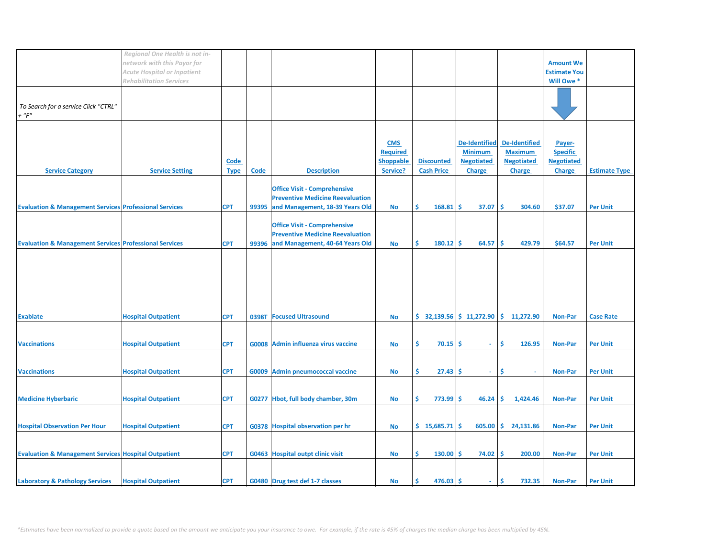|                                                                                                                                        | Regional One Health is not in-<br>network with this Payor for<br><b>Acute Hospital or Inpatient</b><br><b>Rehabilitation Services</b> |                            |             |                                                                                                                                                            |                                                               |                                        |                                                                       |                                                                              | <b>Amount We</b><br><b>Estimate You</b><br>Will Owe *           |                      |
|----------------------------------------------------------------------------------------------------------------------------------------|---------------------------------------------------------------------------------------------------------------------------------------|----------------------------|-------------|------------------------------------------------------------------------------------------------------------------------------------------------------------|---------------------------------------------------------------|----------------------------------------|-----------------------------------------------------------------------|------------------------------------------------------------------------------|-----------------------------------------------------------------|----------------------|
| To Search for a service Click "CTRL"<br>$+$ " $F$ "                                                                                    |                                                                                                                                       |                            |             |                                                                                                                                                            |                                                               |                                        |                                                                       |                                                                              |                                                                 |                      |
| <b>Service Category</b>                                                                                                                | <b>Service Setting</b>                                                                                                                | <b>Code</b><br><b>Type</b> | <b>Code</b> | <b>Description</b>                                                                                                                                         | <b>CMS</b><br><b>Required</b><br><b>Shoppable</b><br>Service? | <b>Discounted</b><br><b>Cash Price</b> | <b>De-Identified</b><br><b>Minimum</b><br><b>Negotiated</b><br>Charge | <b>De-Identified</b><br><b>Maximum</b><br><b>Negotiated</b><br><b>Charge</b> | Payer-<br><b>Specific</b><br><b>Negotiated</b><br><b>Charge</b> | <b>Estimate Type</b> |
|                                                                                                                                        |                                                                                                                                       |                            |             | <b>Office Visit - Comprehensive</b><br><b>Preventive Medicine Reevaluation</b>                                                                             |                                                               | Ŝ.<br>168.81                           | Ŝ.<br>37.07                                                           | -Ś<br>304.60                                                                 | \$37.07                                                         | <b>Per Unit</b>      |
| <b>Evaluation &amp; Management Services Professional Services</b><br><b>Evaluation &amp; Management Services Professional Services</b> |                                                                                                                                       | <b>CPT</b><br><b>CPT</b>   | 99395       | and Management, 18-39 Years Old<br><b>Office Visit - Comprehensive</b><br><b>Preventive Medicine Reevaluation</b><br>99396 and Management, 40-64 Years Old | <b>No</b><br>No                                               | Ŝ.<br>$180.12$ \$                      | 64.57                                                                 | <b>S</b><br>429.79                                                           | \$64.57                                                         | <b>Per Unit</b>      |
|                                                                                                                                        |                                                                                                                                       |                            |             |                                                                                                                                                            |                                                               |                                        |                                                                       |                                                                              |                                                                 |                      |
| <b>Exablate</b>                                                                                                                        | <b>Hospital Outpatient</b>                                                                                                            | <b>CPT</b>                 |             | 0398T Focused Ultrasound                                                                                                                                   | No                                                            |                                        |                                                                       | $\frac{1}{2}$ 32,139.56 $\frac{1}{2}$ 11,272.90 $\frac{1}{2}$ 11,272.90      | <b>Non-Par</b>                                                  | <b>Case Rate</b>     |
| <b>Vaccinations</b>                                                                                                                    | <b>Hospital Outpatient</b>                                                                                                            | <b>CPT</b>                 |             | G0008 Admin influenza virus vaccine                                                                                                                        | <b>No</b>                                                     | \$<br>$70.15$ \$                       | $\mathcal{L}_{\mathcal{A}}$                                           | \$.<br>126.95                                                                | <b>Non-Par</b>                                                  | <b>Per Unit</b>      |
| <b>Vaccinations</b>                                                                                                                    | <b>Hospital Outpatient</b>                                                                                                            | <b>CPT</b>                 | G0009       | <b>Admin pneumococcal vaccine</b>                                                                                                                          | No                                                            | \$.<br>$27.43 \, \text{S}$             | ÷.                                                                    | -\$                                                                          | <b>Non-Par</b>                                                  | <b>Per Unit</b>      |
| <b>Medicine Hyberbaric</b>                                                                                                             | <b>Hospital Outpatient</b>                                                                                                            | <b>CPT</b>                 |             | G0277 Hbot, full body chamber, 30m                                                                                                                         | No                                                            | \$.<br>773.99                          | 46.24<br>S.                                                           | \$.<br>1,424.46                                                              | <b>Non-Par</b>                                                  | <b>Per Unit</b>      |
| <b>Hospital Observation Per Hour</b>                                                                                                   | <b>Hospital Outpatient</b>                                                                                                            | <b>CPT</b>                 |             | G0378 Hospital observation per hr                                                                                                                          | <b>No</b>                                                     | $$15,685.71$ \$                        |                                                                       | $605.00$ \$ 24,131.86                                                        | <b>Non-Par</b>                                                  | <b>Per Unit</b>      |
| <b>Evaluation &amp; Management Services Hospital Outpatient</b>                                                                        |                                                                                                                                       | <b>CPT</b>                 |             | G0463 Hospital outpt clinic visit                                                                                                                          | No                                                            | Ŝ.<br>$130.00$ \$                      | 74.02                                                                 | -\$<br>200.00                                                                | <b>Non-Par</b>                                                  | <b>Per Unit</b>      |
| <b>Laboratory &amp; Pathology Services</b>                                                                                             | <b>Hospital Outpatient</b>                                                                                                            | <b>CPT</b>                 |             | G0480 Drug test def 1-7 classes                                                                                                                            | No                                                            | Ŝ.<br>$476.03$ \$                      | $\sim$                                                                | Ŝ.<br>732.35                                                                 | Non-Par                                                         | <b>Per Unit</b>      |